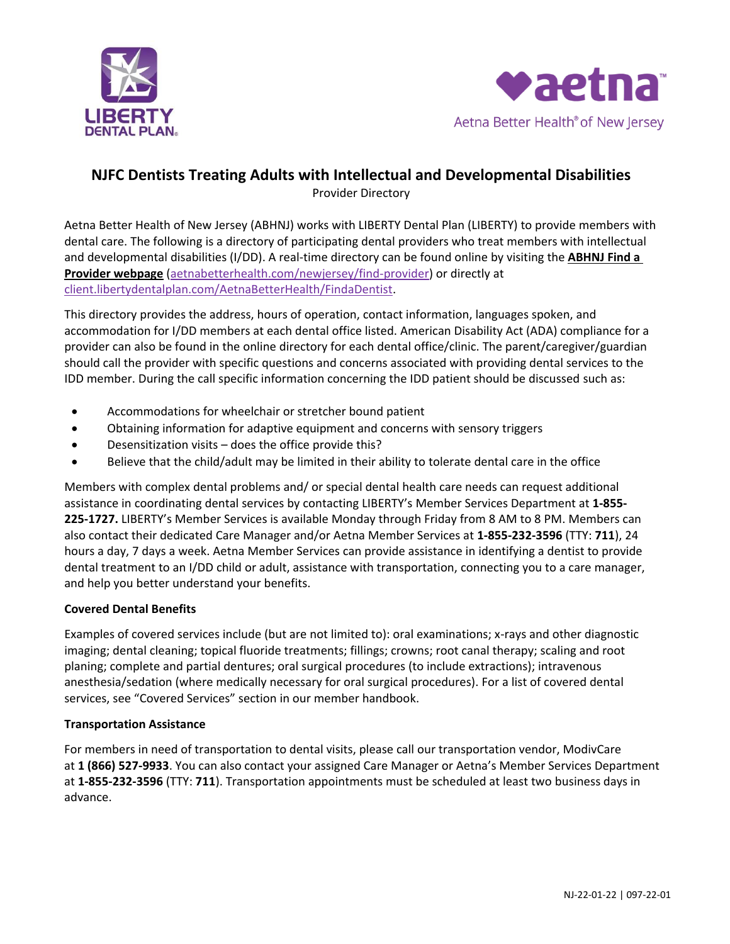



# **NJFC Dentists Treating Adults with Intellectual and Developmental Disabilities**

Provider Directory

Aetna Better Health of New Jersey (ABHNJ) works with LIBERTY Dental Plan (LIBERTY) to provide members with dental care. The following is a directory of participating dental providers who treat members with intellectual and developmental disabilities (I/DD). A real-time directory can be found online by visiting the **[ABHNJ Find a](file://///midp-sfs-001/NJReportg/Liberty%20Dental/Provider%20Directory/aetnabetterhealth.com/newjersey/find-provider)  [Provider webpage](file://///midp-sfs-001/NJReportg/Liberty%20Dental/Provider%20Directory/aetnabetterhealth.com/newjersey/find-provider)** [\(aetnabetterhealth.com/newjersey/find-provider\)](https://www.aetnabetterhealth.com/newjersey/find-provider) or directly at [client.libertydentalplan.com/AetnaBetterHealth/FindaDentist.](https://client.libertydentalplan.com/AetnaBetterHealth/FindaDentist)

This directory provides the address, hours of operation, contact information, languages spoken, and accommodation for I/DD members at each dental office listed. American Disability Act (ADA) compliance for a provider can also be found in the online directory for each dental office/clinic. The parent/caregiver/guardian should call the provider with specific questions and concerns associated with providing dental services to the IDD member. During the call specific information concerning the IDD patient should be discussed such as:

- Accommodations for wheelchair or stretcher bound patient
- Obtaining information for adaptive equipment and concerns with sensory triggers
- Desensitization visits does the office provide this?
- Believe that the child/adult may be limited in their ability to tolerate dental care in the office

Members with complex dental problems and/ or special dental health care needs can request additional assistance in coordinating dental services by contacting LIBERTY's Member Services Department at **1-855- 225-1727.** LIBERTY's Member Services is available Monday through Friday from 8 AM to 8 PM. Members can also contact their dedicated Care Manager and/or Aetna Member Services at **1-855-232-3596** (TTY: **711**), 24 hours a day, 7 days a week. Aetna Member Services can provide assistance in identifying a dentist to provide dental treatment to an I/DD child or adult, assistance with transportation, connecting you to a care manager, and help you better understand your benefits.

# **Covered Dental Benefits**

Examples of covered services include (but are not limited to): oral examinations; x-rays and other diagnostic imaging; dental cleaning; topical fluoride treatments; fillings; crowns; root canal therapy; scaling and root planing; complete and partial dentures; oral surgical procedures (to include extractions); intravenous anesthesia/sedation (where medically necessary for oral surgical procedures). For a list of covered dental services, see "Covered Services" section in our member handbook.

# **Transportation Assistance**

For members in need of transportation to dental visits, please call our transportation vendor, ModivCare at **1 (866) 527-9933**. You can also contact your assigned Care Manager or Aetna's Member Services Department at **1-855-232-3596** (TTY: **711**). Transportation appointments must be scheduled at least two business days in advance.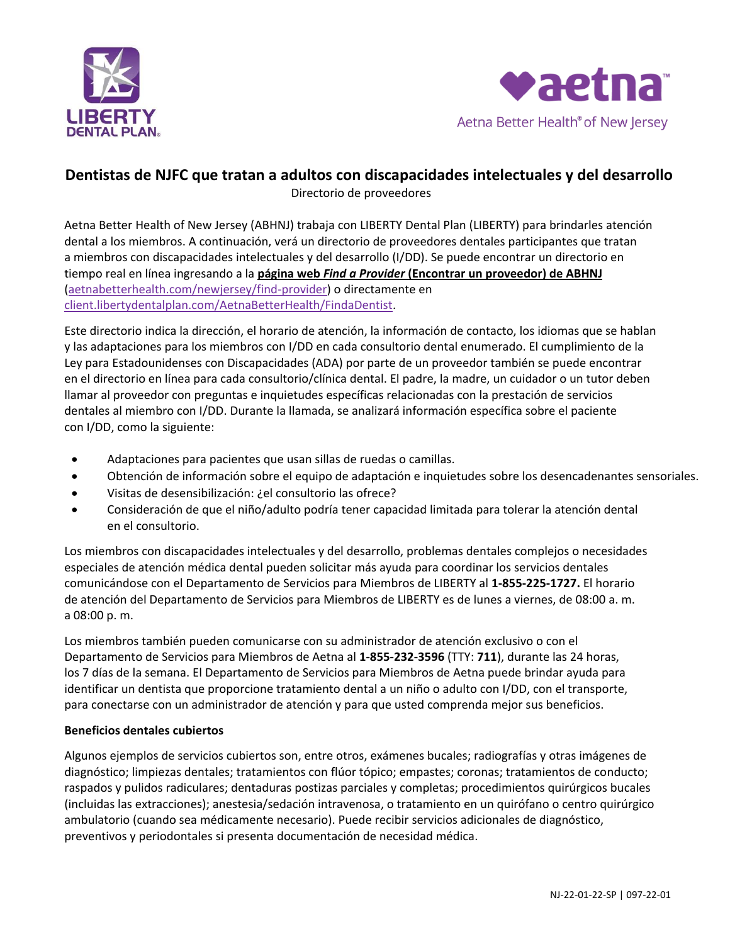



# **Dentistas de NJFC que tratan a adultos con discapacidades intelectuales y del desarrollo**

Directorio de proveedores

Aetna Better Health of New Jersey (ABHNJ) trabaja con LIBERTY Dental Plan (LIBERTY) para brindarles atención dental a los miembros. A continuación, verá un directorio de proveedores dentales participantes que tratan a miembros con discapacidades intelectuales y del desarrollo (I/DD). Se puede encontrar un directorio en tiempo real en línea ingresando a la **página web** *Find a Provider* **[\(Encontrar un proveedor\) de ABHNJ](file://///midp-sfs-001/NJReportg/Liberty%20Dental/Provider%20Directory/aetnabetterhealth.com/newjersey/find-provider)** [\(aetnabetterhealth.com/newjersey/find-provider\)](https://www.aetnabetterhealth.com/newjersey/find-provider) o directamente en [client.libertydentalplan.com/AetnaBetterHealth/FindaDentist.](https://client.libertydentalplan.com/AetnaBetterHealth/FindaDentist)

Este directorio indica la dirección, el horario de atención, la información de contacto, los idiomas que se hablan y las adaptaciones para los miembros con I/DD en cada consultorio dental enumerado. El cumplimiento de la Ley para Estadounidenses con Discapacidades (ADA) por parte de un proveedor también se puede encontrar en el directorio en línea para cada consultorio/clínica dental. El padre, la madre, un cuidador o un tutor deben llamar al proveedor con preguntas e inquietudes específicas relacionadas con la prestación de servicios dentales al miembro con I/DD. Durante la llamada, se analizará información específica sobre el paciente con I/DD, como la siguiente:

- Adaptaciones para pacientes que usan sillas de ruedas o camillas.
- Obtención de información sobre el equipo de adaptación e inquietudes sobre los desencadenantes sensoriales.
- Visitas de desensibilización: ¿el consultorio las ofrece?
- Consideración de que el niño/adulto podría tener capacidad limitada para tolerar la atención dental en el consultorio.

Los miembros con discapacidades intelectuales y del desarrollo, problemas dentales complejos o necesidades especiales de atención médica dental pueden solicitar más ayuda para coordinar los servicios dentales comunicándose con el Departamento de Servicios para Miembros de LIBERTY al **1-855-225-1727.** El horario de atención del Departamento de Servicios para Miembros de LIBERTY es de lunes a viernes, de 08:00 a. m. a 08:00 p. m.

Los miembros también pueden comunicarse con su administrador de atención exclusivo o con el Departamento de Servicios para Miembros de Aetna al **1-855-232-3596** (TTY: **711**), durante las 24 horas, los 7 días de la semana. El Departamento de Servicios para Miembros de Aetna puede brindar ayuda para identificar un dentista que proporcione tratamiento dental a un niño o adulto con I/DD, con el transporte, para conectarse con un administrador de atención y para que usted comprenda mejor sus beneficios.

# **Beneficios dentales cubiertos**

Algunos ejemplos de servicios cubiertos son, entre otros, exámenes bucales; radiografías y otras imágenes de diagnóstico; limpiezas dentales; tratamientos con flúor tópico; empastes; coronas; tratamientos de conducto; raspados y pulidos radiculares; dentaduras postizas parciales y completas; procedimientos quirúrgicos bucales (incluidas las extracciones); anestesia/sedación intravenosa, o tratamiento en un quirófano o centro quirúrgico ambulatorio (cuando sea médicamente necesario). Puede recibir servicios adicionales de diagnóstico, preventivos y periodontales si presenta documentación de necesidad médica.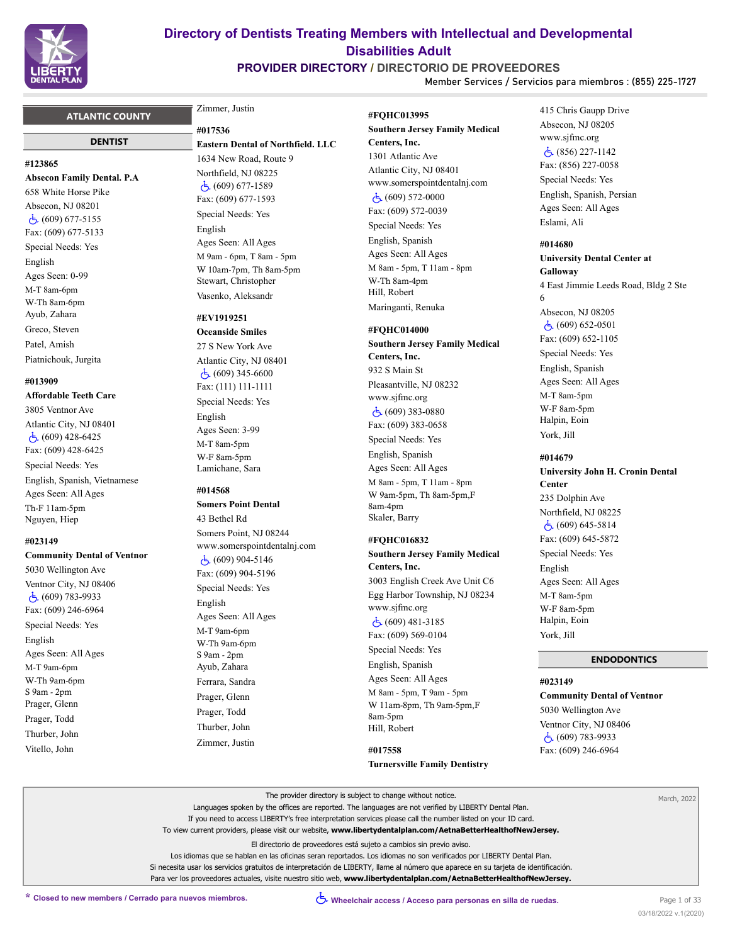

# **PROVIDER DIRECTORY / DIRECTORIO DE PROVEEDORES**

**Member Services / Servicios para miembros : (855) 225-1727**

### **ATLANTIC COUNTY**

#### **DENTIST**

#### **#123865**

**Absecon Family Dental. P.A** 658 White Horse Pike Absecon, NJ 08201 (609) 677-5155 Fax: (609) 677-5133 Special Needs: Yes English Ages Seen: 0-99 M-T 8am-6pm W-Th 8am-6pm Ayub, Zahara Greco, Steven Patel, Amish Piatnichouk, Jurgita

#### **#013909**

**Affordable Teeth Care** 3805 Ventnor Ave Atlantic City, NJ 08401  $\dot{5}$  (609) 428-6425 Fax: (609) 428-6425 Special Needs: Yes English, Spanish, Vietnamese Ages Seen: All Ages Th-F 11am-5pm Nguyen, Hiep

#### **#023149**

**Community Dental of Ventnor** 5030 Wellington Ave Ventnor City, NJ 08406 (609) 783-9933 Fax: (609) 246-6964 Special Needs: Yes English Ages Seen: All Ages M-T 9am-6pm W-Th 9am-6pm S 9am - 2pm Prager, Glenn Prager, Todd Thurber, John Vitello, John

# Zimmer, Justin

**#017536**

**Eastern Dental of Northfield. LLC** 1634 New Road, Route 9 Northfield, NJ 08225  $\dot{c}$  (609) 677-1589 Fax: (609) 677-1593 Special Needs: Yes English Ages Seen: All Ages M 9am - 6pm, T 8am - 5pm W 10am-7pm, Th 8am-5pm Stewart, Christopher Vasenko, Aleksandr

# **#EV1919251**

**Oceanside Smiles** 27 S New York Ave Atlantic City, NJ 08401 (609) 345-6600 Fax: (111) 111-1111 Special Needs: Yes English Ages Seen: 3-99 M-T 8am-5pm W-F 8am-5pm Lamichane, Sara

#### **#014568**

**Somers Point Dental** 43 Bethel Rd Somers Point, NJ 08244 www.somerspointdentalnj.com  $\dot{c}$  (609) 904-5146 Fax: (609) 904-5196 Special Needs: Yes English Ages Seen: All Ages M-T 9am-6pm W-Th 9am-6pm S 9am - 2pm Ayub, Zahara Ferrara, Sandra Prager, Glenn Prager, Todd Thurber, John Zimmer, Justin

**#FQHC013995 Southern Jersey Family Medical Centers, Inc.** 1301 Atlantic Ave Atlantic City, NJ 08401 www.somerspointdentalnj.com (609) 572-0000 Fax: (609) 572-0039 Special Needs: Yes English, Spanish Ages Seen: All Ages M 8am - 5pm, T 11am - 8pm W-Th 8am-4pm Hill, Robert Maringanti, Renuka

### **#FQHC014000**

**Southern Jersey Family Medical Centers, Inc.** 932 S Main St Pleasantville, NJ 08232 www.sjfmc.org (609) 383-0880 Fax: (609) 383-0658 Special Needs: Yes English, Spanish Ages Seen: All Ages M 8am - 5pm, T 11am - 8pm W 9am-5pm, Th 8am-5pm,F 8am-4pm Skaler, Barry

#### **#FQHC016832**

**Southern Jersey Family Medical Centers, Inc.**

3003 English Creek Ave Unit C6 Egg Harbor Township, NJ 08234 www.sjfmc.org (609) 481-3185 Fax: (609) 569-0104

Special Needs: Yes

English, Spanish Ages Seen: All Ages M 8am - 5pm, T 9am - 5pm W 11am-8pm, Th 9am-5pm,F 8am-5pm Hill, Robert

**#017558 Turnersville Family Dentistry** 415 Chris Gaupp Drive Absecon, NJ 08205 www.sjfmc.org (856) 227-1142 Fax: (856) 227-0058 Special Needs: Yes English, Spanish, Persian Ages Seen: All Ages Eslami, Ali

**#014680**

**University Dental Center at Galloway** 4 East Jimmie Leeds Road, Bldg 2 Ste 6 Absecon, NJ 08205  $\dot{c}$  (609) 652-0501 Fax: (609) 652-1105 Special Needs: Yes English, Spanish Ages Seen: All Ages M-T 8am-5pm W-F 8am-5pm Halpin, Eoin York, Jill

#### **#014679**

**University John H. Cronin Dental Center** 235 Dolphin Ave Northfield, NJ 08225 (609) 645-5814 Fax: (609) 645-5872 Special Needs: Yes English Ages Seen: All Ages M-T 8am-5pm W-F 8am-5pm Halpin, Eoin York, Jill

#### **ENDODONTICS**

#### **#023149**

**Community Dental of Ventnor** 5030 Wellington Ave Ventnor City, NJ 08406 (609) 783-9933 Fax: (609) 246-6964

|                                                         | The provider directory is subject to change without notice.                                                                         | March, 2022  |
|---------------------------------------------------------|-------------------------------------------------------------------------------------------------------------------------------------|--------------|
|                                                         | Languages spoken by the offices are reported. The languages are not verified by LIBERTY Dental Plan.                                |              |
|                                                         | If you need to access LIBERTY's free interpretation services please call the number listed on your ID card.                         |              |
|                                                         | To view current providers, please visit our website, www.libertydentalplan.com/AetnaBetterHealthofNewJersey.                        |              |
|                                                         | El directorio de proveedores está sujeto a cambios sin previo aviso.                                                                |              |
|                                                         | Los idiomas que se hablan en las oficinas seran reportados. Los idiomas no son verificados por LIBERTY Dental Plan.                 |              |
|                                                         | Si necesita usar los servicios gratuitos de interpretación de LIBERTY, llame al número que aparece en su tarjeta de identificación. |              |
|                                                         | Para ver los proveedores actuales, visite nuestro sitio web, www.libertydentalplan.com/AetnaBetterHealthofNewJersey.                |              |
| * Closed to new members / Cerrado para nuevos miembros. | ◯ Wheelchair access / Acceso para personas en silla de ruedas.                                                                      | Page 1 of 33 |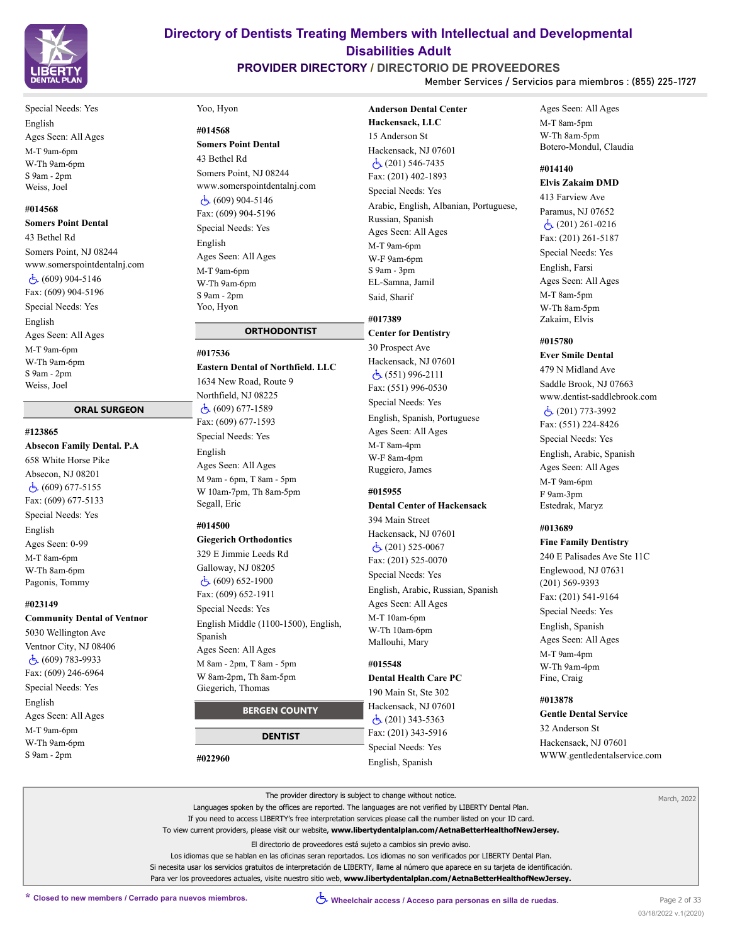

# **PROVIDER DIRECTORY / DIRECTORIO DE PROVEEDORES**

**Anderson Dental Center** 

**Member Services / Servicios para miembros : (855) 225-1727**

Special Needs: Yes English Ages Seen: All Ages M-T 9am-6pm W-Th 9am-6pm S 9am - 2pm Weiss, Joel

### **#014568**

**Somers Point Dental**

43 Bethel Rd Somers Point, NJ 08244 www.somerspointdentalnj.com (609) 904-5146 Fax: (609) 904-5196 Special Needs: Yes English Ages Seen: All Ages M-T 9am-6pm W-Th 9am-6pm

S 9am - 2pm Weiss, Joel

# **ORAL SURGEON**

**#123865 Absecon Family Dental. P.A** 658 White Horse Pike Absecon, NJ 08201  $\dot{c}$  (609) 677-5155 Fax: (609) 677-5133 Special Needs: Yes

English Ages Seen: 0-99 M-T 8am-6pm W-Th 8am-6pm Pagonis, Tommy

#### **#023149**

**Community Dental of Ventnor**

5030 Wellington Ave Ventnor City, NJ 08406 (609) 783-9933 Fax: (609) 246-6964 Special Needs: Yes English Ages Seen: All Ages M-T 9am-6pm W-Th 9am-6pm S 9am - 2pm

#### Yoo, Hyon

#### **#014568**

**Somers Point Dental** 43 Bethel Rd Somers Point, NJ 08244 www.somerspointdentalnj.com (609) 904-5146 Fax: (609) 904-5196 Special Needs: Yes English Ages Seen: All Ages M-T 9am-6pm W-Th 9am-6pm S 9am - 2pm Yoo, Hyon

# **ORTHODONTIST**

**#017536 Eastern Dental of Northfield. LLC** 1634 New Road, Route 9

Northfield, NJ 08225 (609) 677-1589 Fax: (609) 677-1593 Special Needs: Yes English Ages Seen: All Ages M 9am - 6pm, T 8am - 5pm W 10am-7pm, Th 8am-5pm Segall, Eric

#### **#014500**

**Giegerich Orthodontics** 329 E Jimmie Leeds Rd Galloway, NJ 08205 (609) 652-1900 Fax: (609) 652-1911 Special Needs: Yes English Middle (1100-1500), English, Spanish Ages Seen: All Ages M 8am - 2pm, T 8am - 5pm W 8am-2pm, Th 8am-5pm Giegerich, Thomas

# **BERGEN COUNTY**

 **DENTIST**

**#022960**

**Hackensack, LLC** 15 Anderson St Hackensack, NJ 07601 (201) 546-7435 Fax: (201) 402-1893 Special Needs: Yes Arabic, English, Albanian, Portuguese, Russian, Spanish Ages Seen: All Ages M-T 9am-6pm W-F 9am-6pm S 9am - 3pm EL-Samna, Jamil Said, Sharif

## **#017389**

**Center for Dentistry** 30 Prospect Ave Hackensack, NJ 07601 (551) 996-2111 Fax: (551) 996-0530 Special Needs: Yes English, Spanish, Portuguese Ages Seen: All Ages M-T 8am-4pm W-F 8am-4pm Ruggiero, James

# **#015955**

**Dental Center of Hackensack** 394 Main Street Hackensack, NJ 07601  $\dot{c}$ (201) 525-0067 Fax: (201) 525-0070 Special Needs: Yes English, Arabic, Russian, Spanish Ages Seen: All Ages

M-T 10am-6pm W-Th 10am-6pm Mallouhi, Mary

# **#015548**

**Dental Health Care PC**

190 Main St, Ste 302 Hackensack, NJ 07601 (201) 343-5363 Fax: (201) 343-5916 Special Needs: Yes English, Spanish

Ages Seen: All Ages M-T 8am-5pm W-Th 8am-5pm Botero-Mondul, Claudia

#### **#014140 Elvis Zakaim DMD**

413 Farview Ave Paramus, NJ 07652 (201) 261-0216 Fax: (201) 261-5187 Special Needs: Yes English, Farsi Ages Seen: All Ages M-T 8am-5pm W-Th 8am-5pm Zakaim, Elvis

#### **#015780**

**Ever Smile Dental** 479 N Midland Ave Saddle Brook, NJ 07663 www.dentist-saddlebrook.com (201) 773-3992 Fax: (551) 224-8426 Special Needs: Yes

English, Arabic, Spanish Ages Seen: All Ages M-T 9am-6pm F 9am-3pm Estedrak, Maryz

#### **#013689**

**Fine Family Dentistry** 240 E Palisades Ave Ste 11C Englewood, NJ 07631 (201) 569-9393 Fax: (201) 541-9164 Special Needs: Yes English, Spanish Ages Seen: All Ages M-T 9am-4pm W-Th 9am-4pm Fine, Craig

# **#013878**

**Gentle Dental Service**

32 Anderson St Hackensack, NJ 07601 WWW.gentledentalservice.com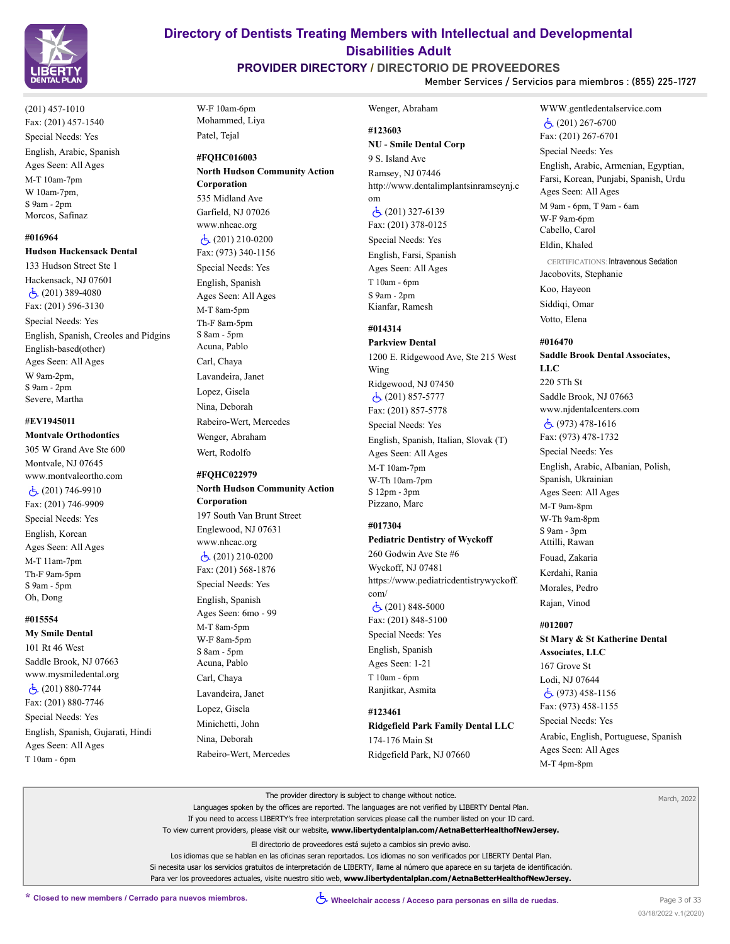

(201) 457-1010 Fax: (201) 457-1540 Special Needs: Yes English, Arabic, Spanish Ages Seen: All Ages M-T 10am-7pm W 10am-7pm, S 9am - 2pm Morcos, Safinaz

# **#016964**

**Hudson Hackensack Dental**

133 Hudson Street Ste 1 Hackensack, NJ 07601  $\dot{c}$  (201) 389-4080 Fax: (201) 596-3130 Special Needs: Yes English, Spanish, Creoles and Pidgins English-based(other) Ages Seen: All Ages W 9am-2pm, S 9am - 2pm Severe, Martha

### **#EV1945011 Montvale Orthodontics**

305 W Grand Ave Ste 600 Montvale, NJ 07645 www.montvaleortho.com (201) 746-9910 Fax: (201) 746-9909 Special Needs: Yes English, Korean Ages Seen: All Ages M-T 11am-7pm Th-F 9am-5pm S 9am - 5pm Oh, Dong

#### **#015554**

**My Smile Dental** 101 Rt 46 West Saddle Brook, NJ 07663 www.mysmiledental.org (201) 880-7744 Fax: (201) 880-7746 Special Needs: Yes English, Spanish, Gujarati, Hindi Ages Seen: All Ages T 10am - 6pm

W-F 10am-6pm Mohammed, Liya Patel, Tejal

**#FQHC016003 North Hudson Community Action Corporation** 535 Midland Ave Garfield, NJ 07026 www.nhcac.org  $\dot{c}$  (201) 210-0200 Fax: (973) 340-1156 Special Needs: Yes English, Spanish Ages Seen: All Ages M-T 8am-5pm Th-F 8am-5pm S 8am - 5pm Acuna, Pablo Carl, Chaya Lavandeira, Janet Lopez, Gisela Nina, Deborah Rabeiro-Wert, Mercedes Wenger, Abraham

#### **#FQHC022979 North Hudson Community Action**

Wert, Rodolfo

**Corporation** 197 South Van Brunt Street Englewood, NJ 07631 www.nhcac.org (201) 210-0200 Fax: (201) 568-1876 Special Needs: Yes English, Spanish Ages Seen: 6mo - 99 M-T 8am-5pm W-F 8am-5pm S 8am - 5pm Acuna, Pablo Carl, Chaya Lavandeira, Janet Lopez, Gisela Minichetti, John Nina, Deborah Rabeiro-Wert, Mercedes

# **Directory of Dentists Treating Members with Intellectual and Developmental Disabilities Adult**

# **PROVIDER DIRECTORY / DIRECTORIO DE PROVEEDORES**

**Member Services / Servicios para miembros : (855) 225-1727**

Wenger, Abraham

### **#123603 NU - Smile Dental Corp**

9 S. Island Ave Ramsey, NJ 07446 http://www.dentalimplantsinramseynj.c om

 (201) 327-6139 Fax: (201) 378-0125 Special Needs: Yes English, Farsi, Spanish Ages Seen: All Ages T 10am - 6pm S 9am - 2pm Kianfar, Ramesh

### **#014314**

# **Parkview Dental**

1200 E. Ridgewood Ave, Ste 215 West Wing Ridgewood, NJ 07450 (201) 857-5777 Fax: (201) 857-5778 Special Needs: Yes English, Spanish, Italian, Slovak (T) Ages Seen: All Ages M-T 10am-7pm W-Th 10am-7pm S 12pm - 3pm Pizzano, Marc

### **#017304**

# **Pediatric Dentistry of Wyckoff**

260 Godwin Ave Ste #6 Wyckoff, NJ 07481 https://www.pediatricdentistrywyckoff. com/  $\dot{c}$  (201) 848-5000 Fax: (201) 848-5100 Special Needs: Yes English, Spanish Ages Seen: 1-21

T 10am - 6pm Ranjitkar, Asmita

# **#123461**

**Ridgefield Park Family Dental LLC** 174-176 Main St Ridgefield Park, NJ 07660

### WWW.gentledentalservice.com  $\dot{c}$  (201) 267-6700 Fax: (201) 267-6701

Special Needs: Yes

English, Arabic, Armenian, Egyptian, Farsi, Korean, Punjabi, Spanish, Urdu Ages Seen: All Ages M 9am - 6pm, T 9am - 6am W-F 9am-6pm Cabello, Carol Eldin, Khaled

CERTIFICATIONS: Intravenous Sedation Jacobovits, Stephanie

Koo, Hayeon Siddiqi, Omar

Votto, Elena

#### **#016470**

**Saddle Brook Dental Associates, LLC** 220 5Th St Saddle Brook, NJ 07663 www.njdentalcenters.com (973) 478-1616

Fax: (973) 478-1732

Special Needs: Yes English, Arabic, Albanian, Polish, Spanish, Ukrainian Ages Seen: All Ages M-T 9am-8pm W-Th 9am-8pm S 9am - 3pm Attilli, Rawan Fouad, Zakaria Kerdahi, Rania Morales, Pedro Rajan, Vinod

#### **#012007**

**St Mary & St Katherine Dental Associates, LLC**

167 Grove St Lodi, NJ 07644 (973) 458-1156 Fax: (973) 458-1155 Special Needs: Yes

Arabic, English, Portuguese, Spanish Ages Seen: All Ages M-T 4pm-8pm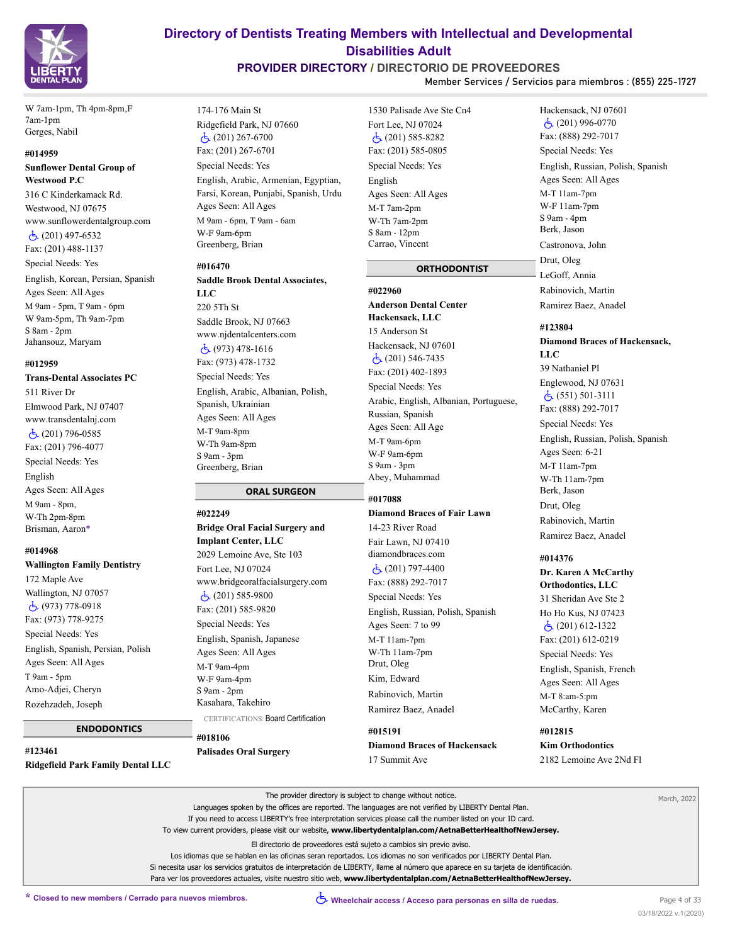

W 7am-1pm, Th 4pm-8pm,F 7am-1pm Gerges, Nabil

#### **#014959**

#### **Sunflower Dental Group of Westwood P.C**

316 C Kinderkamack Rd. Westwood, NJ 07675 www.sunflowerdentalgroup.com (201) 497-6532 Fax: (201) 488-1137 Special Needs: Yes English, Korean, Persian, Spanish Ages Seen: All Ages M 9am - 5pm, T 9am - 6pm W 9am-5pm, Th 9am-7pm S 8am - 2pm Jahansouz, Maryam

#### **#012959**

**Trans-Dental Associates PC** 511 River Dr Elmwood Park, NJ 07407 www.transdentalnj.com (201) 796-0585 Fax: (201) 796-4077 Special Needs: Yes English Ages Seen: All Ages M 9am - 8pm, W-Th 2pm-8pm

# **#014968**

Brisman, Aaron\*

**Wallington Family Dentistry**

172 Maple Ave Wallington, NJ 07057 (973) 778-0918 Fax: (973) 778-9275 Special Needs: Yes English, Spanish, Persian, Polish Ages Seen: All Ages T 9am - 5pm Amo-Adjei, Cheryn Rozehzadeh, Joseph

#### **ENDODONTICS**

**#123461 Ridgefield Park Family Dental LLC**

# **Directory of Dentists Treating Members with Intellectual and Developmental Disabilities Adult**

# **PROVIDER DIRECTORY / DIRECTORIO DE PROVEEDORES**

**Member Services / Servicios para miembros : (855) 225-1727**

174-176 Main St Ridgefield Park, NJ 07660 (201) 267-6700 Fax: (201) 267-6701 Special Needs: Yes English, Arabic, Armenian, Egyptian, Farsi, Korean, Punjabi, Spanish, Urdu Ages Seen: All Ages M 9am - 6pm, T 9am - 6am W-F 9am-6pm Greenberg, Brian

#### **#016470**

**#022249**

**Saddle Brook Dental Associates, LLC** 220 5Th St Saddle Brook, NJ 07663 www.njdentalcenters.com

 (973) 478-1616 Fax: (973) 478-1732 Special Needs: Yes English, Arabic, Albanian, Polish, Spanish, Ukrainian Ages Seen: All Ages M-T 9am-8pm W-Th 9am-8pm S 9am - 3pm Greenberg, Brian

# **ORAL SURGEON**

**Bridge Oral Facial Surgery and Implant Center, LLC** 2029 Lemoine Ave, Ste 103 Fort Lee, NJ 07024 www.bridgeoralfacialsurgery.com  $\dot{c}$  (201) 585-9800 Fax: (201) 585-9820 Special Needs: Yes English, Spanish, Japanese Ages Seen: All Ages M-T 9am-4pm W-F 9am-4pm S 9am - 2pm Kasahara, Takehiro CERTIFICATIONS: Board Certification

**#018106 Palisades Oral Surgery**

1530 Palisade Ave Ste Cn4 Fort Lee, NJ 07024 (201) 585-8282 Fax: (201) 585-0805 Special Needs: Yes English Ages Seen: All Ages M-T 7am-2pm W-Th 7am-2pm S 8am - 12pm Carrao, Vincent

### **ORTHODONTIST**

#### **#022960**

**Anderson Dental Center Hackensack, LLC** 15 Anderson St Hackensack, NJ 07601 (201) 546-7435 Fax: (201) 402-1893 Special Needs: Yes Arabic, English, Albanian, Portuguese, Russian, Spanish Ages Seen: All Age M-T 9am-6pm W-F 9am-6pm S 9am - 3pm Abey, Muhammad

#### **#017088**

# **Diamond Braces of Fair Lawn** 14-23 River Road Fair Lawn, NJ 07410 diamondbraces.com (201) 797-4400 Fax: (888) 292-7017 Special Needs: Yes English, Russian, Polish, Spanish Ages Seen: 7 to 99 M-T 11am-7pm W-Th 11am-7pm Drut, Oleg Kim, Edward Rabinovich, Martin Ramirez Baez, Anadel

**#015191 Diamond Braces of Hackensack** 17 Summit Ave

Hackensack, NJ 07601  $\dot{c}$  (201) 996-0770 Fax: (888) 292-7017 Special Needs: Yes English, Russian, Polish, Spanish Ages Seen: All Ages M-T 11am-7pm W-F 11am-7pm S 9am - 4pm Berk, Jason Castronova, John Drut, Oleg LeGoff, Annia Rabinovich, Martin Ramirez Baez, Anadel

# **#123804**

**Diamond Braces of Hackensack, LLC** 39 Nathaniel Pl Englewood, NJ 07631  $\dot{c}$  (551) 501-3111 Fax: (888) 292-7017 Special Needs: Yes English, Russian, Polish, Spanish Ages Seen: 6-21 M-T 11am-7pm W-Th 11am-7pm Berk, Jason Drut, Oleg Rabinovich, Martin Ramirez Baez, Anadel

# **#014376**

**Dr. Karen A McCarthy Orthodontics, LLC** 31 Sheridan Ave Ste 2 Ho Ho Kus, NJ 07423 (201) 612-1322 Fax: (201) 612-0219 Special Needs: Yes English, Spanish, French Ages Seen: All Ages M-T 8:am-5:pm McCarthy, Karen

**#012815 Kim Orthodontics** 2182 Lemoine Ave 2Nd Fl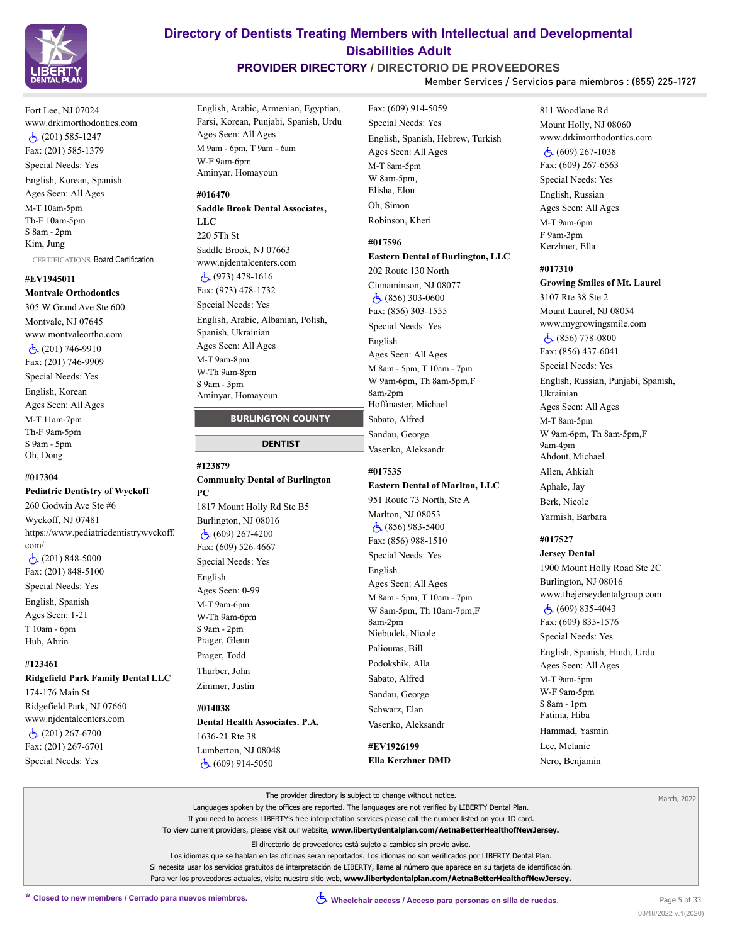

Fort Lee, NJ 07024 www.drkimorthodontics.com (201) 585-1247 Fax: (201) 585-1379 Special Needs: Yes English, Korean, Spanish Ages Seen: All Ages M-T 10am-5pm Th-F 10am-5pm S 8am - 2pm Kim, Jung

CERTIFICATIONS: Board Certification

### **#EV1945011 Montvale Orthodontics**

305 W Grand Ave Ste 600 Montvale, NJ 07645 www.montvaleortho.com (201) 746-9910 Fax: (201) 746-9909 Special Needs: Yes English, Korean Ages Seen: All Ages M-T 11am-7pm Th-F 9am-5pm S 9am - 5pm Oh, Dong

# **#017304**

**Pediatric Dentistry of Wyckoff**

260 Godwin Ave Ste #6 Wyckoff, NJ 07481 https://www.pediatricdentistrywyckoff. com/ (201) 848-5000 Fax: (201) 848-5100 Special Needs: Yes English, Spanish Ages Seen: 1-21 T 10am - 6pm Huh, Ahrin

# **#123461**

#### **Ridgefield Park Family Dental LLC**

174-176 Main St Ridgefield Park, NJ 07660 www.njdentalcenters.com  $\dot{c}$  (201) 267-6700 Fax: (201) 267-6701 Special Needs: Yes

# **Directory of Dentists Treating Members with Intellectual and Developmental Disabilities Adult**

# **PROVIDER DIRECTORY / DIRECTORIO DE PROVEEDORES**

**Member Services / Servicios para miembros : (855) 225-1727**

English, Arabic, Armenian, Egyptian, Farsi, Korean, Punjabi, Spanish, Urdu Ages Seen: All Ages M 9am - 6pm, T 9am - 6am W-F 9am-6pm Aminyar, Homayoun

#### **#016470**

**Saddle Brook Dental Associates, LLC** 220 5Th St Saddle Brook, NJ 07663 www.njdentalcenters.com (973) 478-1616 Fax: (973) 478-1732 Special Needs: Yes English, Arabic, Albanian, Polish, Spanish, Ukrainian Ages Seen: All Ages M-T 9am-8pm W-Th 9am-8pm S 9am - 3pm Aminyar, Homayoun

### **BURLINGTON COUNTY**

#### **DENTIST**

### **#123879 Community Dental of Burlington**

**PC** 1817 Mount Holly Rd Ste B5 Burlington, NJ 08016 (609) 267-4200 Fax: (609) 526-4667 Special Needs: Yes English Ages Seen: 0-99 M-T 9am-6pm W-Th 9am-6pm S 9am - 2pm Prager, Glenn Prager, Todd Thurber, John Zimmer, Justin

#### **#014038 Dental Health Associates. P.A.**

1636-21 Rte 38 Lumberton, NJ 08048

(609) 914-5050

Fax: (609) 914-5059 Special Needs: Yes English, Spanish, Hebrew, Turkish Ages Seen: All Ages M-T 8am-5pm W 8am-5pm, Elisha, Elon Oh, Simon Robinson, Kheri

# **#017596**

**Eastern Dental of Burlington, LLC** 202 Route 130 North Cinnaminson, NJ 08077 (856) 303-0600 Fax: (856) 303-1555 Special Needs: Yes English Ages Seen: All Ages M 8am - 5pm, T 10am - 7pm W 9am-6pm, Th 8am-5pm,F 8am-2pm Hoffmaster, Michael Sabato, Alfred Sandau, George Vasenko, Aleksandr

#### **#017535**

**Eastern Dental of Marlton, LLC** 951 Route 73 North, Ste A Marlton, NJ 08053 (856) 983-5400 Fax: (856) 988-1510 Special Needs: Yes English Ages Seen: All Ages M 8am - 5pm, T 10am - 7pm W 8am-5pm, Th 10am-7pm,F 8am-2pm Niebudek, Nicole Paliouras, Bill Podokshik, Alla Sabato, Alfred Sandau, George Schwarz, Elan Vasenko, Aleksandr

# **#EV1926199 Ella Kerzhner DMD**

811 Woodlane Rd Mount Holly, NJ 08060 www.drkimorthodontics.com  $\dot{c}$  (609) 267-1038 Fax: (609) 267-6563 Special Needs: Yes English, Russian Ages Seen: All Ages M-T 9am-6pm F 9am-3pm Kerzhner, Ella

#### **#017310**

**Growing Smiles of Mt. Laurel** 3107 Rte 38 Ste 2 Mount Laurel, NJ 08054 www.mygrowingsmile.com (856) 778-0800 Fax: (856) 437-6041 Special Needs: Yes English, Russian, Punjabi, Spanish, Ukrainian Ages Seen: All Ages M-T 8am-5pm W 9am-6pm, Th 8am-5pm,F  $9$ am- $4$ nm Ahdout, Michael Allen, Ahkiah Aphale, Jay Berk, Nicole Yarmish, Barbara

### **#017527**

**Jersey Dental** 1900 Mount Holly Road Ste 2C Burlington, NJ 08016 www.thejerseydentalgroup.com (609) 835-4043 Fax: (609) 835-1576 Special Needs: Yes English, Spanish, Hindi, Urdu Ages Seen: All Ages M-T 9am-5pm W-F 9am-5pm S 8am - 1pm Fatima, Hiba Hammad, Yasmin Lee, Melanie Nero, Benjamin

| The provider directory is subject to change without notice.<br>Languages spoken by the offices are reported. The languages are not verified by LIBERTY Dental Plan.<br>If you need to access LIBERTY's free interpretation services please call the number listed on your ID card.<br>To view current providers, please visit our website, www.libertydentalplan.com/AetnaBetterHealthofNewJersey.                                                         | March, 2022 |
|------------------------------------------------------------------------------------------------------------------------------------------------------------------------------------------------------------------------------------------------------------------------------------------------------------------------------------------------------------------------------------------------------------------------------------------------------------|-------------|
| El directorio de proveedores está sujeto a cambios sin previo aviso.<br>Los idiomas que se hablan en las oficinas seran reportados. Los idiomas no son verificados por LIBERTY Dental Plan.<br>Si necesita usar los servicios gratuitos de interpretación de LIBERTY, llame al número que aparece en su tarieta de identificación.<br>Para ver los proveedores actuales, visite nuestro sitio web, www.libertydentalplan.com/AetnaBetterHealthofNewJersey. |             |
|                                                                                                                                                                                                                                                                                                                                                                                                                                                            |             |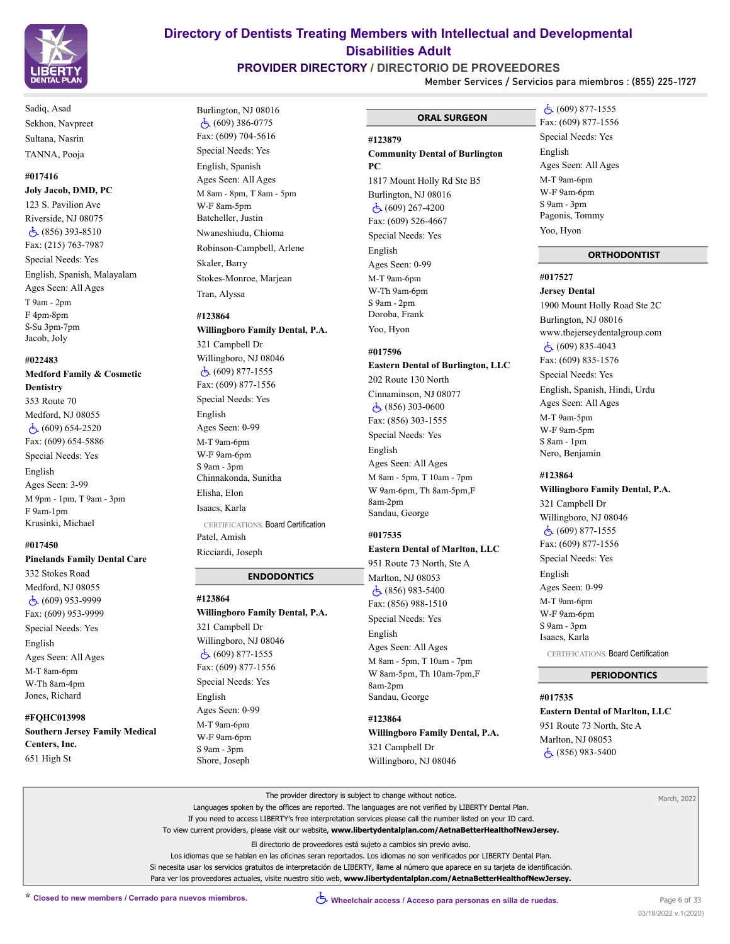

Sadiq, Asad Sekhon, Navpreet Sultana, Nasrin TANNA, Pooja

### **#017416 Joly Jacob, DMD, PC**

123 S. Pavilion Ave Riverside, NJ 08075  $\dot{c}$  (856) 393-8510 Fax: (215) 763-7987 Special Needs: Yes English, Spanish, Malayalam Ages Seen: All Ages T 9am - 2pm F 4pm-8pm S-Su 3pm-7pm Jacob, Joly

### **#022483**

**Medford Family & Cosmetic Dentistry** 353 Route 70 Medford, NJ 08055 (609) 654-2520 Fax: (609) 654-5886 Special Needs: Yes English Ages Seen: 3-99 M 9pm - 1pm, T 9am - 3pm F 9am-1pm Krusinki, Michael

#### **#017450**

**Pinelands Family Dental Care**

332 Stokes Road Medford, NJ 08055  $\dot{c}$ , (609) 953-9999 Fax: (609) 953-9999 Special Needs: Yes English Ages Seen: All Ages M-T 8am-6pm W-Th 8am-4pm Jones, Richard

#### **#FQHC013998**

**Southern Jersey Family Medical Centers, Inc.** 651 High St

# **Directory of Dentists Treating Members with Intellectual and Developmental Disabilities Adult**

# **PROVIDER DIRECTORY / DIRECTORIO DE PROVEEDORES**

Burlington, NJ 08016  $\dot{c}$  (609) 386-0775 Fax: (609) 704-5616 Special Needs: Yes English, Spanish Ages Seen: All Ages M 8am - 8pm, T 8am - 5pm

W-F 8am-5pm Batcheller, Justin Nwaneshiudu, Chioma Robinson-Campbell, Arlene

Skaler, Barry

Tran, Alyssa **#123864**

321 Campbell Dr Willingboro, NJ 08046 (609) 877-1555 Fax: (609) 877-1556 Special Needs: Yes

English Ages Seen: 0-99 M-T 9am-6pm W-F 9am-6pm S 9am - 3pm Chinnakonda, Sunitha Elisha, Elon Isaacs, Karla

Patel, Amish Ricciardi, Joseph

**#123864**

English Ages Seen: 0-99 M-T 9am-6pm W-F 9am-6pm S 9am - 3pm Shore, Joseph

321 Campbell Dr Willingboro, NJ 08046 (609) 877-1555 Fax: (609) 877-1556 Special Needs: Yes

Stokes-Monroe, Marjean

**Willingboro Family Dental, P.A.**

CERTIFICATIONS: Board Certification

**Willingboro Family Dental, P.A.**

 **ENDODONTICS**

**Member Services / Servicios para miembros : (855) 225-1727**

 **ORAL SURGEON**

# **#123879 Community Dental of Burlington PC**

1817 Mount Holly Rd Ste B5 Burlington, NJ 08016 (609) 267-4200 Fax: (609) 526-4667 Special Needs: Yes English Ages Seen: 0-99 M-T 9am-6pm W-Th 9am-6pm S 9am - 2pm Doroba, Frank Yoo, Hyon

#### **#017596**

### **Eastern Dental of Burlington, LLC** 202 Route 130 North

Cinnaminson, NJ 08077 (856) 303-0600 Fax: (856) 303-1555 Special Needs: Yes English Ages Seen: All Ages M 8am - 5pm, T 10am - 7pm W 9am-6pm, Th 8am-5pm,F 8am-2pm Sandau, George

# **#017535**

#### **Eastern Dental of Marlton, LLC** 951 Route 73 North, Ste A

Marlton, NJ 08053 (856) 983-5400 Fax: (856) 988-1510 Special Needs: Yes English Ages Seen: All Ages M 8am - 5pm, T 10am - 7pm W 8am-5pm, Th 10am-7pm,F 8am-2pm Sandau, George

**#123864 Willingboro Family Dental, P.A.** 321 Campbell Dr Willingboro, NJ 08046

 (609) 877-1555 Fax: (609) 877-1556 Special Needs: Yes English Ages Seen: All Ages M-T 9am-6pm W-F 9am-6pm S 9am - 3pm Pagonis, Tommy Yoo, Hyon

# **ORTHODONTIST**

**#017527**

**Jersey Dental** 1900 Mount Holly Road Ste 2C Burlington, NJ 08016 www.thejerseydentalgroup.com  $\dot{c}$  (609) 835-4043 Fax: (609) 835-1576 Special Needs: Yes English, Spanish, Hindi, Urdu Ages Seen: All Ages M-T 9am-5pm W-F 9am-5pm S 8am - 1pm Nero, Benjamin

### **#123864**

**Willingboro Family Dental, P.A.** 321 Campbell Dr Willingboro, NJ 08046 (609) 877-1555 Fax: (609) 877-1556 Special Needs: Yes English Ages Seen: 0-99 M-T 9am-6pm W-F 9am-6pm S 9am - 3pm Isaacs, Karla CERTIFICATIONS: Board Certification

#### **PERIODONTICS**

#### **#017535**

**Eastern Dental of Marlton, LLC** 951 Route 73 North, Ste A

Marlton, NJ 08053 (856) 983-5400

| The provider directory is subject to change without notice.                                                                         | March, 2022 |
|-------------------------------------------------------------------------------------------------------------------------------------|-------------|
| Languages spoken by the offices are reported. The languages are not verified by LIBERTY Dental Plan.                                |             |
| If you need to access LIBERTY's free interpretation services please call the number listed on your ID card.                         |             |
| To view current providers, please visit our website, www.libertydentalplan.com/AetnaBetterHealthofNewJersey.                        |             |
| El directorio de proveedores está sujeto a cambios sin previo aviso.                                                                |             |
| Los idiomas que se hablan en las oficinas seran reportados. Los idiomas no son verificados por LIBERTY Dental Plan.                 |             |
| Si necesita usar los servicios gratuitos de interpretación de LIBERTY, llame al número que aparece en su tarieta de identificación. |             |
| Para ver los proveedores actuales, visite nuestro sitio web, www.libertydentalplan.com/AetnaBetterHealthofNewJersey.                |             |
|                                                                                                                                     |             |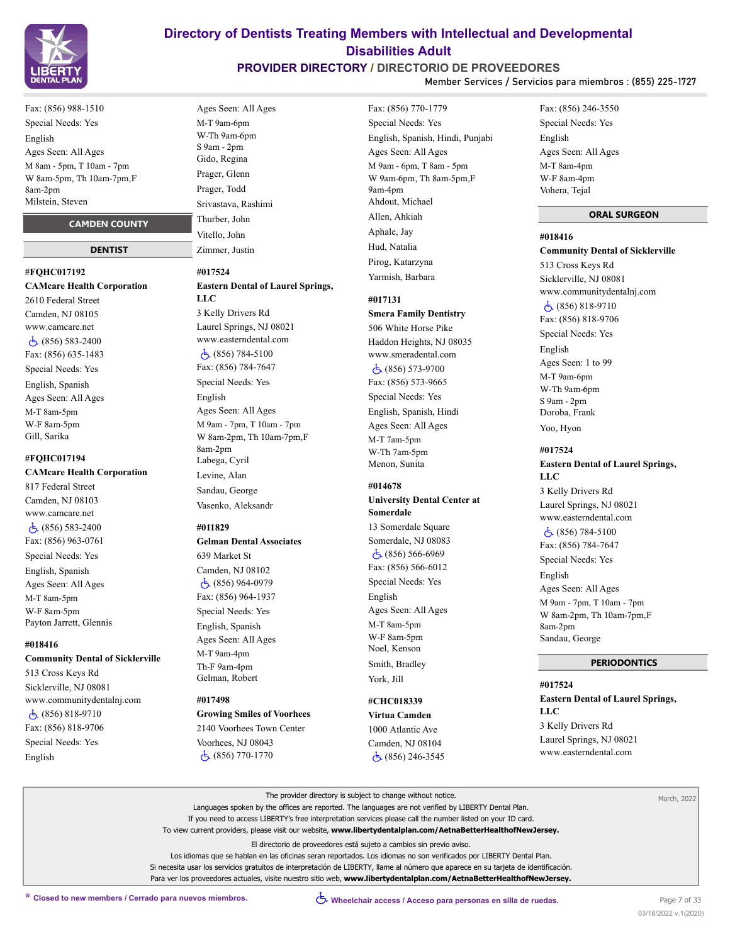

# **PROVIDER DIRECTORY / DIRECTORIO DE PROVEEDORES**

Fax: (856) 770-1779

**Member Services / Servicios para miembros : (855) 225-1727**

Fax: (856) 988-1510 Special Needs: Yes English Ages Seen: All Ages M 8am - 5pm, T 10am - 7pm W 8am-5pm, Th 10am-7pm,F 8am-2pm Milstein, Steven

#### **CAMDEN COUNTY**

#### **DENTIST**

# **#FQHC017192 CAMcare Health Corporation** 2610 Federal Street

Camden, NJ 08105 www.camcare.net (856) 583-2400 Fax: (856) 635-1483 Special Needs: Yes English, Spanish Ages Seen: All Ages M-T 8am-5pm W-F 8am-5pm Gill, Sarika

#### **#FQHC017194**

**CAMcare Health Corporation** 817 Federal Street Camden, NJ 08103 www.camcare.net (856) 583-2400 Fax: (856) 963-0761 Special Needs: Yes English, Spanish Ages Seen: All Ages M-T 8am-5pm W-F 8am-5pm Payton Jarrett, Glennis

#### **#018416**

#### **Community Dental of Sicklerville**

513 Cross Keys Rd Sicklerville, NJ 08081 www.communitydentalnj.com  $\dot{c}$  (856) 818-9710 Fax: (856) 818-9706 Special Needs: Yes English

Ages Seen: All Ages M-T 9am-6pm W-Th 9am-6pm S 9am - 2pm Gido, Regina Prager, Glenn Prager, Todd Srivastava, Rashimi Thurber, John Vitello, John Zimmer, Justin

#### **#017524**

# **Eastern Dental of Laurel Springs,**

**LLC** 3 Kelly Drivers Rd Laurel Springs, NJ 08021 www.easterndental.com (856) 784-5100 Fax: (856) 784-7647 Special Needs: Yes English Ages Seen: All Ages M 9am - 7pm, T 10am - 7pm W 8am-2pm, Th 10am-7pm,F 8am-2pm Labega, Cyril Levine, Alan Sandau, George

#### **#011829**

**Gelman Dental Associates** 639 Market St Camden, NJ 08102 (856) 964-0979 Fax: (856) 964-1937

Vasenko, Aleksandr

Special Needs: Yes English, Spanish Ages Seen: All Ages M-T 9am-4pm Th-F 9am-4pm Gelman, Robert

#### **#017498**

**Growing Smiles of Voorhees** 2140 Voorhees Town Center Voorhees, NJ 08043

(856) 770-1770

Special Needs: Yes English, Spanish, Hindi, Punjabi Ages Seen: All Ages M 9am - 6pm, T 8am - 5pm W 9am-6pm, Th 8am-5pm,F 9am-4pm Ahdout, Michael Allen, Ahkiah Aphale, Jay Hud, Natalia Pirog, Katarzyna Yarmish, Barbara

#### **#017131**

**Smera Family Dentistry** 506 White Horse Pike Haddon Heights, NJ 08035 www.smeradental.com (856) 573-9700 Fax: (856) 573-9665 Special Needs: Yes English, Spanish, Hindi Ages Seen: All Ages M-T 7am-5pm W-Th 7am-5pm Menon, Sunita

# **#014678**

**University Dental Center at Somerdale** 13 Somerdale Square Somerdale, NJ 08083 (856) 566-6969 Fax: (856) 566-6012 Special Needs: Yes English Ages Seen: All Ages M-T 8am-5pm W-F 8am-5pm Noel, Kenson Smith, Bradley York, Jill

# **#CHC018339**

**Virtua Camden**

1000 Atlantic Ave Camden, NJ 08104 (856) 246-3545 Fax: (856) 246-3550 Special Needs: Yes English Ages Seen: All Ages M-T 8am-4pm W-F 8am-4pm Vohera, Tejal

#### **ORAL SURGEON**

#### **#018416**

**Community Dental of Sicklerville** 513 Cross Keys Rd Sicklerville, NJ 08081 www.communitydentalnj.com (856) 818-9710 Fax: (856) 818-9706 Special Needs: Yes English Ages Seen: 1 to 99 M-T 9am-6pm W-Th 9am-6pm S 9am - 2pm Doroba, Frank Yoo, Hyon

#### **#017524**

**Eastern Dental of Laurel Springs, LLC** 3 Kelly Drivers Rd Laurel Springs, NJ 08021 www.easterndental.com (856) 784-5100 Fax: (856) 784-7647 Special Needs: Yes English Ages Seen: All Ages M 9am - 7pm, T 10am - 7pm W 8am-2pm, Th 10am-7pm,F 8am-2pm Sandau, George

### **PERIODONTICS**

**#017524 Eastern Dental of Laurel Springs, LLC** 3 Kelly Drivers Rd Laurel Springs, NJ 08021 www.easterndental.com

|                                                         | The provider directory is subject to change without notice.                                                                         | March, 2022  |
|---------------------------------------------------------|-------------------------------------------------------------------------------------------------------------------------------------|--------------|
|                                                         | Languages spoken by the offices are reported. The languages are not verified by LIBERTY Dental Plan.                                |              |
|                                                         | If you need to access LIBERTY's free interpretation services please call the number listed on your ID card.                         |              |
|                                                         | To view current providers, please visit our website, www.libertydentalplan.com/AetnaBetterHealthofNewJersey.                        |              |
|                                                         | El directorio de proveedores está sujeto a cambios sin previo aviso.                                                                |              |
|                                                         | Los idiomas que se hablan en las oficinas seran reportados. Los idiomas no son verificados por LIBERTY Dental Plan.                 |              |
|                                                         | Si necesita usar los servicios gratuitos de interpretación de LIBERTY, llame al número que aparece en su tarjeta de identificación. |              |
|                                                         | Para ver los proveedores actuales, visite nuestro sitio web, www.libertydentalplan.com/AetnaBetterHealthofNewJersey.                |              |
| * Closed to new members / Cerrado para nuevos miembros. | (5) Wheelchair access / Acceso para personas en silla de ruedas.                                                                    | Page 7 of 33 |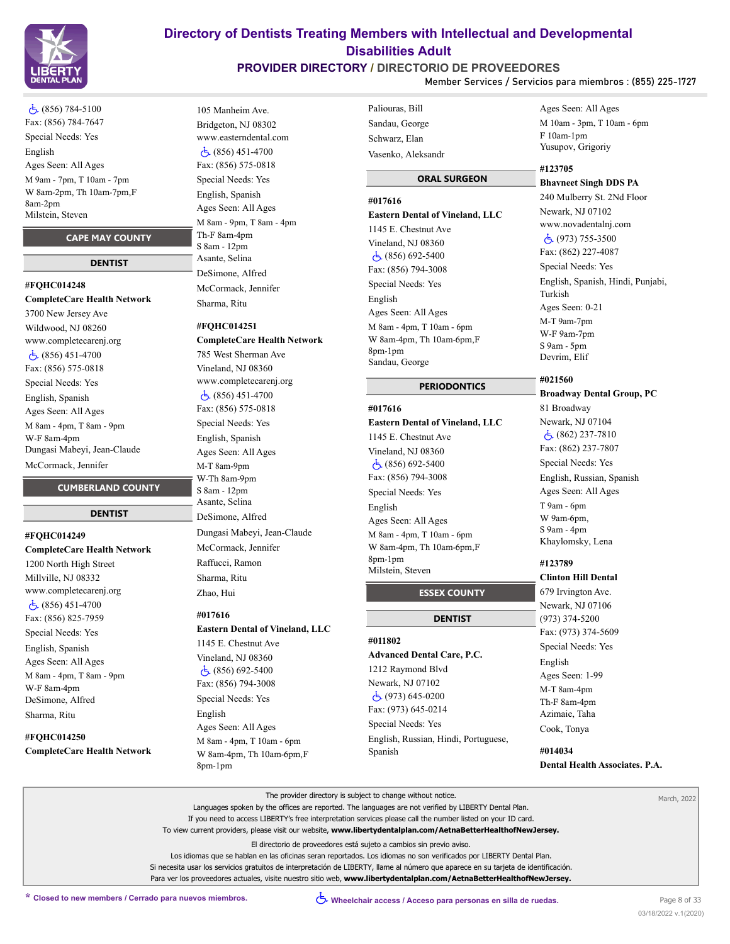

 (856) 784-5100 Fax: (856) 784-7647 Special Needs: Yes English Ages Seen: All Ages M 9am - 7pm, T 10am - 7pm W 8am-2pm, Th 10am-7pm,F 8am-2pm Milstein, Steven

#### **CAPE MAY COUNTY**

#### **DENTIST**

#### **#FQHC014248**

**CompleteCare Health Network** 3700 New Jersey Ave Wildwood, NJ 08260 www.completecarenj.org (856) 451-4700 Fax: (856) 575-0818 Special Needs: Yes English, Spanish Ages Seen: All Ages M 8am - 4pm, T 8am - 9pm W-F 8am-4pm Dungasi Mabeyi, Jean-Claude McCormack, Jennifer

#### **CUMBERLAND COUNTY**

### **DENTIST**

**#FQHC014249 CompleteCare Health Network** 1200 North High Street Millville, NJ 08332 www.completecarenj.org (856) 451-4700 Fax: (856) 825-7959 Special Needs: Yes English, Spanish Ages Seen: All Ages M 8am - 4pm, T 8am - 9pm W-F 8am-4pm DeSimone, Alfred Sharma, Ritu

# **#FQHC014250**

**CompleteCare Health Network**

# 105 Manheim Ave. Bridgeton, NJ 08302 www.easterndental.com (856) 451-4700 Fax: (856) 575-0818 Special Needs: Yes English, Spanish Ages Seen: All Ages M 8am - 9pm, T 8am - 4pm Th-F 8am-4pm S 8am - 12pm Asante, Selina DeSimone, Alfred McCormack, Jennifer Sharma, Ritu

#### **#FQHC014251**

**CompleteCare Health Network** 785 West Sherman Ave Vineland, NJ 08360 www.completecarenj.org (856) 451-4700 Fax: (856) 575-0818 Special Needs: Yes English, Spanish Ages Seen: All Ages M-T 8am-9pm W-Th 8am-9pm S 8am - 12pm Asante, Selina DeSimone, Alfred Dungasi Mabeyi, Jean-Claude McCormack, Jennifer Raffucci, Ramon Sharma, Ritu Zhao, Hui

### **#017616**

# **Eastern Dental of Vineland, LLC**

1145 E. Chestnut Ave Vineland, NJ 08360 (856) 692-5400 Fax: (856) 794-3008 Special Needs: Yes English Ages Seen: All Ages M 8am - 4pm, T 10am - 6pm W 8am-4pm, Th 10am-6pm,F 8pm-1pm

# Paliouras, Bill Sandau, George Schwarz, Elan Vasenko, Aleksandr

#### **ORAL SURGEON**

### **#017616**

**Eastern Dental of Vineland, LLC** 1145 E. Chestnut Ave Vineland, NJ 08360 (856) 692-5400 Fax: (856) 794-3008 Special Needs: Yes English Ages Seen: All Ages M 8am - 4pm, T 10am - 6pm W 8am-4pm, Th 10am-6pm,F 8pm-1pm Sandau, George

#### **PERIODONTICS**

#### **#017616**

# **Eastern Dental of Vineland, LLC** 1145 E. Chestnut Ave Vineland, NJ 08360

 (856) 692-5400 Fax: (856) 794-3008 Special Needs: Yes English Ages Seen: All Ages M 8am - 4pm, T 10am - 6pm W 8am-4pm, Th 10am-6pm,F 8pm-1pm Milstein, Steven

#### **ESSEX COUNTY**

# **DENTIST**

**#011802 Advanced Dental Care, P.C.** 1212 Raymond Blvd Newark, NJ 07102 (973) 645-0200 Fax: (973) 645-0214 Special Needs: Yes English, Russian, Hindi, Portuguese, Spanish

#### Ages Seen: All Ages M 10am - 3pm, T 10am - 6pm F 10am-1pm Yusupov, Grigoriy

#### **#123705 Bhavneet Singh DDS PA**

240 Mulberry St. 2Nd Floor Newark, NJ 07102 www.novadentalnj.com (973) 755-3500 Fax: (862) 227-4087 Special Needs: Yes English, Spanish, Hindi, Punjabi, Turkish Ages Seen: 0-21 M-T 9am-7pm W-F 9am-7pm S 9am - 5pm Devrim, Elif

#### **#021560**

**Broadway Dental Group, PC** 81 Broadway Newark, NJ 07104 (862) 237-7810 Fax: (862) 237-7807 Special Needs: Yes English, Russian, Spanish Ages Seen: All Ages T 9am - 6pm W 9am-6pm, S 9am - 4pm Khaylomsky, Lena

#### **#123789 Clinton Hill Dental**

679 Irvington Ave. Newark, NJ 07106 (973) 374-5200 Fax: (973) 374-5609 Special Needs: Yes English Ages Seen: 1-99 M-T 8am-4pm Th-F 8am-4pm Azimaie, Taha Cook, Tonya

## **#014034 Dental Health Associates. P.A.**

The provider directory is subject to change without notice. Languages spoken by the offices are reported. The languages are not verified by LIBERTY Dental Plan. If you need to access LIBERTY's free interpretation services please call the number listed on your ID card. To view current providers, please visit our website, **www.libertydentalplan.com/AetnaBetterHealthofNewJersey.** El directorio de proveedores está sujeto a cambios sin previo aviso. Los idiomas que se hablan en las oficinas seran reportados. Los idiomas no son verificados por LIBERTY Dental Plan. Si necesita usar los servicios gratuitos de interpretación de LIBERTY, llame al número que aparece en su tarjeta de identificación. Para ver los proveedores actuales, visite nuestro sitio web, **www.libertydentalplan.com/AetnaBetterHealthofNewJersey.** March, 2022

# **Directory of Dentists Treating Members with Intellectual and Developmental Disabilities Adult**

#### **PROVIDER DIRECTORY / DIRECTORIO DE PROVEEDORES Member Services / Servicios para miembros : (855) 225-1727**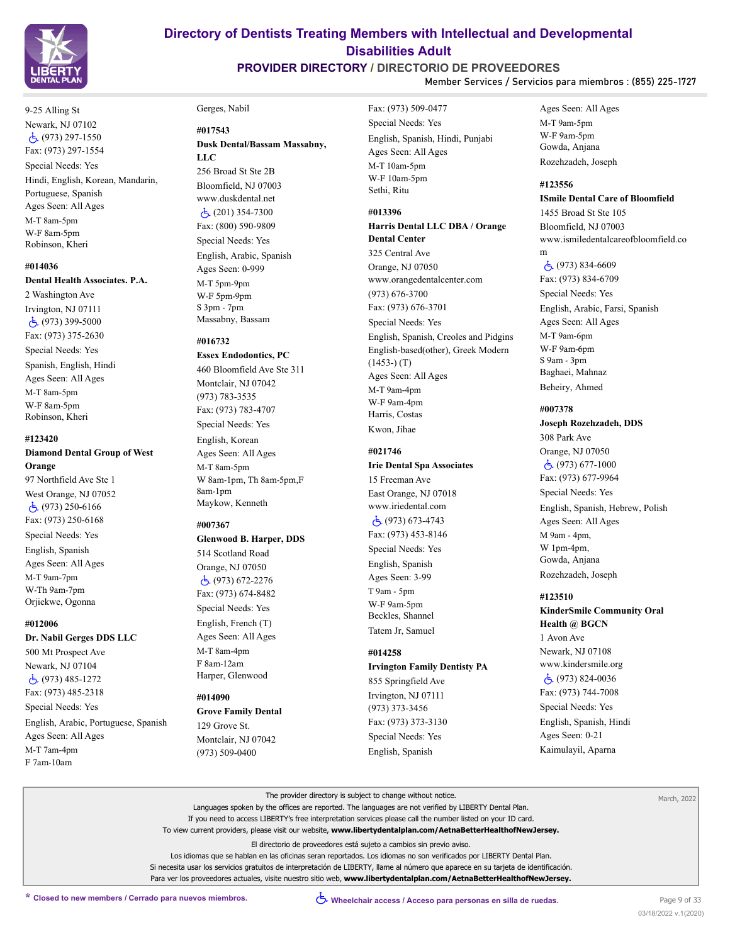

# **PROVIDER DIRECTORY / DIRECTORIO DE PROVEEDORES**

**Member Services / Servicios para miembros : (855) 225-1727**

9-25 Alling St Newark, NJ 07102 (973) 297-1550 Fax: (973) 297-1554

Special Needs: Yes Hindi, English, Korean, Mandarin, Portuguese, Spanish Ages Seen: All Ages M-T 8am-5pm W-F 8am-5pm Robinson, Kheri

#### **#014036**

#### **Dental Health Associates. P.A.**

2 Washington Ave Irvington, NJ 07111 (973) 399-5000 Fax: (973) 375-2630 Special Needs: Yes Spanish, English, Hindi Ages Seen: All Ages M-T 8am-5pm W-F 8am-5pm Robinson, Kheri

#### **#123420**

**Diamond Dental Group of West Orange**

97 Northfield Ave Ste 1 West Orange, NJ 07052  $\dot{c}$  (973) 250-6166 Fax: (973) 250-6168 Special Needs: Yes English, Spanish Ages Seen: All Ages M-T 9am-7pm W-Th 9am-7pm Orjiekwe, Ogonna

#### **#012006**

#### **Dr. Nabil Gerges DDS LLC**

500 Mt Prospect Ave Newark, NJ 07104 (973) 485-1272 Fax: (973) 485-2318

Special Needs: Yes English, Arabic, Portuguese, Spanish Ages Seen: All Ages

M-T 7am-4pm F 7am-10am

#### Gerges, Nabil

#### **#017543**

**Dusk Dental/Bassam Massabny, LLC** 256 Broad St Ste 2B

Bloomfield, NJ 07003 www.duskdental.net  $\dot{c}$  (201) 354-7300 Fax: (800) 590-9809 Special Needs: Yes English, Arabic, Spanish Ages Seen: 0-999 M-T 5pm-9pm W-F 5pm-9pm S 3pm - 7pm Massabny, Bassam

#### **#016732**

**Essex Endodontics, PC** 460 Bloomfield Ave Ste 311 Montclair, NJ 07042 (973) 783-3535 Fax: (973) 783-4707 Special Needs: Yes English, Korean Ages Seen: All Ages M-T 8am-5pm W 8am-1pm, Th 8am-5pm,F 8am-1pm

# Maykow, Kenneth

#### **#007367**

### **Glenwood B. Harper, DDS**

514 Scotland Road Orange, NJ 07050 (973) 672-2276 Fax: (973) 674-8482 Special Needs: Yes English, French (T) Ages Seen: All Ages M-T 8am-4pm F 8am-12am Harper, Glenwood

#### **#014090**

**Grove Family Dental** 129 Grove St. Montclair, NJ 07042 (973) 509-0400

Fax: (973) 509-0477 Special Needs: Yes English, Spanish, Hindi, Punjabi Ages Seen: All Ages M-T 10am-5pm W-F 10am-5pm Sethi, Ritu

### **#013396**

#### **Harris Dental LLC DBA / Orange Dental Center**

325 Central Ave Orange, NJ 07050 www.orangedentalcenter.com (973) 676-3700 Fax: (973) 676-3701 Special Needs: Yes English, Spanish, Creoles and Pidgins English-based(other), Greek Modern (1453-) (T) Ages Seen: All Ages M-T 9am-4pm W-F 9am-4pm Harris, Costas Kwon, Jihae

#### **#021746**

**Irie Dental Spa Associates** 15 Freeman Ave East Orange, NJ 07018 www.iriedental.com (973) 673-4743 Fax: (973) 453-8146 Special Needs: Yes English, Spanish Ages Seen: 3-99 T 9am - 5pm W-F 9am-5pm Beckles, Shannel

#### **#014258**

Tatem Jr, Samuel

Special Needs: Yes English, Spanish

**Irvington Family Dentisty PA** 855 Springfield Ave Irvington, NJ 07111 (973) 373-3456 Fax: (973) 373-3130

Ages Seen: All Ages M-T 9am-5pm W-F 9am-5pm Gowda, Anjana Rozehzadeh, Joseph

### **#123556 ISmile Dental Care of Bloomfield**

1455 Broad St Ste 105 Bloomfield, NJ 07003 www.ismiledentalcareofbloomfield.co m

 (973) 834-6609 Fax: (973) 834-6709 Special Needs: Yes English, Arabic, Farsi, Spanish Ages Seen: All Ages M-T 9am-6pm W-F 9am-6pm S 9am - 3pm Baghaei, Mahnaz Beheiry, Ahmed

#### **#007378**

**Joseph Rozehzadeh, DDS** 308 Park Ave Orange, NJ 07050 (973) 677-1000 Fax: (973) 677-9964 Special Needs: Yes English, Spanish, Hebrew, Polish Ages Seen: All Ages M 9am - 4pm, W 1pm-4pm, Gowda, Anjana Rozehzadeh, Joseph

#### **#123510**

**KinderSmile Community Oral Health @ BGCN** 1 Avon Ave Newark, NJ 07108 www.kindersmile.org (973) 824-0036 Fax: (973) 744-7008 Special Needs: Yes English, Spanish, Hindi Ages Seen: 0-21 Kaimulayil, Aparna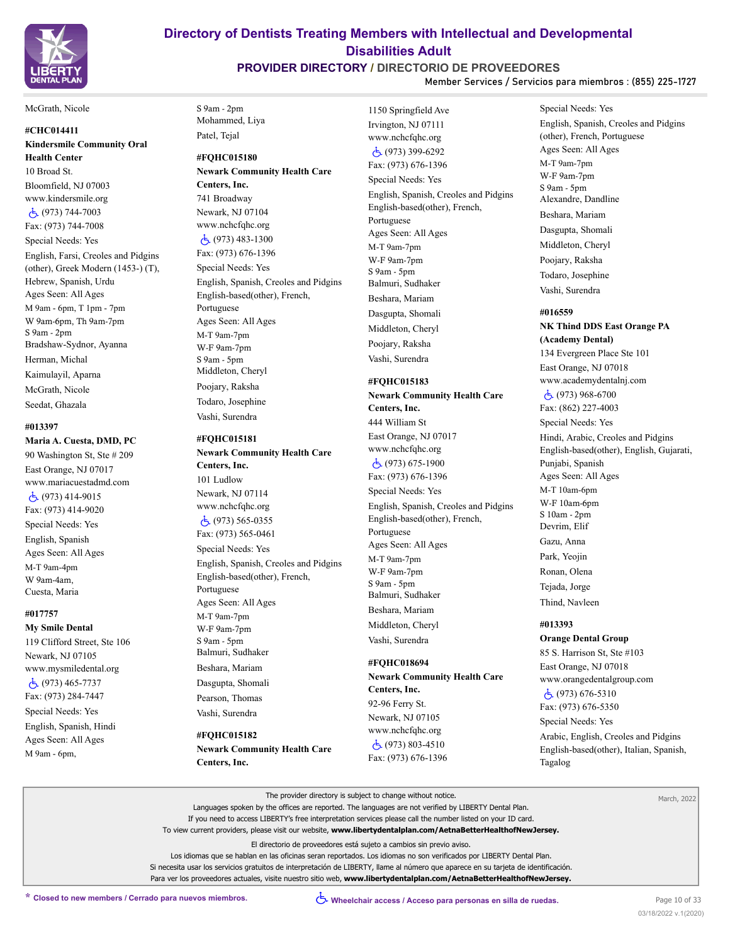

# **PROVIDER DIRECTORY / DIRECTORIO DE PROVEEDORES**

**Member Services / Servicios para miembros : (855) 225-1727**

#### McGrath, Nicole

### **#CHC014411 Kindersmile Community Oral Health Center**

10 Broad St. Bloomfield, NJ 07003 www.kindersmile.org (973) 744-7003 Fax: (973) 744-7008 Special Needs: Yes English, Farsi, Creoles and Pidgins (other), Greek Modern (1453-) (T), Hebrew, Spanish, Urdu Ages Seen: All Ages M 9am - 6pm, T 1pm - 7pm W 9am-6pm, Th 9am-7pm S 9am - 2pm Bradshaw-Sydnor, Ayanna Herman, Michal Kaimulayil, Aparna McGrath, Nicole Seedat, Ghazala

#### **#013397**

**Maria A. Cuesta, DMD, PC** 90 Washington St, Ste # 209 East Orange, NJ 07017 www.mariacuestadmd.com (973) 414-9015 Fax: (973) 414-9020 Special Needs: Yes English, Spanish Ages Seen: All Ages M-T 9am-4pm W 9am-4am, Cuesta, Maria

#### **#017757**

**My Smile Dental** 119 Clifford Street, Ste 106 Newark, NJ 07105 www.mysmiledental.org  $\dot{c}$  (973) 465-7737 Fax: (973) 284-7447 Special Needs: Yes English, Spanish, Hindi Ages Seen: All Ages M 9am - 6pm,

S 9am - 2pm Mohammed, Liya Patel, Tejal

### **#FQHC015180**

**Newark Community Health Care Centers, Inc.** 741 Broadway Newark, NJ 07104 www.nchcfqhc.org (973) 483-1300 Fax: (973) 676-1396 Special Needs: Yes English, Spanish, Creoles and Pidgins English-based(other), French, Portuguese Ages Seen: All Ages M-T 9am-7pm W-F 9am-7pm S 9am - 5pm Middleton, Cheryl Poojary, Raksha Todaro, Josephine

#### **#FQHC015181**

Vashi, Surendra

**Newark Community Health Care Centers, Inc.** 101 Ludlow Newark, NJ 07114 www.nchcfqhc.org (973) 565-0355 Fax: (973) 565-0461 Special Needs: Yes English, Spanish, Creoles and Pidgins English-based(other), French, Portuguese Ages Seen: All Ages M-T 9am-7pm W-F 9am-7pm S 9am - 5pm Balmuri, Sudhaker Beshara, Mariam Dasgupta, Shomali

- Pearson, Thomas
- Vashi, Surendra **#FQHC015182**

**Newark Community Health Care Centers, Inc.**

1150 Springfield Ave Irvington, NJ 07111 www.nchcfqhc.org (973) 399-6292 Fax: (973) 676-1396 Special Needs: Yes English, Spanish, Creoles and Pidgins English-based(other), French, Portuguese Ages Seen: All Ages M-T 9am-7pm W-F 9am-7pm S 9am - 5pm Balmuri, Sudhaker Beshara, Mariam Dasgupta, Shomali Middleton, Cheryl Poojary, Raksha Vashi, Surendra

#### **#FQHC015183**

**Newark Community Health Care Centers, Inc.** 444 William St East Orange, NJ 07017 www.nchcfqhc.org (973) 675-1900 Fax: (973) 676-1396 Special Needs: Yes English, Spanish, Creoles and Pidgins English-based(other), French, Portuguese Ages Seen: All Ages M-T 9am-7pm W-F 9am-7pm S 9am - 5pm Balmuri, Sudhaker Beshara, Mariam

Middleton, Cheryl Vashi, Surendra

#### **#FQHC018694**

**Newark Community Health Care Centers, Inc.** 92-96 Ferry St. Newark, NJ 07105 www.nchcfqhc.org (973) 803-4510 Fax: (973) 676-1396

Special Needs: Yes English, Spanish, Creoles and Pidgins (other), French, Portuguese Ages Seen: All Ages M-T 9am-7pm W-F 9am-7pm S 9am - 5pm Alexandre, Dandline Beshara, Mariam Dasgupta, Shomali Middleton, Cheryl Poojary, Raksha Todaro, Josephine Vashi, Surendra

#### **#016559**

**NK Thind DDS East Orange PA (Academy Dental)** 134 Evergreen Place Ste 101 East Orange, NJ 07018 www.academydentalnj.com (973) 968-6700 Fax: (862) 227-4003 Special Needs: Yes Hindi, Arabic, Creoles and Pidgins English-based(other), English, Gujarati, Punjabi, Spanish Ages Seen: All Ages M-T 10am-6pm W-F 10am-6pm S 10am - 2pm Devrim, Elif Gazu, Anna Park, Yeojin Ronan, Olena Tejada, Jorge Thind, Navleen **#013393**

# **Orange Dental Group**

85 S. Harrison St, Ste #103 East Orange, NJ 07018 www.orangedentalgroup.com (973) 676-5310 Fax: (973) 676-5350 Special Needs: Yes

Arabic, English, Creoles and Pidgins English-based(other), Italian, Spanish, Tagalog

| The provider directory is subject to change without notice.                                                                         | March, 2022 |
|-------------------------------------------------------------------------------------------------------------------------------------|-------------|
| Languages spoken by the offices are reported. The languages are not verified by LIBERTY Dental Plan.                                |             |
| If you need to access LIBERTY's free interpretation services please call the number listed on your ID card.                         |             |
| To view current providers, please visit our website, www.libertydentalplan.com/AetnaBetterHealthofNewJersey.                        |             |
| El directorio de proveedores está sujeto a cambios sin previo aviso.                                                                |             |
| Los idiomas que se hablan en las oficinas seran reportados. Los idiomas no son verificados por LIBERTY Dental Plan.                 |             |
| Si necesita usar los servicios gratuitos de interpretación de LIBERTY, llame al número que aparece en su tarieta de identificación. |             |
| Para ver los proveedores actuales, visite nuestro sitio web, www.libertydentalplan.com/AetnaBetterHealthofNewJersey.                |             |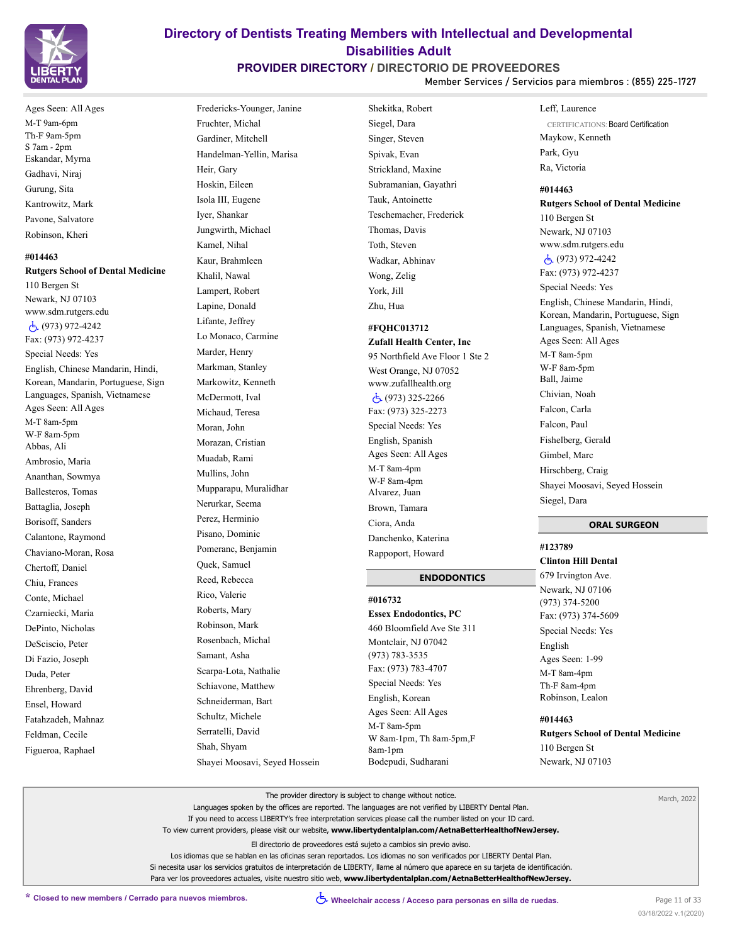

# Ages Seen: All Ages M-T 9am-6pm Th-F 9am-5pm S 7am - 2pm Eskandar, Myrna Gadhavi, Niraj Gurung, Sita Kantrowitz, Mark Pavone, Salvatore Robinson, Kheri

**#014463 Rutgers School of Dental Medicine** 110 Bergen St Newark, NJ 07103 www.sdm.rutgers.edu (973) 972-4242 Fax: (973) 972-4237 Special Needs: Yes English, Chinese Mandarin, Hindi, Korean, Mandarin, Portuguese, Sign Languages, Spanish, Vietnamese Ages Seen: All Ages M-T 8am-5pm W-F 8am-5pm Abbas, Ali Ambrosio, Maria Ananthan, Sowmya Ballesteros, Tomas Battaglia, Joseph Borisoff, Sanders Calantone, Raymond Chaviano-Moran, Rosa

Chertoff, Daniel Chiu, Frances Conte, Michael Czarniecki, Maria DePinto, Nicholas DeSciscio, Peter Di Fazio, Joseph Duda, Peter Ehrenberg, David Ensel, Howard Fatahzadeh, Mahnaz Feldman, Cecile Figueroa, Raphael

Fredericks-Younger, Janine Fruchter, Michal Gardiner, Mitchell Handelman-Yellin, Marisa Heir, Gary Hoskin, Eileen Isola III, Eugene Iyer, Shankar Jungwirth, Michael Kamel, Nihal Kaur, Brahmleen Khalil, Nawal Lampert, Robert Lapine, Donald Lifante, Jeffrey Lo Monaco, Carmine Marder, Henry Markman, Stanley Markowitz, Kenneth McDermott, Ival Michaud, Teresa Moran, John Morazan, Cristian Muadab, Rami Mullins, John Mupparapu, Muralidhar Nerurkar, Seema Perez, Herminio Pisano, Dominic Pomeranc, Benjamin Quek, Samuel Reed, Rebecca Rico, Valerie Roberts, Mary Robinson, Mark Rosenbach, Michal Samant, Asha Scarpa-Lota, Nathalie Schiavone, Matthew Schneiderman, Bart Schultz, Michele Serratelli, David Shah, Shyam Shayei Moosavi, Seyed Hossein

# Shekitka, Robert Siegel, Dara Singer, Steven Spivak, Evan Strickland, Maxine Subramanian, Gayathri Tauk, Antoinette Teschemacher, Frederick Thomas, Davis Toth, Steven Wadkar, Abhinav Wong, Zelig York, Jill Zhu, Hua

**Directory of Dentists Treating Members with Intellectual and Developmental Disabilities Adult PROVIDER DIRECTORY / DIRECTORIO DE PROVEEDORES**

# **#FQHC013712**

**Zufall Health Center, Inc** 95 Northfield Ave Floor 1 Ste 2 West Orange, NJ 07052 www.zufallhealth.org (973) 325-2266 Fax: (973) 325-2273 Special Needs: Yes English, Spanish Ages Seen: All Ages M-T 8am-4pm W-F 8am-4pm Alvarez, Juan Brown, Tamara Ciora, Anda Danchenko, Katerina Rappoport, Howard

#### **ENDODONTICS**

**#016732 Essex Endodontics, PC** 460 Bloomfield Ave Ste 311 Montclair, NJ 07042 (973) 783-3535 Fax: (973) 783-4707 Special Needs: Yes English, Korean Ages Seen: All Ages M-T 8am-5pm W 8am-1pm, Th 8am-5pm,F 8am-1pm Bodepudi, Sudharani

#### Leff, Laurence

**Member Services / Servicios para miembros : (855) 225-1727**

CERTIFICATIONS: Board Certification Maykow, Kenneth Park, Gyu Ra, Victoria

**#014463 Rutgers School of Dental Medicine** 110 Bergen St Newark, NJ 07103 www.sdm.rutgers.edu (973) 972-4242 Fax: (973) 972-4237 Special Needs: Yes English, Chinese Mandarin, Hindi, Korean, Mandarin, Portuguese, Sign Languages, Spanish, Vietnamese Ages Seen: All Ages M-T 8am-5pm W-F 8am-5pm Ball, Jaime Chivian, Noah Falcon, Carla Falcon, Paul Fishelberg, Gerald Gimbel, Marc Hirschberg, Craig Shayei Moosavi, Seyed Hossein Siegel, Dara

### **ORAL SURGEON**

**#123789 Clinton Hill Dental** 679 Irvington Ave. Newark, NJ 07106 (973) 374-5200 Fax: (973) 374-5609 Special Needs: Yes English Ages Seen: 1-99 M-T 8am-4pm Th-F 8am-4pm Robinson, Lealon **#014463**

**Rutgers School of Dental Medicine** 110 Bergen St Newark, NJ 07103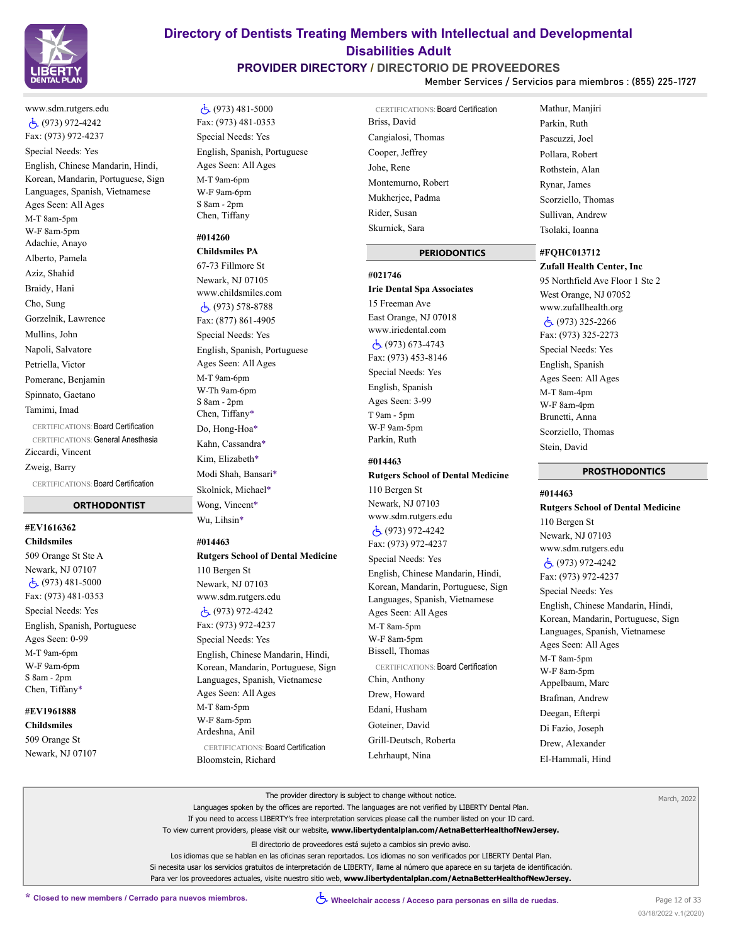

# **PROVIDER DIRECTORY / DIRECTORIO DE PROVEEDORES**

**Member Services / Servicios para miembros : (855) 225-1727**

# www.sdm.rutgers.edu (973) 972-4242 Fax: (973) 972-4237 Special Needs: Yes English, Chinese Mandarin, Hindi, Korean, Mandarin, Portuguese, Sign Languages, Spanish, Vietnamese Ages Seen: All Ages M-T 8am-5pm W-F 8am-5pm Adachie, Anayo Alberto, Pamela Aziz, Shahid Braidy, Hani Cho, Sung Gorzelnik, Lawrence Mullins, John Napoli, Salvatore Petriella, Victor Pomeranc, Benjamin Spinnato, Gaetano Tamimi, Imad CERTIFICATIONS: Board Certification CERTIFICATIONS: General Anesthesia

Ziccardi, Vincent

Zweig, Barry

CERTIFICATIONS: Board Certification

## **ORTHODONTIST**

#### **#EV1616362 Childsmiles**

509 Orange St Ste A Newark, NJ 07107  $\dot{c}$  (973) 481-5000 Fax: (973) 481-0353 Special Needs: Yes English, Spanish, Portuguese Ages Seen: 0-99 M-T 9am-6pm W-F 9am-6pm S 8am - 2pm Chen, Tiffany\*

# **#EV1961888**

**Childsmiles** 509 Orange St Newark, NJ 07107

# (973) 481-5000 Fax: (973) 481-0353 Special Needs: Yes English, Spanish, Portuguese Ages Seen: All Ages M-T 9am-6pm W-F 9am-6pm S 8am - 2pm Chen, Tiffany

# **#014260**

**Childsmiles PA** 67-73 Fillmore St Newark, NJ 07105 www.childsmiles.com (973) 578-8788 Fax: (877) 861-4905 Special Needs: Yes English, Spanish, Portuguese Ages Seen: All Ages M-T 9am-6pm W-Th 9am-6pm S 8am - 2pm Chen, Tiffany\* Do, Hong-Hoa\* Kahn, Cassandra\* Kim, Elizabeth\* Modi Shah, Bansari\* Skolnick, Michael\* Wong, Vincent\* Wu, Lihsin\*

#### **#014463**

### **Rutgers School of Dental Medicine** 110 Bergen St Newark, NJ 07103

www.sdm.rutgers.edu (973) 972-4242 Fax: (973) 972-4237 Special Needs: Yes English, Chinese Mandarin, Hindi, Korean, Mandarin, Portuguese, Sign Languages, Spanish, Vietnamese Ages Seen: All Ages M-T 8am-5pm W-F 8am-5pm Ardeshna, Anil CERTIFICATIONS: Board Certification

Bloomstein, Richard

CERTIFICATIONS: Board Certification Briss, David Cangialosi, Thomas Cooper, Jeffrey Johe, Rene Montemurno, Robert Mukherjee, Padma Rider, Susan Skurnick, Sara

### **PERIODONTICS**

# **#021746 Irie Dental Spa Associates** 15 Freeman Ave East Orange, NJ 07018 www.iriedental.com (973) 673-4743 Fax: (973) 453-8146 Special Needs: Yes

English, Spanish Ages Seen: 3-99 T 9am - 5pm W-F 9am-5pm Parkin, Ruth

#### **#014463**

# **Rutgers School of Dental Medicine** 110 Bergen St Newark, NJ 07103 www.sdm.rutgers.edu (973) 972-4242 Fax: (973) 972-4237 Special Needs: Yes English, Chinese Mandarin, Hindi, Korean, Mandarin, Portuguese, Sign Languages, Spanish, Vietnamese Ages Seen: All Ages M-T 8am-5pm W-F 8am-5pm Bissell, Thomas CERTIFICATIONS: Board Certification Chin, Anthony Drew, Howard Edani, Husham Goteiner, David Grill-Deutsch, Roberta

# Mathur, Manjiri Parkin, Ruth Pascuzzi, Joel Pollara, Robert Rothstein, Alan Rynar, James Scorziello, Thomas Sullivan, Andrew Tsolaki, Ioanna

# **#FQHC013712**

**Zufall Health Center, Inc** 95 Northfield Ave Floor 1 Ste 2 West Orange, NJ 07052 www.zufallhealth.org (973) 325-2266 Fax: (973) 325-2273 Special Needs: Yes English, Spanish Ages Seen: All Ages M-T 8am-4pm W-F 8am-4pm Brunetti, Anna Scorziello, Thomas Stein, David

### **PROSTHODONTICS**

**#014463 Rutgers School of Dental Medicine** 110 Bergen St Newark, NJ 07103 www.sdm.rutgers.edu (973) 972-4242 Fax: (973) 972-4237 Special Needs: Yes English, Chinese Mandarin, Hindi, Korean, Mandarin, Portuguese, Sign Languages, Spanish, Vietnamese Ages Seen: All Ages M-T 8am-5pm W-F 8am-5pm Appelbaum, Marc Brafman, Andrew Deegan, Efterpi Di Fazio, Joseph Drew, Alexander El-Hammali, Hind

The provider directory is subject to change without notice. Languages spoken by the offices are reported. The languages are not verified by LIBERTY Dental Plan. If you need to access LIBERTY's free interpretation services please call the number listed on your ID card. To view current providers, please visit our website, **www.libertydentalplan.com/AetnaBetterHealthofNewJersey.** El directorio de proveedores está sujeto a cambios sin previo aviso. Los idiomas que se hablan en las oficinas seran reportados. Los idiomas no son verificados por LIBERTY Dental Plan. Si necesita usar los servicios gratuitos de interpretación de LIBERTY, llame al número que aparece en su tarjeta de identificación. Para ver los proveedores actuales, visite nuestro sitio web, **www.libertydentalplan.com/AetnaBetterHealthofNewJersey.** March, 2022

Lehrhaupt, Nina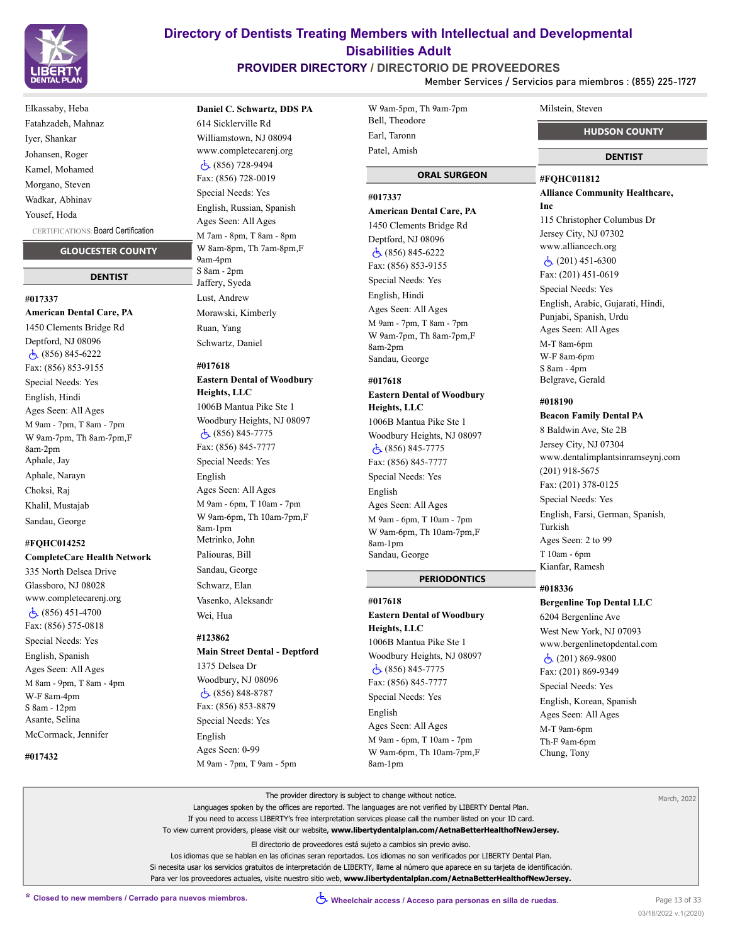

**PROVIDER DIRECTORY / DIRECTORIO DE PROVEEDORES**

**Member Services / Servicios para miembros : (855) 225-1727**

# Elkassaby, Heba Fatahzadeh, Mahnaz Iyer, Shankar Johansen, Roger Kamel, Mohamed Morgano, Steven Wadkar, Abhinav Yousef, Hoda

CERTIFICATIONS: Board Certification

#### **GLOUCESTER COUNTY**

#### **DENTIST**

**#017337 American Dental Care, PA** 1450 Clements Bridge Rd Deptford, NJ 08096 (856) 845-6222 Fax: (856) 853-9155 Special Needs: Yes English, Hindi Ages Seen: All Ages M 9am - 7pm, T 8am - 7pm W 9am-7pm, Th 8am-7pm,F 8am-2pm Aphale, Jay Aphale, Narayn Choksi, Raj Khalil, Mustajab Sandau, George

#### **#FQHC014252**

**CompleteCare Health Network** 335 North Delsea Drive Glassboro, NJ 08028 www.completecarenj.org  $\dot{5}$  (856) 451-4700 Fax: (856) 575-0818 Special Needs: Yes English, Spanish Ages Seen: All Ages M 8am - 9pm, T 8am - 4pm W-F 8am-4pm S 8am - 12pm Asante, Selina McCormack, Jennifer

**#017432**

### **Daniel C. Schwartz, DDS PA**

614 Sicklerville Rd Williamstown, NJ 08094 www.completecarenj.org (856) 728-9494 Fax: (856) 728-0019 Special Needs: Yes English, Russian, Spanish Ages Seen: All Ages M 7am - 8pm, T 8am - 8pm W 8am-8pm, Th 7am-8pm,F 9am-4pm S 8am - 2pm Jaffery, Syeda Lust, Andrew Morawski, Kimberly Ruan, Yang Schwartz, Daniel

# **#017618**

**Eastern Dental of Woodbury Heights, LLC** 1006B Mantua Pike Ste 1 Woodbury Heights, NJ 08097 (856) 845-7775 Fax: (856) 845-7777 Special Needs: Yes English Ages Seen: All Ages M 9am - 6pm, T 10am - 7pm W 9am-6pm, Th 10am-7pm,F 8am-1pm Metrinko, John Paliouras, Bill Sandau, George Schwarz, Elan Vasenko, Aleksandr Wei, Hua

#### **#123862**

**Main Street Dental - Deptford** 1375 Delsea Dr Woodbury, NJ 08096 (856) 848-8787 Fax: (856) 853-8879 Special Needs: Yes English Ages Seen: 0-99 M 9am - 7pm, T 9am - 5pm

| W 9am-5pm, Th 9am-7pm |
|-----------------------|
| Bell, Theodore        |
| Earl, Taronn          |
| Patel, Amish          |
|                       |

### **ORAL SURGEON**

# **#017337**

**American Dental Care, PA** 1450 Clements Bridge Rd Deptford, NJ 08096 (856) 845-6222 Fax: (856) 853-9155 Special Needs: Yes English, Hindi Ages Seen: All Ages M 9am - 7pm, T 8am - 7pm W 9am-7pm, Th 8am-7pm,F 8am-2pm Sandau, George

#### **#017618 Eastern Dental of Woodbury Heights, LLC**

1006B Mantua Pike Ste 1 Woodbury Heights, NJ 08097 (856) 845-7775 Fax: (856) 845-7777 Special Needs: Yes English Ages Seen: All Ages M 9am - 6pm, T 10am - 7pm W 9am-6pm, Th 10am-7pm,F 8am-1pm Sandau, George

#### **PERIODONTICS**

# **#017618 Eastern Dental of Woodbury Heights, LLC** 1006B Mantua Pike Ste 1 Woodbury Heights, NJ 08097 (856) 845-7775 Fax: (856) 845-7777 Special Needs: Yes English Ages Seen: All Ages M 9am - 6pm, T 10am - 7pm W 9am-6pm, Th 10am-7pm,F 8am-1pm

#### Milstein, Steven

 **HUDSON COUNTY**

#### **DENTIST**

### **#FQHC011812 Alliance Community Healthcare, Inc** 115 Christopher Columbus Dr

Jersey City, NJ 07302 www.alliancech.org (201) 451-6300

Fax: (201) 451-0619

Special Needs: Yes English, Arabic, Gujarati, Hindi, Punjabi, Spanish, Urdu Ages Seen: All Ages M-T 8am-6pm W-F 8am-6pm S 8am - 4pm Belgrave, Gerald

#### **#018190**

#### **Beacon Family Dental PA**

8 Baldwin Ave, Ste 2B Jersey City, NJ 07304 www.dentalimplantsinramseynj.com (201) 918-5675 Fax: (201) 378-0125 Special Needs: Yes English, Farsi, German, Spanish, Turkish Ages Seen: 2 to 99 T 10am - 6pm Kianfar, Ramesh

#### **#018336**

**Bergenline Top Dental LLC** 6204 Bergenline Ave West New York, NJ 07093 www.bergenlinetopdental.com  $\dot{c}$  (201) 869-9800 Fax: (201) 869-9349 Special Needs: Yes English, Korean, Spanish Ages Seen: All Ages M-T 9am-6pm Th-F 9am-6pm Chung, Tony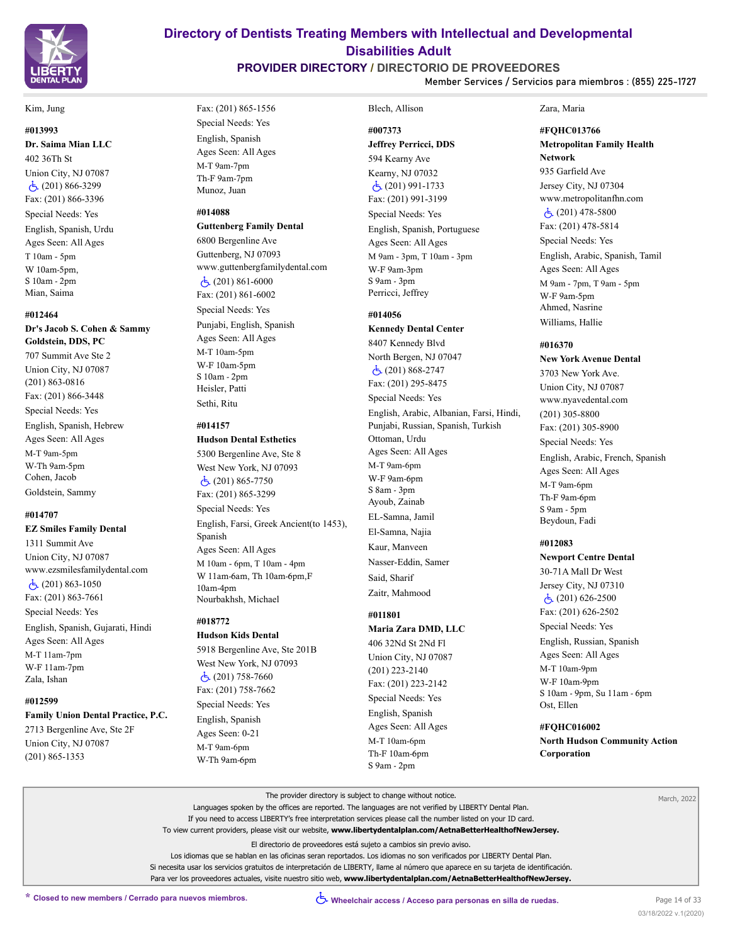

#### Kim, Jung

#### **#013993**

**Dr. Saima Mian LLC**

402 36Th St Union City, NJ 07087  $\dot{c}$ (201) 866-3299 Fax: (201) 866-3396 Special Needs: Yes English, Spanish, Urdu Ages Seen: All Ages T 10am - 5pm W 10am-5pm, S 10am - 2pm Mian, Saima

#### **#012464**

**Dr's Jacob S. Cohen & Sammy Goldstein, DDS, PC**

707 Summit Ave Ste 2 Union City, NJ 07087 (201) 863-0816 Fax: (201) 866-3448 Special Needs: Yes English, Spanish, Hebrew Ages Seen: All Ages M-T 9am-5pm W-Th 9am-5pm Cohen, Jacob Goldstein, Sammy

# **#014707**

**EZ Smiles Family Dental** 1311 Summit Ave Union City, NJ 07087 www.ezsmilesfamilydental.com (201) 863-1050 Fax: (201) 863-7661 Special Needs: Yes English, Spanish, Gujarati, Hindi Ages Seen: All Ages M-T 11am-7pm

W-F 11am-7pm Zala, Ishan

### **#012599**

**Family Union Dental Practice, P.C.** 2713 Bergenline Ave, Ste 2F

Union City, NJ 07087 (201) 865-1353

# Fax: (201) 865-1556 Special Needs: Yes English, Spanish Ages Seen: All Ages M-T 9am-7pm Th-F 9am-7pm

Munoz, Juan

# **#014088**

**Guttenberg Family Dental**

6800 Bergenline Ave Guttenberg, NJ 07093 www.guttenbergfamilydental.com (201) 861-6000 Fax: (201) 861-6002 Special Needs: Yes Punjabi, English, Spanish Ages Seen: All Ages M-T 10am-5pm W-F 10am-5pm S 10am - 2pm Heisler, Patti Sethi, Ritu

#### **#014157**

#### **Hudson Dental Esthetics**

5300 Bergenline Ave, Ste 8 West New York, NJ 07093  $\dot{c}$ (201) 865-7750 Fax: (201) 865-3299 Special Needs: Yes English, Farsi, Greek Ancient(to 1453), Spanish Ages Seen: All Ages M 10am - 6pm, T 10am - 4pm W 11am-6am, Th 10am-6pm,F 10am-4pm Nourbakhsh, Michael

# **#018772**

**Hudson Kids Dental** 5918 Bergenline Ave, Ste 201B West New York, NJ 07093  $\dot{c}$ (201) 758-7660 Fax: (201) 758-7662 Special Needs: Yes English, Spanish Ages Seen: 0-21 M-T 9am-6pm W-Th 9am-6pm

# Blech, Allison **#007373**

**Directory of Dentists Treating Members with Intellectual and Developmental Disabilities Adult PROVIDER DIRECTORY / DIRECTORIO DE PROVEEDORES**

> **Jeffrey Perricci, DDS** 594 Kearny Ave Kearny, NJ 07032 (201) 991-1733 Fax: (201) 991-3199 Special Needs: Yes English, Spanish, Portuguese Ages Seen: All Ages M 9am - 3pm, T 10am - 3pm W-F 9am-3pm S 9am - 3pm Perricci, Jeffrey

# **#014056**

**Kennedy Dental Center** 8407 Kennedy Blvd North Bergen, NJ 07047  $\dot{c}$ (201) 868-2747 Fax: (201) 295-8475 Special Needs: Yes English, Arabic, Albanian, Farsi, Hindi, Punjabi, Russian, Spanish, Turkish Ottoman, Urdu Ages Seen: All Ages M-T 9am-6pm W-F 9am-6pm S 8am - 3pm Ayoub, Zainab EL-Samna, Jamil El-Samna, Najia Kaur, Manveen Nasser-Eddin, Samer Said, Sharif Zaitr, Mahmood

# **#011801**

**Maria Zara DMD, LLC** 406 32Nd St 2Nd Fl Union City, NJ 07087 (201) 223-2140 Fax: (201) 223-2142 Special Needs: Yes English, Spanish Ages Seen: All Ages

#### Zara, Maria

**Member Services / Servicios para miembros : (855) 225-1727**

**#FQHC013766**

**Metropolitan Family Health Network** 935 Garfield Ave

Jersey City, NJ 07304 www.metropolitanfhn.com  $\dot{c}$  (201) 478-5800 Fax: (201) 478-5814 Special Needs: Yes English, Arabic, Spanish, Tamil Ages Seen: All Ages M 9am - 7pm, T 9am - 5pm W-F 9am-5pm Ahmed, Nasrine Williams, Hallie

#### **#016370**

**New York Avenue Dental** 3703 New York Ave. Union City, NJ 07087 www.nyavedental.com (201) 305-8800 Fax: (201) 305-8900 Special Needs: Yes English, Arabic, French, Spanish Ages Seen: All Ages M-T 9am-6pm Th-F 9am-6pm S 9am - 5pm Beydoun, Fadi **#012083**

**Newport Centre Dental** 30-71A Mall Dr West Jersey City, NJ 07310  $\dot{5}$  (201) 626-2500 Fax: (201) 626-2502 Special Needs: Yes

English, Russian, Spanish Ages Seen: All Ages M-T 10am-9pm W-F 10am-9pm S 10am - 9pm, Su 11am - 6pm Ost, Ellen

#### **#FQHC016002**

**North Hudson Community Action Corporation**

The provider directory is subject to change without notice. Languages spoken by the offices are reported. The languages are not verified by LIBERTY Dental Plan. If you need to access LIBERTY's free interpretation services please call the number listed on your ID card. To view current providers, please visit our website, **www.libertydentalplan.com/AetnaBetterHealthofNewJersey.** El directorio de proveedores está sujeto a cambios sin previo aviso. Los idiomas que se hablan en las oficinas seran reportados. Los idiomas no son verificados por LIBERTY Dental Plan. Si necesita usar los servicios gratuitos de interpretación de LIBERTY, llame al número que aparece en su tarjeta de identificación. Para ver los proveedores actuales, visite nuestro sitio web, **www.libertydentalplan.com/AetnaBetterHealthofNewJersey.** March, 2022

M-T 10am-6pm Th-F 10am-6pm S 9am - 2pm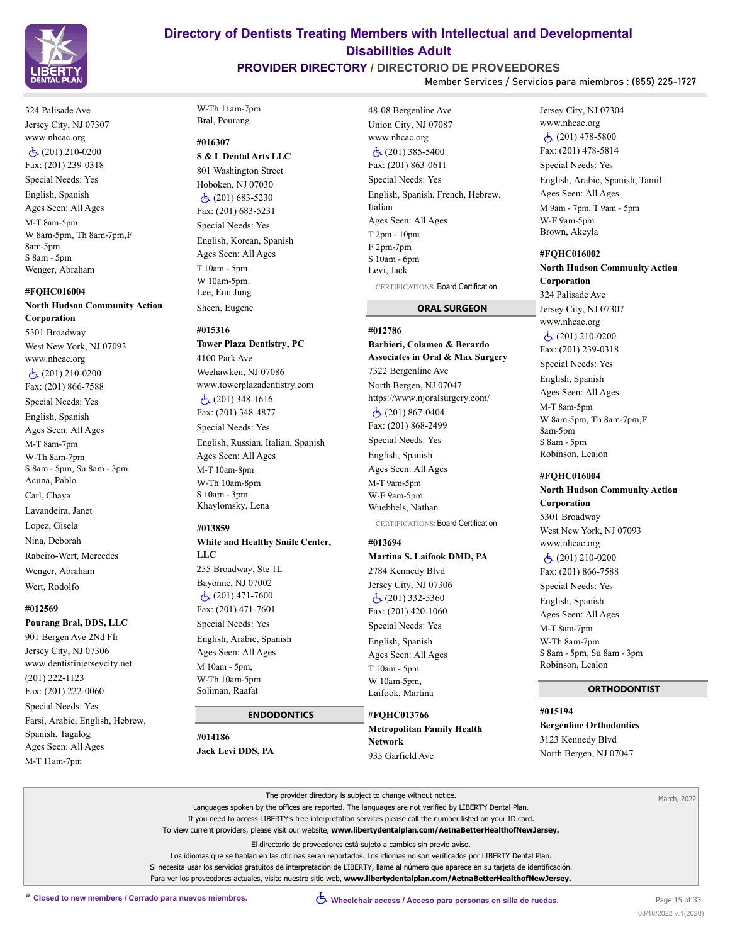

# **PROVIDER DIRECTORY / DIRECTORIO DE PROVEEDORES**

**Member Services / Servicios para miembros : (855) 225-1727**

324 Palisade Ave Jersey City, NJ 07307 www.nhcac.org (201) 210-0200 Fax: (201) 239-0318 Special Needs: Yes

English, Spanish Ages Seen: All Ages M-T 8am-5pm W 8am-5pm, Th 8am-7pm,F 8am-5pm S 8am - 5pm Wenger, Abraham

#### **#FQHC016004**

# **North Hudson Community Action Corporation**

5301 Broadway West New York, NJ 07093 www.nhcac.org (201) 210-0200 Fax: (201) 866-7588 Special Needs: Yes English, Spanish Ages Seen: All Ages M-T 8am-7pm W-Th 8am-7pm S 8am - 5pm, Su 8am - 3pm Acuna, Pablo Carl, Chaya Lavandeira, Janet Lopez, Gisela Nina, Deborah Rabeiro-Wert, Mercedes Wenger, Abraham Wert, Rodolfo

#### **#012569**

### **Pourang Bral, DDS, LLC**

901 Bergen Ave 2Nd Flr Jersey City, NJ 07306 www.dentistinjerseycity.net (201) 222-1123 Fax: (201) 222-0060 Special Needs: Yes Farsi, Arabic, English, Hebrew, Spanish, Tagalog Ages Seen: All Ages M-T 11am-7pm

## W-Th 11am-7pm Bral, Pourang

### **#016307**

**S & L Dental Arts LLC**

801 Washington Street Hoboken, NJ 07030 (201) 683-5230 Fax: (201) 683-5231 Special Needs: Yes English, Korean, Spanish Ages Seen: All Ages T 10am - 5pm W 10am-5pm, Lee, Eun Jung Sheen, Eugene

#### **#015316**

**Tower Plaza Dentistry, PC** 4100 Park Ave Weehawken, NJ 07086 www.towerplazadentistry.com (201) 348-1616 Fax: (201) 348-4877 Special Needs: Yes English, Russian, Italian, Spanish Ages Seen: All Ages M-T 10am-8pm W-Th 10am-8pm

S 10am - 3pm Khaylomsky, Lena

#### **#013859**

# **White and Healthy Smile Center, LLC**

255 Broadway, Ste 1L Bayonne, NJ 07002 (201) 471-7600 Fax: (201) 471-7601

Special Needs: Yes English, Arabic, Spanish Ages Seen: All Ages M 10am - 5pm, W-Th 10am-5pm Soliman, Raafat

# **ENDODONTICS**

#### **#014186**

**Jack Levi DDS, PA**

48-08 Bergenline Ave Union City, NJ 07087 www.nhcac.org (201) 385-5400 Fax: (201) 863-0611 Special Needs: Yes English, Spanish, French, Hebrew, Italian Ages Seen: All Ages T 2pm - 10pm F 2pm-7pm S 10am - 6pm Levi, Jack CERTIFICATIONS: Board Certification

 **ORAL SURGEON**

#### **#012786**

# **Barbieri, Colameo & Berardo Associates in Oral & Max Surgery** 7322 Bergenline Ave North Bergen, NJ 07047 https://www.njoralsurgery.com/  $\dot{C}$ (201) 867-0404 Fax: (201) 868-2499 Special Needs: Yes English, Spanish Ages Seen: All Ages M-T 9am-5pm W-F 9am-5pm Wuebbels, Nathan

CERTIFICATIONS: Board Certification

#### **#013694**

**Martina S. Laifook DMD, PA** 2784 Kennedy Blvd Jersey City, NJ 07306 (201) 332-5360 Fax: (201) 420-1060 Special Needs: Yes English, Spanish Ages Seen: All Ages T 10am - 5pm W 10am-5pm,

**#FQHC013766 Metropolitan Family Health Network** 935 Garfield Ave

Laifook, Martina

### Jersey City, NJ 07304 www.nhcac.org (201) 478-5800 Fax: (201) 478-5814 Special Needs: Yes English, Arabic, Spanish, Tamil Ages Seen: All Ages M 9am - 7pm, T 9am - 5pm W-F 9am-5pm Brown, Akeyla

# **#FQHC016002 North Hudson Community Action**

**Corporation** 324 Palisade Ave Jersey City, NJ 07307 www.nhcac.org  $\dot{C}$ (201) 210-0200 Fax: (201) 239-0318 Special Needs: Yes English, Spanish Ages Seen: All Ages M-T 8am-5pm W 8am-5pm, Th 8am-7pm,F 8am-5pm S 8am - 5pm Robinson, Lealon

#### **#FQHC016004**

**North Hudson Community Action Corporation** 5301 Broadway West New York, NJ 07093 www.nhcac.org (201) 210-0200 Fax: (201) 866-7588 Special Needs: Yes English, Spanish Ages Seen: All Ages M-T 8am-7pm W-Th 8am-7pm S 8am - 5pm, Su 8am - 3pm Robinson, Lealon

#### **ORTHODONTIST**

**#015194 Bergenline Orthodontics** 3123 Kennedy Blvd North Bergen, NJ 07047

| The provider directory is subject to change without notice.                                                                         | March, 2022 |
|-------------------------------------------------------------------------------------------------------------------------------------|-------------|
| Languages spoken by the offices are reported. The languages are not verified by LIBERTY Dental Plan.                                |             |
| If you need to access LIBERTY's free interpretation services please call the number listed on your ID card.                         |             |
| To view current providers, please visit our website, www.libertydentalplan.com/AetnaBetterHealthofNewJersey.                        |             |
| El directorio de proveedores está sujeto a cambios sin previo aviso.                                                                |             |
| Los idiomas que se hablan en las oficinas seran reportados. Los idiomas no son verificados por LIBERTY Dental Plan.                 |             |
| Si necesita usar los servicios gratuitos de interpretación de LIBERTY, llame al número que aparece en su tarieta de identificación. |             |
| Para ver los proveedores actuales, visite nuestro sitio web, www.libertydentalplan.com/AetnaBetterHealthofNewJersey.                |             |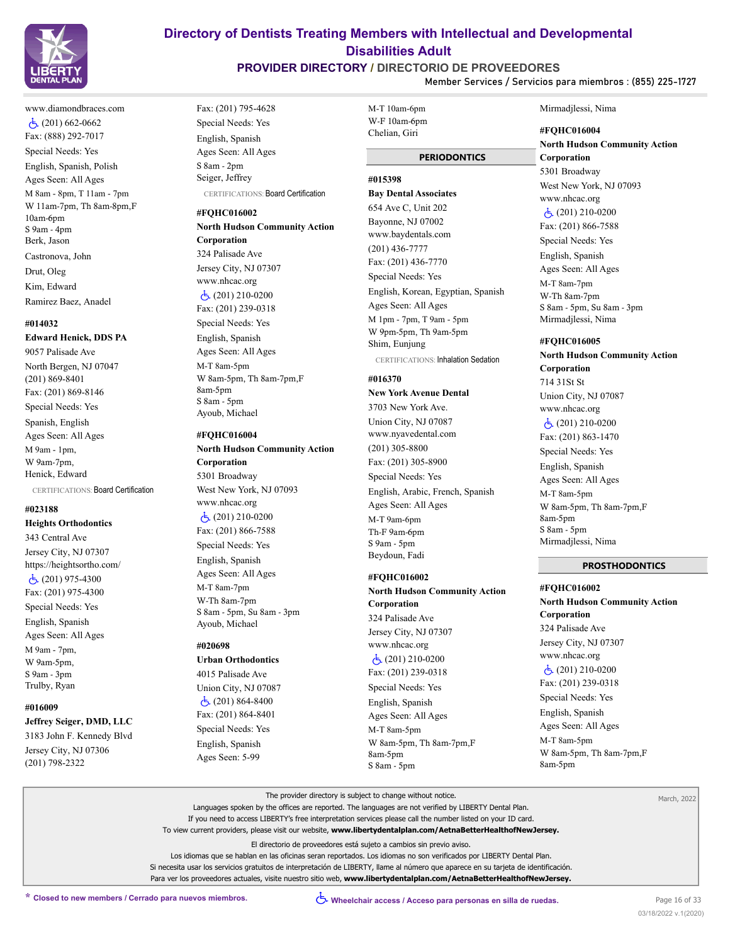

www.diamondbraces.com  $\dot{c}$ (201) 662-0662 Fax: (888) 292-7017 Special Needs: Yes English, Spanish, Polish Ages Seen: All Ages M 8am - 8pm, T 11am - 7pm W 11am-7pm, Th 8am-8pm,F 10am-6pm S 9am - 4pm Berk, Jason Castronova, John Drut, Oleg Kim, Edward

Ramirez Baez, Anadel

#### **#014032**

#### **Edward Henick, DDS PA**

9057 Palisade Ave North Bergen, NJ 07047 (201) 869-8401 Fax: (201) 869-8146 Special Needs: Yes Spanish, English Ages Seen: All Ages M 9am - 1pm, W 9am-7pm, Henick, Edward

CERTIFICATIONS: Board Certification

### **#023188**

**Heights Orthodontics**

343 Central Ave Jersey City, NJ 07307 https://heightsortho.com/ (201) 975-4300 Fax: (201) 975-4300 Special Needs: Yes English, Spanish Ages Seen: All Ages M 9am - 7pm,

W 9am-5pm, S 9am - 3pm Trulby, Ryan

### **#016009**

**Jeffrey Seiger, DMD, LLC**

3183 John F. Kennedy Blvd Jersey City, NJ 07306 (201) 798-2322

Fax: (201) 795-4628 Special Needs: Yes English, Spanish Ages Seen: All Ages S 8am - 2pm Seiger, Jeffrey CERTIFICATIONS: Board Certification

#### **#FQHC016002**

**North Hudson Community Action Corporation** 324 Palisade Ave Jersey City, NJ 07307 www.nhcac.org (201) 210-0200 Fax: (201) 239-0318

Special Needs: Yes English, Spanish Ages Seen: All Ages M-T 8am-5pm W 8am-5pm, Th 8am-7pm,F 8am-5pm S 8am - 5pm Ayoub, Michael

#### **#FQHC016004**

**North Hudson Community Action Corporation** 5301 Broadway West New York, NJ 07093 www.nhcac.org (201) 210-0200 Fax: (201) 866-7588 Special Needs: Yes English, Spanish Ages Seen: All Ages M-T 8am-7pm W-Th 8am-7pm S 8am - 5pm, Su 8am - 3pm Ayoub, Michael

#### **#020698**

**Urban Orthodontics** 4015 Palisade Ave Union City, NJ 07087 (201) 864-8400 Fax: (201) 864-8401 Special Needs: Yes English, Spanish Ages Seen: 5-99

M-T 10am-6pm W-F 10am-6pm Chelian, Giri

**Directory of Dentists Treating Members with Intellectual and Developmental Disabilities Adult PROVIDER DIRECTORY / DIRECTORIO DE PROVEEDORES**

#### **PERIODONTICS**

#### **#015398**

**Bay Dental Associates** 654 Ave C, Unit 202 Bayonne, NJ 07002 www.baydentals.com (201) 436-7777 Fax: (201) 436-7770 Special Needs: Yes English, Korean, Egyptian, Spanish Ages Seen: All Ages M 1pm - 7pm, T 9am - 5pm W 9pm-5pm, Th 9am-5pm Shim, Eunjung CERTIFICATIONS: Inhalation Sedation

**#016370**

### **New York Avenue Dental**

3703 New York Ave. Union City, NJ 07087 www.nyavedental.com (201) 305-8800 Fax: (201) 305-8900 Special Needs: Yes English, Arabic, French, Spanish Ages Seen: All Ages M-T 9am-6pm Th-F 9am-6pm S 9am - 5pm Beydoun, Fadi

### **#FQHC016002**

**North Hudson Community Action Corporation**

324 Palisade Ave Jersey City, NJ 07307 www.nhcac.org (201) 210-0200 Fax: (201) 239-0318 Special Needs: Yes English, Spanish Ages Seen: All Ages M-T 8am-5pm W 8am-5pm, Th 8am-7pm,F 8am-5pm S 8am - 5pm

#### Mirmadjlessi, Nima

**Member Services / Servicios para miembros : (855) 225-1727**

**#FQHC016004 North Hudson Community Action Corporation** 5301 Broadway West New York, NJ 07093 www.nhcac.org  $\dot{c}$ (201) 210-0200 Fax: (201) 866-7588 Special Needs: Yes English, Spanish Ages Seen: All Ages M-T 8am-7pm W-Th 8am-7pm

# **#FQHC016005**

S 8am - 5pm, Su 8am - 3pm Mirmadjlessi, Nima

**North Hudson Community Action Corporation** 714 31St St Union City, NJ 07087 www.nhcac.org (201) 210-0200 Fax: (201) 863-1470 Special Needs: Yes English, Spanish Ages Seen: All Ages M-T 8am-5pm W 8am-5pm, Th 8am-7pm,F 8am-5pm S 8am - 5pm Mirmadjlessi, Nima

#### **PROSTHODONTICS**

**#FQHC016002 North Hudson Community Action Corporation** 324 Palisade Ave Jersey City, NJ 07307 www.nhcac.org (201) 210-0200 Fax: (201) 239-0318 Special Needs: Yes English, Spanish Ages Seen: All Ages M-T 8am-5pm W 8am-5pm, Th 8am-7pm,F 8am-5pm

The provider directory is subject to change without notice.

Languages spoken by the offices are reported. The languages are not verified by LIBERTY Dental Plan.

If you need to access LIBERTY's free interpretation services please call the number listed on your ID card.

To view current providers, please visit our website, **www.libertydentalplan.com/AetnaBetterHealthofNewJersey.**

El directorio de proveedores está sujeto a cambios sin previo aviso.

Los idiomas que se hablan en las oficinas seran reportados. Los idiomas no son verificados por LIBERTY Dental Plan. Si necesita usar los servicios gratuitos de interpretación de LIBERTY, llame al número que aparece en su tarjeta de identificación. Para ver los proveedores actuales, visite nuestro sitio web, **www.libertydentalplan.com/AetnaBetterHealthofNewJersey.**

March, 2022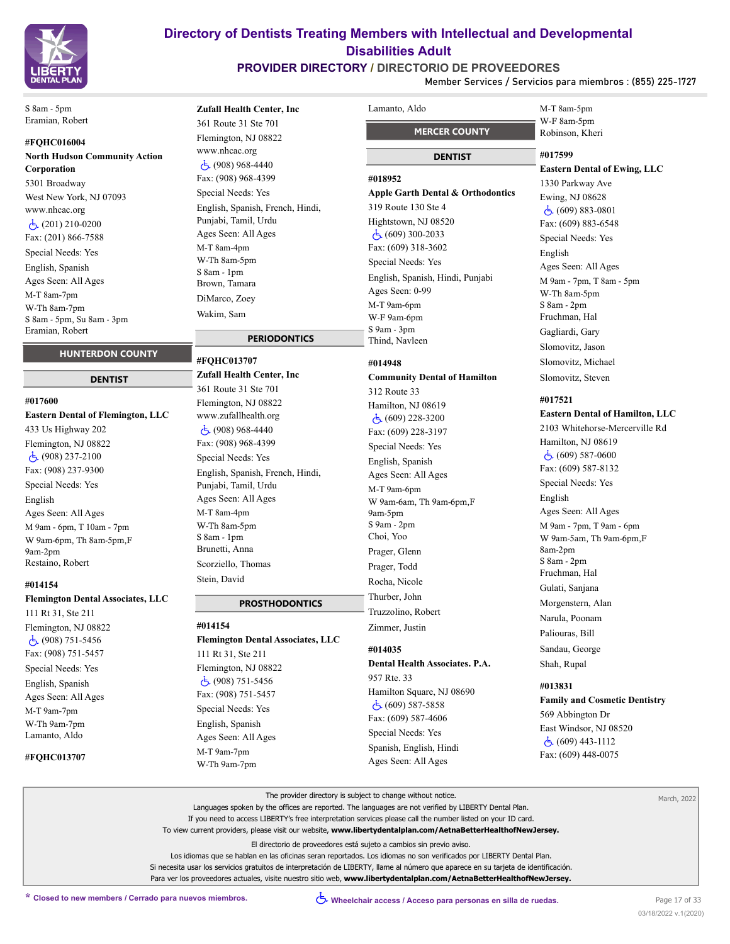

# **PROVIDER DIRECTORY / DIRECTORIO DE PROVEEDORES**

**Member Services / Servicios para miembros : (855) 225-1727**

S 8am - 5pm Eramian, Robert

### **#FQHC016004**

**North Hudson Community Action Corporation** 5301 Broadway West New York, NJ 07093 www.nhcac.org (201) 210-0200 Fax: (201) 866-7588 Special Needs: Yes English, Spanish Ages Seen: All Ages M-T 8am-7pm W-Th 8am-7pm S 8am - 5pm, Su 8am - 3pm Eramian, Robert

### **HUNTERDON COUNTY**

#### **DENTIST**

#### **#017600**

**Eastern Dental of Flemington, LLC** 433 Us Highway 202 Flemington, NJ 08822 (908) 237-2100 Fax: (908) 237-9300 Special Needs: Yes English Ages Seen: All Ages M 9am - 6pm, T 10am - 7pm W 9am-6pm, Th 8am-5pm,F 9am-2pm Restaino, Robert

#### **#014154**

#### **Flemington Dental Associates, LLC**

111 Rt 31, Ste 211 Flemington, NJ 08822 (908) 751-5456 Fax: (908) 751-5457 Special Needs: Yes English, Spanish Ages Seen: All Ages M-T 9am-7pm W-Th 9am-7pm Lamanto, Aldo

#### **#FQHC013707**

# **Zufall Health Center, Inc**

361 Route 31 Ste 701 Flemington, NJ 08822 www.nhcac.org (908) 968-4440 Fax: (908) 968-4399 Special Needs: Yes English, Spanish, French, Hindi, Punjabi, Tamil, Urdu Ages Seen: All Ages M-T 8am-4pm W-Th 8am-5pm S 8am - 1pm Brown, Tamara DiMarco, Zoey Wakim, Sam

# **PERIODONTICS**

**#FQHC013707 Zufall Health Center, Inc** 361 Route 31 Ste 701 Flemington, NJ 08822 www.zufallhealth.org (908) 968-4440 Fax: (908) 968-4399 Special Needs: Yes English, Spanish, French, Hindi, Punjabi, Tamil, Urdu Ages Seen: All Ages M-T 8am-4pm W-Th 8am-5pm S 8am - 1pm Brunetti, Anna Scorziello, Thomas Stein, David

### **PROSTHODONTICS**

# **#014154**

**Flemington Dental Associates, LLC**

111 Rt 31, Ste 211 Flemington, NJ 08822 (908) 751-5456 Fax: (908) 751-5457 Special Needs: Yes English, Spanish Ages Seen: All Ages M-T 9am-7pm W-Th 9am-7pm

# Lamanto, Aldo

 **MERCER COUNTY**

# **DENTIST**

#### **#018952**

# **Apple Garth Dental & Orthodontics**

319 Route 130 Ste 4 Hightstown, NJ 08520 (609) 300-2033 Fax: (609) 318-3602 Special Needs: Yes English, Spanish, Hindi, Punjabi Ages Seen: 0-99 M-T 9am-6pm W-F 9am-6pm S 9am - 3pm Thind, Navleen

### **#014948**

# **Community Dental of Hamilton** 312 Route 33 Hamilton, NJ 08619 (609) 228-3200 Fax: (609) 228-3197 Special Needs: Yes English, Spanish Ages Seen: All Ages M-T 9am-6pm W 9am-6am, Th 9am-6pm,F 9am-5pm S 9am - 2pm Choi, Yoo Prager, Glenn Prager, Todd Rocha, Nicole Thurber, John Truzzolino, Robert Zimmer, Justin

### **#014035**

**Dental Health Associates. P.A.** 957 Rte. 33 Hamilton Square, NJ 08690 (609) 587-5858 Fax: (609) 587-4606 Special Needs: Yes Spanish, English, Hindi Ages Seen: All Ages

#### M-T 8am-5pm W-F 8am-5pm Robinson, Kheri

### **#017599 Eastern Dental of Ewing, LLC**

1330 Parkway Ave Ewing, NJ 08628 (609) 883-0801 Fax: (609) 883-6548 Special Needs: Yes English Ages Seen: All Ages M 9am - 7pm, T 8am - 5pm W-Th 8am-5pm S 8am - 2pm Fruchman, Hal Gagliardi, Gary Slomovitz, Jason Slomovitz, Michael Slomovitz, Steven

### **#017521**

### **Eastern Dental of Hamilton, LLC** 2103 Whitehorse-Mercerville Rd

Hamilton, NJ 08619 (609) 587-0600 Fax: (609) 587-8132 Special Needs: Yes English Ages Seen: All Ages M 9am - 7pm, T 9am - 6pm W 9am-5am, Th 9am-6pm,F 8am-2pm S 8am - 2pm Fruchman, Hal Gulati, Sanjana Morgenstern, Alan Narula, Poonam Paliouras, Bill Sandau, George Shah, Rupal

#### **#013831**

**Family and Cosmetic Dentistry** 569 Abbington Dr East Windsor, NJ 08520 (609) 443-1112 Fax: (609) 448-0075

The provider directory is subject to change without notice.

Languages spoken by the offices are reported. The languages are not verified by LIBERTY Dental Plan.

If you need to access LIBERTY's free interpretation services please call the number listed on your ID card.

To view current providers, please visit our website, **www.libertydentalplan.com/AetnaBetterHealthofNewJersey.**

El directorio de proveedores está sujeto a cambios sin previo aviso.

Los idiomas que se hablan en las oficinas seran reportados. Los idiomas no son verificados por LIBERTY Dental Plan. Si necesita usar los servicios gratuitos de interpretación de LIBERTY, llame al número que aparece en su tarjeta de identificación. Para ver los proveedores actuales, visite nuestro sitio web, **www.libertydentalplan.com/AetnaBetterHealthofNewJersey.**

March, 2022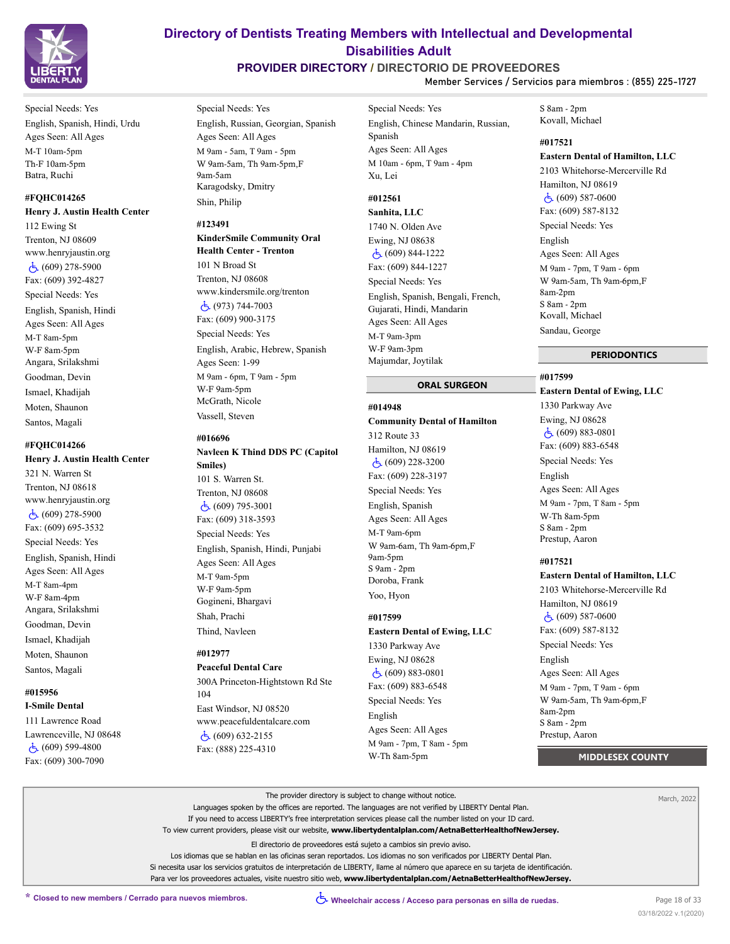

Special Needs: Yes English, Spanish, Hindi, Urdu Ages Seen: All Ages M-T 10am-5pm Th-F 10am-5pm Batra, Ruchi

### **#FQHC014265**

**Henry J. Austin Health Center** 112 Ewing St Trenton, NJ 08609 www.henryjaustin.org  $\dot{c}$  (609) 278-5900 Fax: (609) 392-4827 Special Needs: Yes English, Spanish, Hindi Ages Seen: All Ages M-T 8am-5pm W-F 8am-5pm Angara, Srilakshmi Goodman, Devin Ismael, Khadijah Moten, Shaunon Santos, Magali

#### **#FQHC014266**

# **Henry J. Austin Health Center**

321 N. Warren St Trenton, NJ 08618 www.henryjaustin.org (609) 278-5900 Fax: (609) 695-3532 Special Needs: Yes English, Spanish, Hindi Ages Seen: All Ages M-T 8am-4pm W-F 8am-4pm Angara, Srilakshmi Goodman, Devin Ismael, Khadijah Moten, Shaunon Santos, Magali

#### **#015956**

**I-Smile Dental** 111 Lawrence Road Lawrenceville, NJ 08648 (609) 599-4800 Fax: (609) 300-7090

# **Directory of Dentists Treating Members with Intellectual and Developmental Disabilities Adult**

# **PROVIDER DIRECTORY / DIRECTORIO DE PROVEEDORES**

**Member Services / Servicios para miembros : (855) 225-1727**

Special Needs: Yes

English, Russian, Georgian, Spanish Ages Seen: All Ages M 9am - 5am, T 9am - 5pm W 9am-5am, Th 9am-5pm,F 9am-5am Karagodsky, Dmitry Shin, Philip

#### **#123491**

**KinderSmile Community Oral Health Center - Trenton** 101 N Broad St Trenton, NJ 08608 www.kindersmile.org/trenton  $\dot{c}$  (973) 744-7003 Fax: (609) 900-3175 Special Needs: Yes English, Arabic, Hebrew, Spanish Ages Seen: 1-99 M 9am - 6pm, T 9am - 5pm W-F 9am-5pm McGrath, Nicole Vassell, Steven

### **#016696**

**Navleen K Thind DDS PC (Capitol Smiles)** 101 S. Warren St. Trenton, NJ 08608 (609) 795-3001 Fax: (609) 318-3593 Special Needs: Yes English, Spanish, Hindi, Punjabi Ages Seen: All Ages M-T 9am-5pm W-F 9am-5pm

Shah, Prachi

Gogineni, Bhargavi

Thind, Navleen

#### **#012977**

**Peaceful Dental Care** 300A Princeton-Hightstown Rd Ste 104 East Windsor, NJ 08520 www.peacefuldentalcare.com  $\dot{c}$  (609) 632-2155

Fax: (888) 225-4310

Special Needs: Yes English, Chinese Mandarin, Russian, Spanish Ages Seen: All Ages M 10am - 6pm, T 9am - 4pm Xu, Lei

# **#012561**

**Sanhita, LLC** 1740 N. Olden Ave Ewing, NJ 08638 (609) 844-1222 Fax: (609) 844-1227 Special Needs: Yes English, Spanish, Bengali, French, Gujarati, Hindi, Mandarin Ages Seen: All Ages M-T 9am-3pm W-F 9am-3pm Majumdar, Joytilak

#### **ORAL SURGEON**

#### **#014948**

**Community Dental of Hamilton** 312 Route 33 Hamilton, NJ 08619 (609) 228-3200 Fax: (609) 228-3197 Special Needs: Yes English, Spanish Ages Seen: All Ages M-T 9am-6pm W 9am-6am, Th 9am-6pm,F 9am-5pm S 9am - 2pm Doroba, Frank Yoo, Hyon

#### **#017599**

# **Eastern Dental of Ewing, LLC**

1330 Parkway Ave Ewing, NJ 08628 (609) 883-0801 Fax: (609) 883-6548 Special Needs: Yes English Ages Seen: All Ages M 9am - 7pm, T 8am - 5pm W-Th 8am-5pm

S 8am - 2pm Kovall, Michael

# **#017521**

# **Eastern Dental of Hamilton, LLC**

2103 Whitehorse-Mercerville Rd Hamilton, NJ 08619 (609) 587-0600 Fax: (609) 587-8132 Special Needs: Yes English Ages Seen: All Ages M 9am - 7pm, T 9am - 6pm W 9am-5am, Th 9am-6pm,F 8am-2pm S 8am - 2pm Kovall, Michael Sandau, George

#### **PERIODONTICS**

## **#017599 Eastern Dental of Ewing, LLC** 1330 Parkway Ave Ewing, NJ 08628 (609) 883-0801 Fax: (609) 883-6548 Special Needs: Yes English Ages Seen: All Ages M 9am - 7pm, T 8am - 5pm W-Th 8am-5pm S 8am - 2pm Prestup, Aaron

#### **#017521**

**Eastern Dental of Hamilton, LLC** 2103 Whitehorse-Mercerville Rd Hamilton, NJ 08619 (609) 587-0600 Fax: (609) 587-8132 Special Needs: Yes English Ages Seen: All Ages M 9am - 7pm, T 9am - 6pm W 9am-5am, Th 9am-6pm,F 8am-2pm S 8am - 2pm Prestup, Aaron

 **MIDDLESEX COUNTY**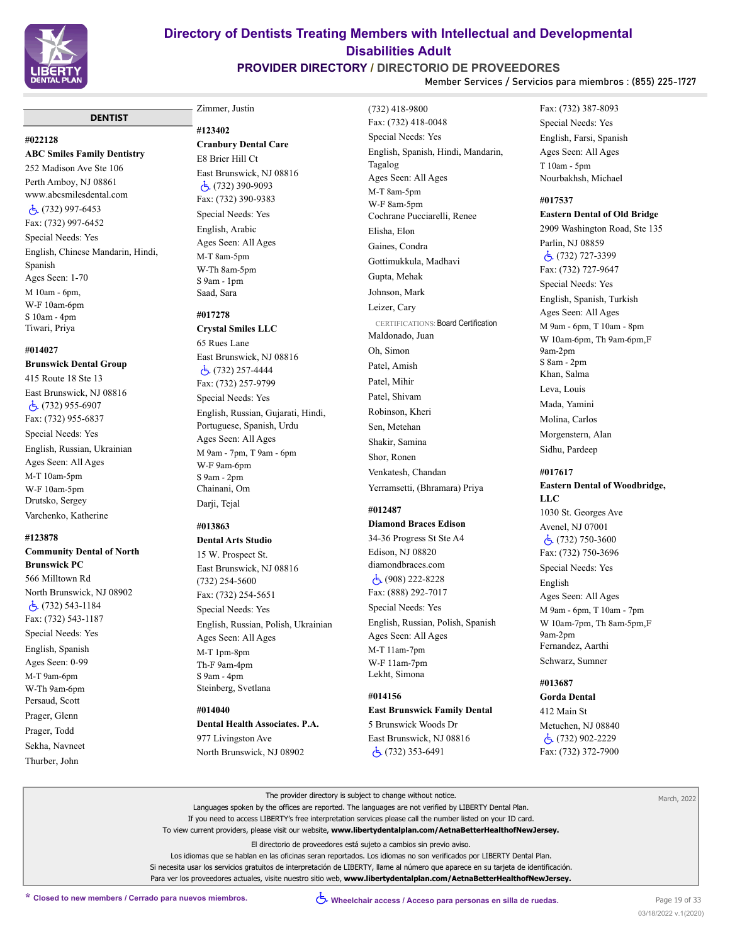

# **PROVIDER DIRECTORY / DIRECTORIO DE PROVEEDORES**

**Member Services / Servicios para miembros : (855) 225-1727**

#### **DENTIST**

#### **#022128**

**ABC Smiles Family Dentistry** 252 Madison Ave Ste 106 Perth Amboy, NJ 08861 www.abcsmilesdental.com (732) 997-6453 Fax: (732) 997-6452 Special Needs: Yes English, Chinese Mandarin, Hindi, Spanish Ages Seen: 1-70 M 10am - 6pm, W-F 10am-6pm S 10am - 4pm Tiwari, Priya

#### **#014027**

#### **Brunswick Dental Group**

415 Route 18 Ste 13 East Brunswick, NJ 08816 (732) 955-6907 Fax: (732) 955-6837 Special Needs: Yes

English, Russian, Ukrainian Ages Seen: All Ages M-T 10am-5pm W-F 10am-5pm Drutsko, Sergey

### Varchenko, Katherine

#### **#123878**

**Community Dental of North Brunswick PC** 566 Milltown Rd North Brunswick, NJ 08902 (732) 543-1184 Fax: (732) 543-1187 Special Needs: Yes English, Spanish Ages Seen: 0-99 M-T 9am-6pm W-Th 9am-6pm Persaud, Scott Prager, Glenn Prager, Todd Sekha, Navneet Thurber, John

# Zimmer, Justin **#123402**

**Cranbury Dental Care** E8 Brier Hill Ct East Brunswick, NJ 08816  $\dot{c}$  (732) 390-9093 Fax: (732) 390-9383 Special Needs: Yes English, Arabic Ages Seen: All Ages M-T 8am-5pm W-Th 8am-5pm S 9am - 1pm Saad, Sara

#### **#017278 Crystal Smiles LLC**

65 Rues Lane East Brunswick, NJ 08816 (732) 257-4444 Fax: (732) 257-9799 Special Needs: Yes English, Russian, Gujarati, Hindi, Portuguese, Spanish, Urdu Ages Seen: All Ages M 9am - 7pm, T 9am - 6pm W-F 9am-6pm S 9am - 2pm Chainani, Om Darji, Tejal

#### **#013863**

**Dental Arts Studio**

15 W. Prospect St. East Brunswick, NJ 08816 (732) 254-5600 Fax: (732) 254-5651 Special Needs: Yes English, Russian, Polish, Ukrainian Ages Seen: All Ages M-T 1pm-8pm Th-F 9am-4pm S 9am - 4pm Steinberg, Svetlana

### **#014040**

**Dental Health Associates. P.A.** 977 Livingston Ave North Brunswick, NJ 08902

(732) 418-9800 Fax: (732) 418-0048 Special Needs: Yes English, Spanish, Hindi, Mandarin, Tagalog Ages Seen: All Ages M-T 8am-5pm W-F 8am-5pm Cochrane Pucciarelli, Renee Elisha, Elon Gaines, Condra Gottimukkula, Madhavi Gupta, Mehak Johnson, Mark Leizer, Cary CERTIFICATIONS: Board Certification Maldonado, Juan Oh, Simon Patel, Amish Patel, Mihir Patel, Shivam Robinson, Kheri Sen, Metehan Shakir, Samina Shor, Ronen Venkatesh, Chandan Yerramsetti, (Bhramara) Priya

# **#012487**

**Diamond Braces Edison** 34-36 Progress St Ste A4 Edison, NJ 08820 diamondbraces.com (908) 222-8228

Fax: (888) 292-7017 Special Needs: Yes English, Russian, Polish, Spanish Ages Seen: All Ages M-T 11am-7pm W-F 11am-7pm Lekht, Simona

### **#014156**

**East Brunswick Family Dental** 5 Brunswick Woods Dr East Brunswick, NJ 08816 (732) 353-6491

Fax: (732) 387-8093 Special Needs: Yes English, Farsi, Spanish Ages Seen: All Ages T 10am - 5pm Nourbakhsh, Michael

#### **#017537**

**Eastern Dental of Old Bridge** 2909 Washington Road, Ste 135 Parlin, NJ 08859 (732) 727-3399 Fax: (732) 727-9647 Special Needs: Yes English, Spanish, Turkish Ages Seen: All Ages M 9am - 6pm, T 10am - 8pm W 10am-6pm, Th 9am-6pm,F 9am-2pm S 8am - 2pm Khan, Salma Leva, Louis Mada, Yamini Molina, Carlos Morgenstern, Alan Sidhu, Pardeep

# **#017617**

**Eastern Dental of Woodbridge, LLC** 1030 St. Georges Ave Avenel, NJ 07001  $\dot{c}$  (732) 750-3600 Fax: (732) 750-3696 Special Needs: Yes English Ages Seen: All Ages M 9am - 6pm, T 10am - 7pm W 10am-7pm, Th 8am-5pm,F 9am-2pm Fernandez, Aarthi Schwarz, Sumner

# **#013687**

**Gorda Dental** 412 Main St Metuchen, NJ 08840 (732) 902-2229 Fax: (732) 372-7900

| The provider directory is subject to change without notice.                                                                         | March, 2022 |
|-------------------------------------------------------------------------------------------------------------------------------------|-------------|
| Languages spoken by the offices are reported. The languages are not verified by LIBERTY Dental Plan.                                |             |
| If you need to access LIBERTY's free interpretation services please call the number listed on your ID card.                         |             |
| To view current providers, please visit our website, www.libertydentalplan.com/AetnaBetterHealthofNewJersey.                        |             |
| El directorio de proveedores está sujeto a cambios sin previo aviso.                                                                |             |
| Los idiomas que se hablan en las oficinas seran reportados. Los idiomas no son verificados por LIBERTY Dental Plan.                 |             |
| Si necesita usar los servicios gratuitos de interpretación de LIBERTY, llame al número que aparece en su tarjeta de identificación. |             |
| Para ver los proveedores actuales, visite nuestro sitio web, www.libertydentalplan.com/AetnaBetterHealthofNewJersey.                |             |
|                                                                                                                                     |             |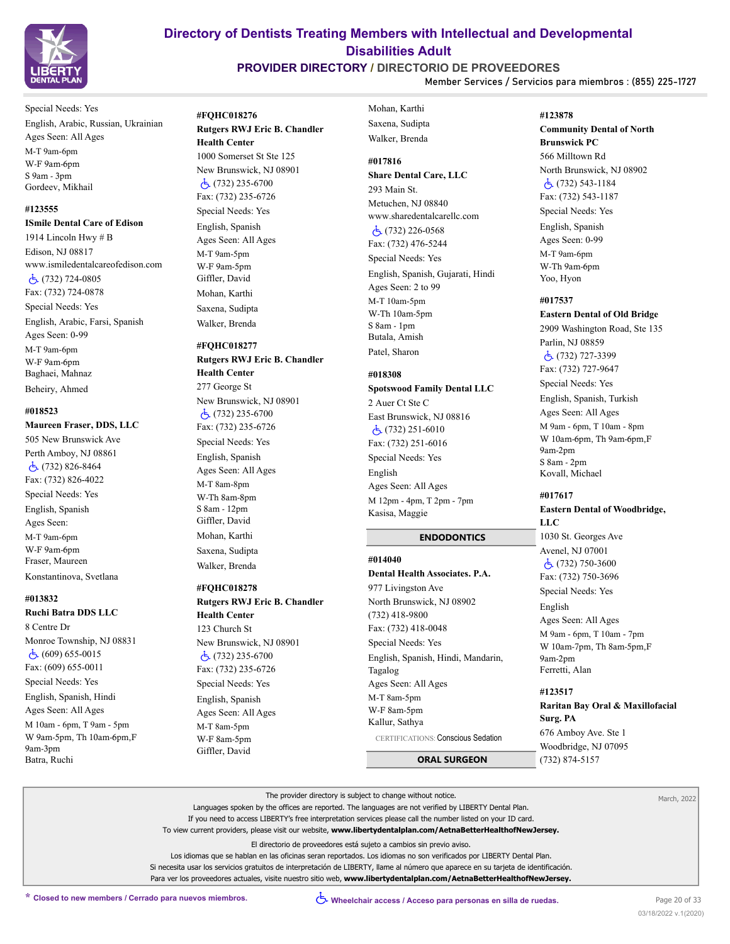

# **PROVIDER DIRECTORY / DIRECTORIO DE PROVEEDORES**

**Member Services / Servicios para miembros : (855) 225-1727**

Special Needs: Yes English, Arabic, Russian, Ukrainian Ages Seen: All Ages M-T 9am-6pm W-F 9am-6pm S 9am - 3pm Gordeev, Mikhail

#### **#123555**

**ISmile Dental Care of Edison**

1914 Lincoln Hwy # B Edison, NJ 08817 www.ismiledentalcareofedison.com (732) 724-0805 Fax: (732) 724-0878 Special Needs: Yes English, Arabic, Farsi, Spanish Ages Seen: 0-99 M-T 9am-6pm W-F 9am-6pm Baghaei, Mahnaz Beheiry, Ahmed

#### **#018523**

#### **Maureen Fraser, DDS, LLC**

505 New Brunswick Ave Perth Amboy, NJ 08861 (732) 826-8464 Fax: (732) 826-4022 Special Needs: Yes English, Spanish Ages Seen: M-T 9am-6pm W-F 9am-6pm Fraser, Maureen Konstantinova, Svetlana

#### **#013832**

#### **Ruchi Batra DDS LLC**

8 Centre Dr Monroe Township, NJ 08831 (609) 655-0015 Fax: (609) 655-0011 Special Needs: Yes English, Spanish, Hindi Ages Seen: All Ages M 10am - 6pm, T 9am - 5pm W 9am-5pm, Th 10am-6pm,F 9am-3pm Batra, Ruchi

# **#FQHC018276 Rutgers RWJ Eric B. Chandler**

# **Health Center**

1000 Somerset St Ste 125 New Brunswick, NJ 08901 (732) 235-6700 Fax: (732) 235-6726 Special Needs: Yes English, Spanish Ages Seen: All Ages M-T 9am-5pm W-F 9am-5pm Giffler, David Mohan, Karthi Saxena, Sudipta Walker, Brenda

#### **#FQHC018277**

**Rutgers RWJ Eric B. Chandler Health Center** 277 George St New Brunswick, NJ 08901 (732) 235-6700 Fax: (732) 235-6726 Special Needs: Yes English, Spanish Ages Seen: All Ages M-T 8am-8pm W-Th 8am-8pm S 8am - 12pm Giffler, David Mohan, Karthi Saxena, Sudipta Walker, Brenda

#### **#FQHC018278**

**Rutgers RWJ Eric B. Chandler Health Center** 123 Church St New Brunswick, NJ 08901 (732) 235-6700 Fax: (732) 235-6726 Special Needs: Yes English, Spanish Ages Seen: All Ages M-T 8am-5pm W-F 8am-5pm Giffler, David

Mohan, Karthi Saxena, Sudipta Walker, Brenda

# **#017816**

**Share Dental Care, LLC** 293 Main St. Metuchen, NJ 08840 www.sharedentalcarellc.com (732) 226-0568 Fax: (732) 476-5244 Special Needs: Yes English, Spanish, Gujarati, Hindi Ages Seen: 2 to 99 M-T 10am-5pm W-Th 10am-5pm S 8am - 1pm Butala, Amish Patel, Sharon

#### **#018308 Spotswood Family Dental LLC**

2 Auer Ct Ste C East Brunswick, NJ 08816 (732) 251-6010 Fax: (732) 251-6016 Special Needs: Yes English Ages Seen: All Ages M 12pm - 4pm, T 2pm - 7pm Kasisa, Maggie

#### **ENDODONTICS**

#### **#014040**

**Dental Health Associates. P.A.** 977 Livingston Ave

North Brunswick, NJ 08902 (732) 418-9800 Fax: (732) 418-0048 Special Needs: Yes English, Spanish, Hindi, Mandarin, Tagalog Ages Seen: All Ages M-T 8am-5pm W-F 8am-5pm Kallur, Sathya CERTIFICATIONS: Conscious Sedation

 **ORAL SURGEON**

# **#123878 Community Dental of North Brunswick PC** 566 Milltown Rd North Brunswick, NJ 08902 (732) 543-1184 Fax: (732) 543-1187 Special Needs: Yes English, Spanish Ages Seen: 0-99 M-T 9am-6pm W-Th 9am-6pm Yoo, Hyon

#### **#017537**

**Eastern Dental of Old Bridge** 2909 Washington Road, Ste 135 Parlin, NJ 08859 (732) 727-3399 Fax: (732) 727-9647 Special Needs: Yes English, Spanish, Turkish Ages Seen: All Ages M 9am - 6pm, T 10am - 8pm W 10am-6pm, Th 9am-6pm,F 9am-2pm S 8am - 2pm Kovall, Michael

#### **#017617**

### **Eastern Dental of Woodbridge, LLC** 1030 St. Georges Ave Avenel, NJ 07001 (732) 750-3600 Fax: (732) 750-3696 Special Needs: Yes

English Ages Seen: All Ages M 9am - 6pm, T 10am - 7pm W 10am-7pm, Th 8am-5pm,F 9am-2pm Ferretti, Alan

# **#123517 Raritan Bay Oral & Maxillofacial Surg. PA** 676 Amboy Ave. Ste 1 Woodbridge, NJ 07095 (732) 874-5157

The provider directory is subject to change without notice. Languages spoken by the offices are reported. The languages are not verified by LIBERTY Dental Plan. If you need to access LIBERTY's free interpretation services please call the number listed on your ID card. To view current providers, please visit our website, **www.libertydentalplan.com/AetnaBetterHealthofNewJersey.** El directorio de proveedores está sujeto a cambios sin previo aviso. Los idiomas que se hablan en las oficinas seran reportados. Los idiomas no son verificados por LIBERTY Dental Plan. Si necesita usar los servicios gratuitos de interpretación de LIBERTY, llame al número que aparece en su tarjeta de identificación. Para ver los proveedores actuales, visite nuestro sitio web, **www.libertydentalplan.com/AetnaBetterHealthofNewJersey.**

March, 2022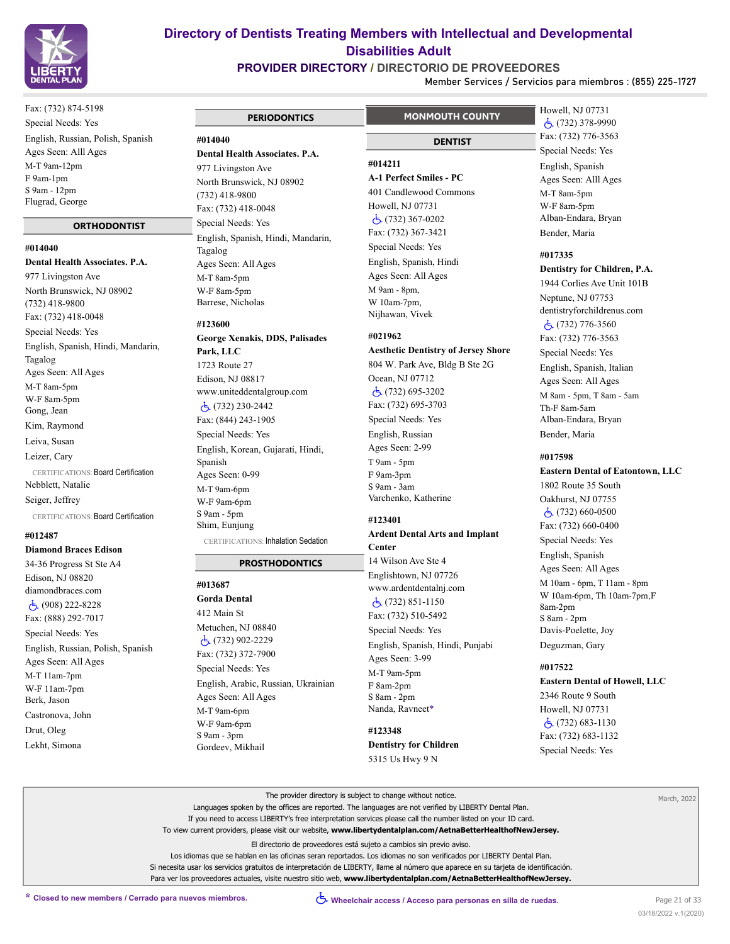

**PROVIDER DIRECTORY / DIRECTORIO DE PROVEEDORES**

**Member Services / Servicios para miembros : (855) 225-1727**

Fax: (732) 874-5198 Special Needs: Yes English, Russian, Polish, Spanish Ages Seen: Alll Ages M-T 9am-12pm F 9am-1pm S 9am - 12pm Flugrad, George

#### **ORTHODONTIST**

**#014040**

**Dental Health Associates. P.A.** 977 Livingston Ave North Brunswick, NJ 08902 (732) 418-9800 Fax: (732) 418-0048 Special Needs: Yes English, Spanish, Hindi, Mandarin, Tagalog Ages Seen: All Ages M-T 8am-5pm W-F 8am-5pm Gong, Jean Kim, Raymond Leiva, Susan Leizer, Cary CERTIFICATIONS: Board Certification Nebblett, Natalie Seiger, Jeffrey CERTIFICATIONS: Board Certification

### **#012487**

**Diamond Braces Edison** 34-36 Progress St Ste A4 Edison, NJ 08820 diamondbraces.com (908) 222-8228 Fax: (888) 292-7017 Special Needs: Yes English, Russian, Polish, Spanish Ages Seen: All Ages M-T 11am-7pm W-F 11am-7pm Berk, Jason Castronova, John Drut, Oleg Lekht, Simona

# **PERIODONTICS #014040 Dental Health Associates. P.A.** 977 Livingston Ave North Brunswick, NJ 08902 (732) 418-9800 Fax: (732) 418-0048 Special Needs: Yes English, Spanish, Hindi, Mandarin, Tagalog Ages Seen: All Ages M-T 8am-5pm W-F 8am-5pm Barrese, Nicholas **#123600**

**George Xenakis, DDS, Palisades Park, LLC** 1723 Route 27 Edison, NJ 08817 www.uniteddentalgroup.com (732) 230-2442 Fax: (844) 243-1905 Special Needs: Yes English, Korean, Gujarati, Hindi, Spanish Ages Seen: 0-99 M-T 9am-6pm W-F 9am-6pm S 9am - 5pm Shim, Eunjung CERTIFICATIONS: Inhalation Sedation

# **PROSTHODONTICS**

**#013687 Gorda Dental**

412 Main St Metuchen, NJ 08840 (732) 902-2229 Fax: (732) 372-7900 Special Needs: Yes English, Arabic, Russian, Ukrainian Ages Seen: All Ages M-T 9am-6pm W-F 9am-6pm S 9am - 3pm Gordeev, Mikhail

# **MONMOUTH COUNTY**

 **DENTIST**

**#014211**

# **A-1 Perfect Smiles - PC**

401 Candlewood Commons Howell, NJ 07731 (732) 367-0202 Fax: (732) 367-3421 Special Needs: Yes English, Spanish, Hindi Ages Seen: All Ages M 9am - 8pm, W 10am-7pm, Nijhawan, Vivek

### **#021962**

**Aesthetic Dentistry of Jersey Shore** 804 W. Park Ave, Bldg B Ste 2G Ocean, NJ 07712 (732) 695-3202 Fax: (732) 695-3703 Special Needs: Yes English, Russian Ages Seen: 2-99 T 9am - 5pm F 9am-3pm S 9am - 3am Varchenko, Katherine

#### **#123401**

#### **Ardent Dental Arts and Implant Center**

14 Wilson Ave Ste 4 Englishtown, NJ 07726 www.ardentdentalnj.com (732) 851-1150 Fax: (732) 510-5492 Special Needs: Yes English, Spanish, Hindi, Punjabi Ages Seen: 3-99 M-T 9am-5pm F 8am-2pm S 8am - 2pm Nanda, Ravneet\*

**#123348 Dentistry for Children** 5315 Us Hwy 9 N

Howell, NJ 07731 (732) 378-9990 Fax: (732) 776-3563 Special Needs: Yes English, Spanish Ages Seen: Alll Ages M-T 8am-5pm W-F 8am-5pm Alban-Endara, Bryan Bender, Maria

#### **#017335**

#### **Dentistry for Children, P.A.**

1944 Corlies Ave Unit 101B Neptune, NJ 07753 dentistryforchildrenus.com (732) 776-3560 Fax: (732) 776-3563 Special Needs: Yes English, Spanish, Italian Ages Seen: All Ages M 8am - 5pm, T 8am - 5am Th-F 8am-5am Alban-Endara, Bryan Bender, Maria

#### **#017598**

# **Eastern Dental of Eatontown, LLC**

1802 Route 35 South Oakhurst, NJ 07755 (732) 660-0500 Fax: (732) 660-0400 Special Needs: Yes English, Spanish Ages Seen: All Ages M 10am - 6pm, T 11am - 8pm W 10am-6pm, Th 10am-7pm,F 8am-2pm S 8am - 2pm Davis-Poelette, Joy Deguzman, Gary

#### **#017522**

**Eastern Dental of Howell, LLC**

2346 Route 9 South Howell, NJ 07731  $\dot{c}$  (732) 683-1130 Fax: (732) 683-1132 Special Needs: Yes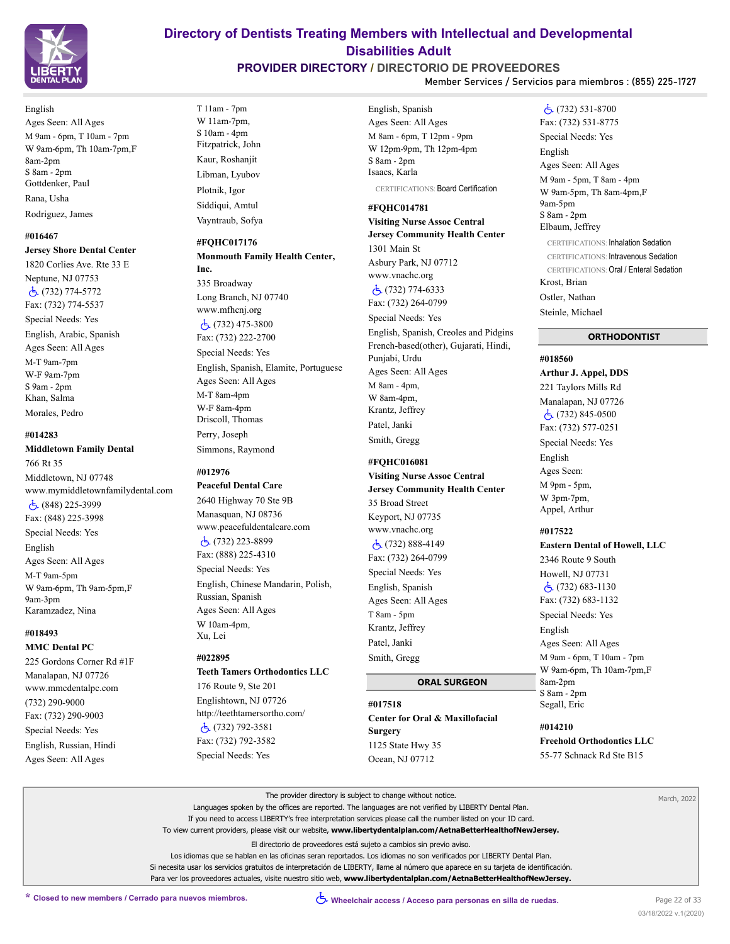

English Ages Seen: All Ages M 9am - 6pm, T 10am - 7pm W 9am-6pm, Th 10am-7pm,F 8am-2pm S 8am - 2pm Gottdenker, Paul Rana, Usha Rodriguez, James

# **#016467**

**Jersey Shore Dental Center** 1820 Corlies Ave. Rte 33 E Neptune, NJ 07753 (732) 774-5772 Fax: (732) 774-5537 Special Needs: Yes English, Arabic, Spanish Ages Seen: All Ages M-T 9am-7pm W-F 9am-7pm S 9am - 2pm Khan, Salma Morales, Pedro

### **#014283**

### **Middletown Family Dental** 766 Rt 35 Middletown, NJ 07748 www.mymiddletownfamilydental.com (848) 225-3999 Fax: (848) 225-3998 Special Needs: Yes English Ages Seen: All Ages M-T 9am-5pm W 9am-6pm, Th 9am-5pm,F 9am-3pm Karamzadez, Nina

#### **#018493 MMC Dental PC**

225 Gordons Corner Rd #1F Manalapan, NJ 07726 www.mmcdentalpc.com (732) 290-9000 Fax: (732) 290-9003 Special Needs: Yes English, Russian, Hindi Ages Seen: All Ages

# **Directory of Dentists Treating Members with Intellectual and Developmental Disabilities Adult**

# **PROVIDER DIRECTORY / DIRECTORIO DE PROVEEDORES**

**Member Services / Servicios para miembros : (855) 225-1727**

T 11am - 7pm W 11am-7pm, S 10am - 4pm Fitzpatrick, John Kaur, Roshanjit Libman, Lyubov Plotnik, Igor Siddiqui, Amtul Vayntraub, Sofya

## **#FQHC017176**

#### **Monmouth Family Health Center, Inc.**

335 Broadway Long Branch, NJ 07740 www.mfhcnj.org (732) 475-3800 Fax: (732) 222-2700 Special Needs: Yes English, Spanish, Elamite, Portuguese Ages Seen: All Ages M-T 8am-4pm W-F 8am-4pm Driscoll, Thomas Perry, Joseph Simmons, Raymond

# **#012976**

**Peaceful Dental Care** 2640 Highway 70 Ste 9B Manasquan, NJ 08736 www.peacefuldentalcare.com (732) 223-8899 Fax: (888) 225-4310 Special Needs: Yes English, Chinese Mandarin, Polish, Russian, Spanish Ages Seen: All Ages W 10am-4pm, Xu, Lei

### **#022895**

# **Teeth Tamers Orthodontics LLC** 176 Route 9, Ste 201

Englishtown, NJ 07726 http://teethtamersortho.com/ (732) 792-3581 Fax: (732) 792-3582 Special Needs: Yes

English, Spanish Ages Seen: All Ages M 8am - 6pm, T 12pm - 9pm W 12pm-9pm, Th 12pm-4pm S 8am - 2pm Isaacs, Karla CERTIFICATIONS: Board Certification

### **#FQHC014781**

**Visiting Nurse Assoc Central Jersey Community Health Center** 1301 Main St Asbury Park, NJ 07712 www.vnachc.org (732) 774-6333 Fax: (732) 264-0799 Special Needs: Yes English, Spanish, Creoles and Pidgins French-based(other), Gujarati, Hindi, Punjabi, Urdu Ages Seen: All Ages M 8am - 4pm, W 8am-4pm, Krantz, Jeffrey Patel, Janki Smith, Gregg

# **#FQHC016081**

**Visiting Nurse Assoc Central Jersey Community Health Center** 35 Broad Street Keyport, NJ 07735 www.vnachc.org (732) 888-4149 Fax: (732) 264-0799 Special Needs: Yes English, Spanish Ages Seen: All Ages T 8am - 5pm Krantz, Jeffrey Patel, Janki Smith, Gregg

# **ORAL SURGEON**

# **#017518 Center for Oral & Maxillofacial Surgery** 1125 State Hwy 35 Ocean, NJ 07712

# (732) 531-8700 Fax: (732) 531-8775

Special Needs: Yes English Ages Seen: All Ages M 9am - 5pm, T 8am - 4pm W 9am-5pm, Th 8am-4pm,F 9am-5pm S 8am - 2pm Elbaum, Jeffrey CERTIFICATIONS: Inhalation Sedation CERTIFICATIONS: Intravenous Sedation CERTIFICATIONS: Oral / Enteral Sedation Krost, Brian Ostler, Nathan Steinle, Michael

### **ORTHODONTIST**

# **#018560 Arthur J. Appel, DDS**

221 Taylors Mills Rd Manalapan, NJ 07726 (732) 845-0500 Fax: (732) 577-0251 Special Needs: Yes English Ages Seen: M 9pm - 5pm, W 3pm-7pm, Appel, Arthur

# **#017522**

**Eastern Dental of Howell, LLC** 2346 Route 9 South Howell, NJ 07731  $\dot{c}$ (732) 683-1130 Fax: (732) 683-1132 Special Needs: Yes English Ages Seen: All Ages M 9am - 6pm, T 10am - 7pm W 9am-6pm, Th 10am-7pm,F 8am-2pm S 8am - 2pm Segall, Eric

# **#014210**

**Freehold Orthodontics LLC** 55-77 Schnack Rd Ste B15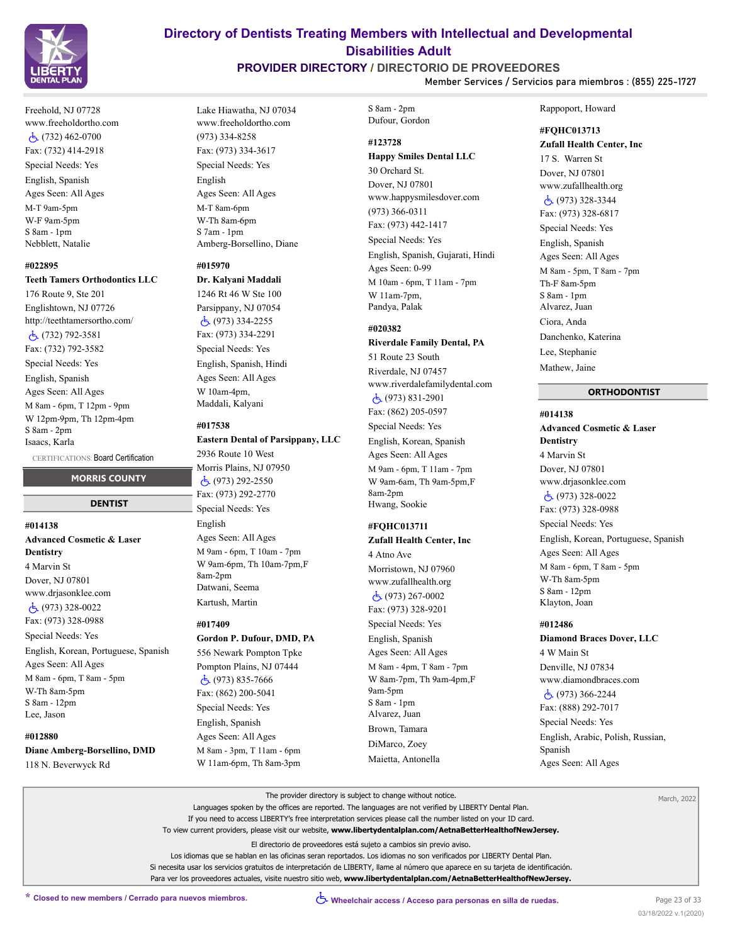

Freehold, NJ 07728 www.freeholdortho.com (732) 462-0700 Fax: (732) 414-2918 Special Needs: Yes English, Spanish Ages Seen: All Ages M-T 9am-5pm W-F 9am-5pm S 8am - 1pm Nebblett, Natalie

#### **#022895**

#### **Teeth Tamers Orthodontics LLC**

176 Route 9, Ste 201 Englishtown, NJ 07726 http://teethtamersortho.com/ (732) 792-3581 Fax: (732) 792-3582 Special Needs: Yes English, Spanish Ages Seen: All Ages M 8am - 6pm, T 12pm - 9pm W 12pm-9pm, Th 12pm-4pm S 8am - 2pm Isaacs, Karla

CERTIFICATIONS: Board Certification

# **MORRIS COUNTY DENTIST**

# **#014138**

**Advanced Cosmetic & Laser Dentistry** 4 Marvin St Dover, NJ 07801 www.drjasonklee.com (973) 328-0022 Fax: (973) 328-0988 Special Needs: Yes English, Korean, Portuguese, Spanish Ages Seen: All Ages M 8am - 6pm, T 8am - 5pm W-Th 8am-5pm S 8am - 12pm Lee, Jason

#### **#012880**

**Diane Amberg-Borsellino, DMD** 118 N. Beverwyck Rd

# **Directory of Dentists Treating Members with Intellectual and Developmental Disabilities Adult**

# **PROVIDER DIRECTORY / DIRECTORIO DE PROVEEDORES**

**Member Services / Servicios para miembros : (855) 225-1727**

Lake Hiawatha, NJ 07034 www.freeholdortho.com (973) 334-8258 Fax: (973) 334-3617 Special Needs: Yes English Ages Seen: All Ages M-T 8am-6pm W-Th 8am-6pm S 7am - 1pm Amberg-Borsellino, Diane

#### **#015970**

# **Dr. Kalyani Maddali** 1246 Rt 46 W Ste 100 Parsippany, NJ 07054

 (973) 334-2255 Fax: (973) 334-2291 Special Needs: Yes English, Spanish, Hindi Ages Seen: All Ages W 10am-4pm, Maddali, Kalyani

#### **#017538**

#### **Eastern Dental of Parsippany, LLC**

2936 Route 10 West Morris Plains, NJ 07950 (973) 292-2550 Fax: (973) 292-2770 Special Needs: Yes English Ages Seen: All Ages M 9am - 6pm, T 10am - 7pm W 9am-6pm, Th 10am-7pm,F 8am-2pm Datwani, Seema Kartush, Martin

#### **#017409**

# **Gordon P. Dufour, DMD, PA**

556 Newark Pompton Tpke Pompton Plains, NJ 07444 (973) 835-7666 Fax: (862) 200-5041 Special Needs: Yes English, Spanish Ages Seen: All Ages M 8am - 3pm, T 11am - 6pm W 11am-6pm, Th 8am-3pm

# S 8am - 2pm Dufour, Gordon

**#123728**

# **Happy Smiles Dental LLC**

30 Orchard St. Dover, NJ 07801 www.happysmilesdover.com (973) 366-0311 Fax: (973) 442-1417 Special Needs: Yes English, Spanish, Gujarati, Hindi Ages Seen: 0-99 M 10am - 6pm, T 11am - 7pm W 11am-7pm, Pandya, Palak

### **#020382**

**Riverdale Family Dental, PA** 51 Route 23 South Riverdale, NJ 07457 www.riverdalefamilydental.com (973) 831-2901 Fax: (862) 205-0597 Special Needs: Yes English, Korean, Spanish Ages Seen: All Ages M 9am - 6pm, T 11am - 7pm W 9am-6am, Th 9am-5pm,F

8am-2pm Hwang, Sookie

# **#FQHC013711**

**Zufall Health Center, Inc** 4 Atno Ave Morristown, NJ 07960 www.zufallhealth.org (973) 267-0002 Fax: (973) 328-9201

Special Needs: Yes English, Spanish Ages Seen: All Ages M 8am - 4pm, T 8am - 7pm W 8am-7pm, Th 9am-4pm,F 9am-5pm S 8am - 1pm Alvarez, Juan Brown, Tamara DiMarco, Zoey Maietta, Antonella

#### Rappoport, Howard

### **#FQHC013713**

**Zufall Health Center, Inc**

17 S. Warren St Dover, NJ 07801 www.zufallhealth.org (973) 328-3344 Fax: (973) 328-6817 Special Needs: Yes English, Spanish Ages Seen: All Ages M 8am - 5pm, T 8am - 7pm Th-F 8am-5pm S 8am - 1pm Alvarez, Juan Ciora, Anda Danchenko, Katerina Lee, Stephanie Mathew, Jaine

### **ORTHODONTIST**

**#014138 Advanced Cosmetic & Laser Dentistry** 4 Marvin St Dover, NJ 07801 www.drjasonklee.com (973) 328-0022 Fax: (973) 328-0988 Special Needs: Yes English, Korean, Portuguese, Spanish Ages Seen: All Ages M 8am - 6pm, T 8am - 5pm W-Th 8am-5pm S 8am - 12pm Klayton, Joan

### **#012486**

**Diamond Braces Dover, LLC** 4 W Main St Denville, NJ 07834 www.diamondbraces.com (973) 366-2244 Fax: (888) 292-7017 Special Needs: Yes English, Arabic, Polish, Russian, Spanish Ages Seen: All Ages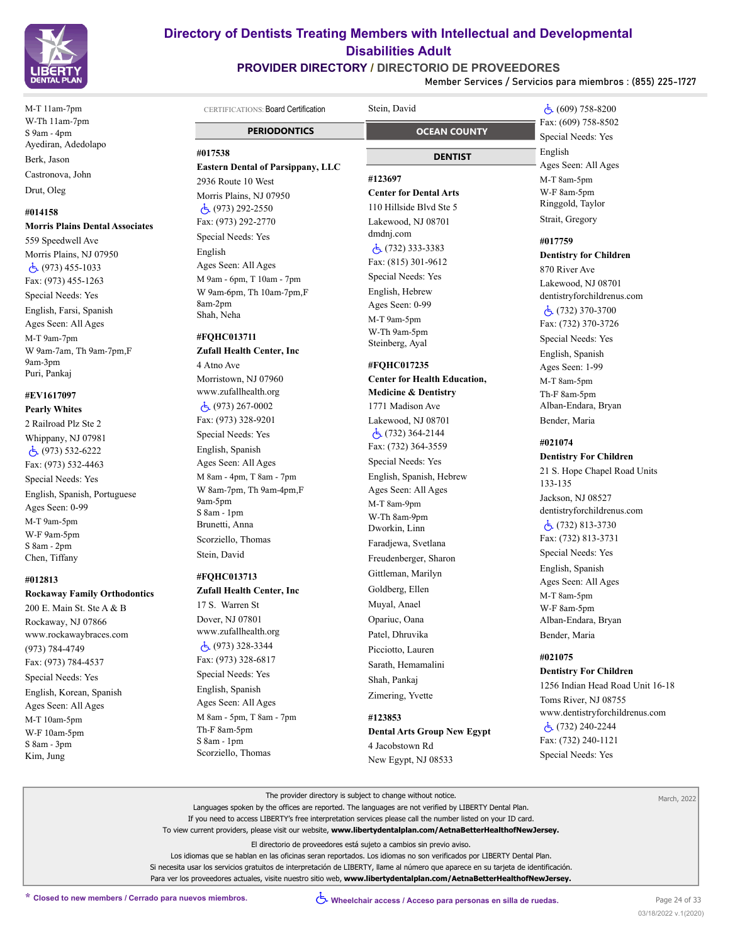

M-T 11am-7pm W-Th 11am-7pm S 9am - 4pm Ayediran, Adedolapo Berk, Jason Castronova, John Drut, Oleg

#### **#014158**

**Morris Plains Dental Associates**

559 Speedwell Ave Morris Plains, NJ 07950 (973) 455-1033 Fax: (973) 455-1263 Special Needs: Yes English, Farsi, Spanish Ages Seen: All Ages M-T 9am-7pm W 9am-7am, Th 9am-7pm,F 9am-3pm Puri, Pankaj

# **#EV1617097**

**Pearly Whites** 2 Railroad Plz Ste 2 Whippany, NJ 07981 (973) 532-6222 Fax: (973) 532-4463 Special Needs: Yes English, Spanish, Portuguese Ages Seen: 0-99 M-T 9am-5pm W-F 9am-5pm S 8am - 2pm Chen, Tiffany

#### **#012813**

#### **Rockaway Family Orthodontics**

200 E. Main St. Ste A & B Rockaway, NJ 07866 www.rockawaybraces.com (973) 784-4749 Fax: (973) 784-4537 Special Needs: Yes English, Korean, Spanish Ages Seen: All Ages M-T 10am-5pm W-F 10am-5pm S 8am - 3pm Kim, Jung

# **Directory of Dentists Treating Members with Intellectual and Developmental Disabilities Adult**

# **PROVIDER DIRECTORY / DIRECTORIO DE PROVEEDORES**

**Member Services / Servicios para miembros : (855) 225-1727**

Indian Head Road Unit 16-18

| CERTIFICATIONS: Board Certification      | Stein, David                                    | رقم) 758-8200                  |
|------------------------------------------|-------------------------------------------------|--------------------------------|
|                                          |                                                 | Fax: (609) 758-8502            |
| <b>PERIODONTICS</b>                      | <b>OCEAN COUNTY</b>                             | Special Needs: Yes             |
| #017538                                  | DENTIST                                         | English                        |
| <b>Eastern Dental of Parsippany, LLC</b> |                                                 | Ages Seen: All Ages            |
| 2936 Route 10 West                       | #123697                                         | M-T 8am-5pm                    |
| Morris Plains, NJ 07950                  | <b>Center for Dental Arts</b>                   | W-F 8am-5pm                    |
| $\dot{c}$ (973) 292-2550                 | 110 Hillside Blyd Ste 5                         | Ringgold, Taylor               |
| Fax: (973) 292-2770                      | Lakewood, NJ 08701                              | Strait, Gregory                |
| Special Needs: Yes                       | dmdnj.com                                       | #017759                        |
| English                                  | $\dot{c}$ (732) 333-3383                        | <b>Dentistry for Children</b>  |
| Ages Seen: All Ages                      | Fax: (815) 301-9612                             | 870 River Ave                  |
| M 9am - 6pm, T 10am - 7pm                | Special Needs: Yes                              | Lakewood, NJ 08701             |
| W 9am-6pm, Th 10am-7pm,F                 | English, Hebrew                                 | dentistryforchildrenus.com     |
| 8am-2pm                                  | Ages Seen: 0-99                                 | $\dot{5}$ (732) 370-3700       |
| Shah, Neha                               | M-T 9am-5pm                                     |                                |
| #FQHC013711                              | W-Th 9am-5pm                                    | Fax: (732) 370-3726            |
| <b>Zufall Health Center, Inc</b>         | Steinberg, Ayal                                 | Special Needs: Yes             |
| 4 Atno Ave                               |                                                 | English, Spanish               |
|                                          | #FOHC017235                                     | Ages Seen: 1-99                |
| Morristown, NJ 07960                     | <b>Center for Health Education,</b>             | M-T 8am-5pm                    |
| www.zufallhealth.org                     | <b>Medicine &amp; Dentistry</b>                 | Th-F 8am-5pm                   |
| $\dot{c}$ (973) 267-0002                 | 1771 Madison Ave                                | Alban-Endara, Bryan            |
| Fax: (973) 328-9201                      | Lakewood, NJ 08701                              | Bender, Maria                  |
| Special Needs: Yes                       | $\dot{c}$ (732) 364-2144<br>Fax: (732) 364-3559 | #021074                        |
| English, Spanish                         |                                                 | <b>Dentistry For Children</b>  |
| Ages Seen: All Ages                      | Special Needs: Yes                              | 21 S. Hope Chapel Road Units   |
| M 8am - 4pm, T 8am - 7pm                 | English, Spanish, Hebrew                        | 133-135                        |
| W 8am-7pm, Th 9am-4pm,F<br>9am-5pm       | Ages Seen: All Ages                             | Jackson, NJ 08527              |
| S 8am - 1pm                              | M-T 8am-9pm                                     | dentistryforchildrenus.com     |
| Brunetti, Anna                           | W-Th 8am-9pm<br>Dworkin, Linn                   | $\dot{5}$ (732) 813-3730       |
| Scorziello, Thomas                       |                                                 | Fax: (732) 813-3731            |
| Stein, David                             | Faradjewa, Svetlana                             | Special Needs: Yes             |
|                                          | Freudenberger, Sharon                           | English, Spanish               |
| #FQHC013713                              | Gittleman, Marilyn                              | Ages Seen: All Ages            |
| <b>Zufall Health Center, Inc</b>         | Goldberg, Ellen                                 | M-T 8am-5pm                    |
| 17 S. Warren St                          | Muyal, Anael                                    | W-F 8am-5pm                    |
| Dover, NJ 07801                          | Opariuc, Oana                                   | Alban-Endara, Bryan            |
| www.zufallhealth.org                     | Patel, Dhruvika                                 | Bender, Maria                  |
| $\dot{5}$ (973) 328-3344                 | Picciotto, Lauren                               |                                |
| Fax: (973) 328-6817                      | Sarath, Hemamalini                              | #021075                        |
| Special Needs: Yes                       | Shah, Pankaj                                    | <b>Dentistry For Children</b>  |
| English, Spanish                         |                                                 | 1256 Indian Head Road Unit 16- |
| Ages Seen: All Ages                      | Zimering, Yvette                                | Toms River, NJ 08755           |
| M 8am - 5pm, T 8am - 7pm                 | #123853                                         | www.dentistryforchildrenus.com |
| Th-F 8am-5pm                             | <b>Dental Arts Group New Egypt</b>              | $\dot{5}$ (732) 240-2244       |
| S 8am - 1pm                              | 4 Jacobstown Rd                                 | Fax: (732) 240-1121            |
| Scorziello, Thomas                       | New Egypt, NJ 08533                             | Special Needs: Yes             |

March, 2022

| The provider directory is subject to change without notice.                                                                         |  |
|-------------------------------------------------------------------------------------------------------------------------------------|--|
| Languages spoken by the offices are reported. The languages are not verified by LIBERTY Dental Plan.                                |  |
| If you need to access LIBERTY's free interpretation services please call the number listed on your ID card.                         |  |
| To view current providers, please visit our website, www.libertydentalplan.com/AetnaBetterHealthofNewJersey.                        |  |
| El directorio de proveedores está sujeto a cambios sin previo aviso.                                                                |  |
| Los idiomas que se hablan en las oficinas seran reportados. Los idiomas no son verificados por LIBERTY Dental Plan.                 |  |
| Si necesita usar los servicios gratuitos de interpretación de LIBERTY, llame al número que aparece en su tarjeta de identificación. |  |
| Para ver los proveedores actuales, visite nuestro sitio web, www.libertydentalplan.com/AetnaBetterHealthofNewJersey.                |  |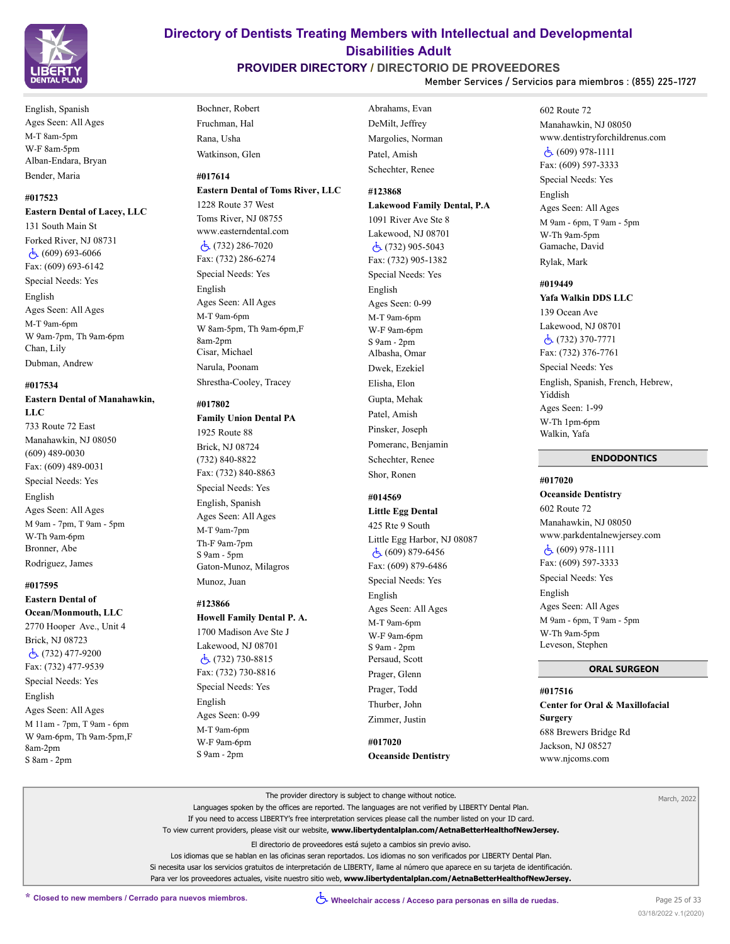

English, Spanish Ages Seen: All Ages M-T 8am-5pm W-F 8am-5pm Alban-Endara, Bryan Bender, Maria

### **#017523**

#### **Eastern Dental of Lacey, LLC**

131 South Main St Forked River, NJ 08731 (609) 693-6066 Fax: (609) 693-6142 Special Needs: Yes English Ages Seen: All Ages M-T 9am-6pm W 9am-7pm, Th 9am-6pm Chan, Lily Dubman, Andrew

#### **#017534**

**Eastern Dental of Manahawkin, LLC** 733 Route 72 East Manahawkin, NJ 08050 (609) 489-0030 Fax: (609) 489-0031

Special Needs: Yes English Ages Seen: All Ages M 9am - 7pm, T 9am - 5pm W-Th 9am-6pm Bronner, Abe Rodriguez, James

#### **#017595**

**Eastern Dental of Ocean/Monmouth, LLC** 2770 Hooper Ave., Unit 4 Brick, NJ 08723 (732) 477-9200 Fax: (732) 477-9539 Special Needs: Yes English Ages Seen: All Ages M 11am - 7pm, T 9am - 6pm W 9am-6pm, Th 9am-5pm,F 8am-2pm S 8am - 2pm

Bochner, Robert Fruchman, Hal Rana, Usha Watkinson, Glen

#### **#017614 Eastern Dental of Toms River, LLC**

1228 Route 37 West Toms River, NJ 08755 www.easterndental.com (732) 286-7020 Fax: (732) 286-6274 Special Needs: Yes English Ages Seen: All Ages M-T 9am-6pm W 8am-5pm, Th 9am-6pm,F 8am-2pm Cisar, Michael Narula, Poonam Shrestha-Cooley, Tracey

#### **#017802**

**Family Union Dental PA** 1925 Route 88 Brick, NJ 08724 (732) 840-8822 Fax: (732) 840-8863 Special Needs: Yes English, Spanish Ages Seen: All Ages M-T 9am-7pm Th-F 9am-7pm S 9am - 5pm Gaton-Munoz, Milagros

Munoz, Juan

#### **#123866**

**Howell Family Dental P. A.**

1700 Madison Ave Ste J Lakewood, NJ 08701 (732) 730-8815 Fax: (732) 730-8816 Special Needs: Yes English Ages Seen: 0-99 M-T 9am-6pm W-F 9am-6pm S 9am - 2pm

Abrahams, Evan DeMilt, Jeffrey Margolies, Norman Patel, Amish Schechter, Renee

# **#123868**

**Lakewood Family Dental, P.A** 1091 River Ave Ste 8 Lakewood, NJ 08701 (732) 905-5043 Fax: (732) 905-1382 Special Needs: Yes English Ages Seen: 0-99 M-T 9am-6pm W-F 9am-6pm S 9am - 2pm Albasha, Omar Dwek, Ezekiel Elisha, Elon Gupta, Mehak Patel, Amish Pinsker, Joseph Pomeranc, Benjamin Schechter, Renee Shor, Ronen

### **#014569**

**Little Egg Dental** 425 Rte 9 South Little Egg Harbor, NJ 08087 (609) 879-6456 Fax: (609) 879-6486 Special Needs: Yes English Ages Seen: All Ages M-T 9am-6pm W-F 9am-6pm S 9am - 2pm Persaud, Scott Prager, Glenn Prager, Todd Thurber, John Zimmer, Justin

**#017020 Oceanside Dentistry** 602 Route 72 Manahawkin, NJ 08050 www.dentistryforchildrenus.com (609) 978-1111 Fax: (609) 597-3333 Special Needs: Yes English Ages Seen: All Ages M 9am - 6pm, T 9am - 5pm W-Th 9am-5pm Gamache, David Rylak, Mark

### **#019449**

**Yafa Walkin DDS LLC**

139 Ocean Ave Lakewood, NJ 08701 (732) 370-7771 Fax: (732) 376-7761 Special Needs: Yes English, Spanish, French, Hebrew, Yiddish Ages Seen: 1-99 W-Th 1pm-6pm Walkin, Yafa

### **ENDODONTICS**

**#017020 Oceanside Dentistry**

602 Route 72 Manahawkin, NJ 08050 www.parkdentalnewjersey.com (609) 978-1111 Fax: (609) 597-3333 Special Needs: Yes English Ages Seen: All Ages M 9am - 6pm, T 9am - 5pm W-Th 9am-5pm Leveson, Stephen

#### **ORAL SURGEON**

**#017516 Center for Oral & Maxillofacial Surgery** 688 Brewers Bridge Rd Jackson, NJ 08527 www.njcoms.com

The provider directory is subject to change without notice. Languages spoken by the offices are reported. The languages are not verified by LIBERTY Dental Plan. If you need to access LIBERTY's free interpretation services please call the number listed on your ID card. To view current providers, please visit our website, **www.libertydentalplan.com/AetnaBetterHealthofNewJersey.** El directorio de proveedores está sujeto a cambios sin previo aviso. Los idiomas que se hablan en las oficinas seran reportados. Los idiomas no son verificados por LIBERTY Dental Plan. Si necesita usar los servicios gratuitos de interpretación de LIBERTY, llame al número que aparece en su tarjeta de identificación. Para ver los proveedores actuales, visite nuestro sitio web, **www.libertydentalplan.com/AetnaBetterHealthofNewJersey.** March, 2022

# **Directory of Dentists Treating Members with Intellectual and Developmental Disabilities Adult**

### **PROVIDER DIRECTORY / DIRECTORIO DE PROVEEDORES Member Services / Servicios para miembros : (855) 225-1727**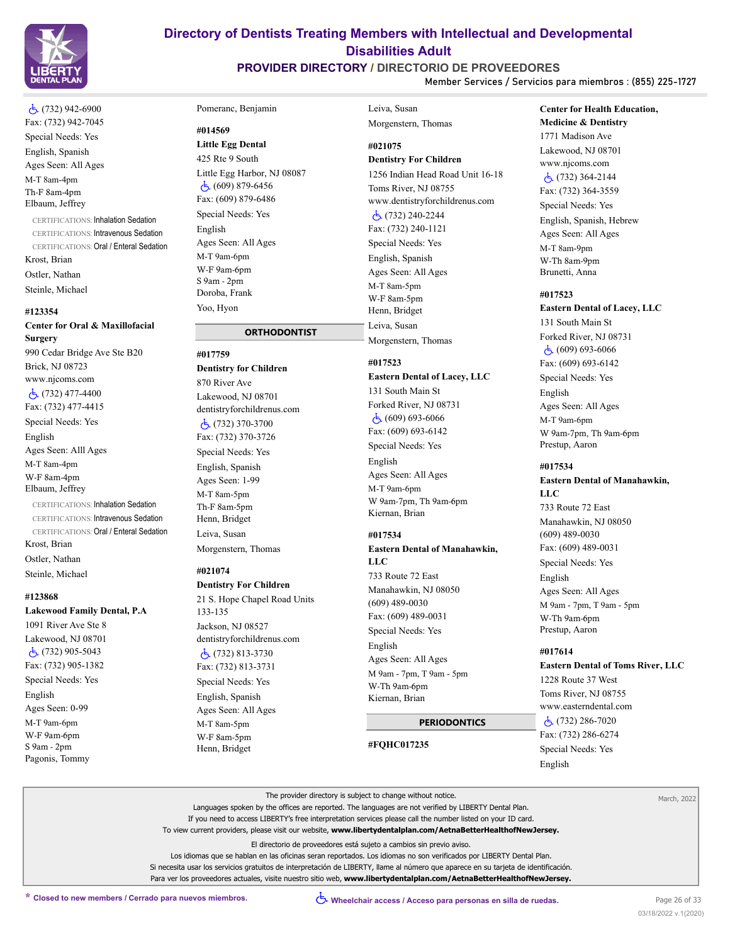

# **PROVIDER DIRECTORY / DIRECTORIO DE PROVEEDORES**

Leiva, Susan

**Member Services / Servicios para miembros : (855) 225-1727**

# (732) 942-6900 Fax: (732) 942-7045

Special Needs: Yes English, Spanish Ages Seen: All Ages M-T 8am-4pm Th-F 8am-4pm Elbaum, Jeffrey

CERTIFICATIONS: Inhalation Sedation CERTIFICATIONS: Intravenous Sedation CERTIFICATIONS: Oral / Enteral Sedation Krost, Brian Ostler, Nathan Steinle, Michael

#### **#123354**

**Center for Oral & Maxillofacial Surgery** 990 Cedar Bridge Ave Ste B20

Brick, NJ 08723 www.njcoms.com  $\dot{c}$  (732) 477-4400 Fax: (732) 477-4415 Special Needs: Yes English Ages Seen: Alll Ages M-T 8am-4pm W-F 8am-4pm

Elbaum, Jeffrey CERTIFICATIONS: Inhalation Sedation

CERTIFICATIONS: Intravenous Sedation CERTIFICATIONS: Oral / Enteral Sedation Krost, Brian

Ostler, Nathan Steinle, Michael

#### **#123868**

**Lakewood Family Dental, P.A**

1091 River Ave Ste 8 Lakewood, NJ 08701 (732) 905-5043 Fax: (732) 905-1382 Special Needs: Yes English Ages Seen: 0-99 M-T 9am-6pm W-F 9am-6pm S 9am - 2pm Pagonis, Tommy

#### Pomeranc, Benjamin

#### **#014569**

**Little Egg Dental** 425 Rte 9 South Little Egg Harbor, NJ 08087  $\dot{c}$  (609) 879-6456 Fax: (609) 879-6486 Special Needs: Yes English Ages Seen: All Ages M-T 9am-6pm W-F 9am-6pm S 9am - 2pm Doroba, Frank Yoo, Hyon

# **ORTHODONTIST**

**#017759 Dentistry for Children** 870 River Ave Lakewood, NJ 08701 dentistryforchildrenus.com (732) 370-3700 Fax: (732) 370-3726 Special Needs: Yes English, Spanish Ages Seen: 1-99 M-T 8am-5pm Th-F 8am-5pm Henn, Bridget Leiva, Susan Morgenstern, Thomas

# **#021074**

Henn, Bridget

**Dentistry For Children** 21 S. Hope Chapel Road Units 133-135 Jackson, NJ 08527 dentistryforchildrenus.com (732) 813-3730 Fax: (732) 813-3731 Special Needs: Yes English, Spanish Ages Seen: All Ages M-T 8am-5pm W-F 8am-5pm

Morgenstern, Thomas

# **#021075**

**Dentistry For Children** 1256 Indian Head Road Unit 16-18 Toms River, NJ 08755 www.dentistryforchildrenus.com (732) 240-2244 Fax: (732) 240-1121 Special Needs: Yes English, Spanish Ages Seen: All Ages M-T 8am-5pm W-F 8am-5pm Henn, Bridget Leiva, Susan Morgenstern, Thomas

### **#017523**

#### **Eastern Dental of Lacey, LLC**

131 South Main St Forked River, NJ 08731  $\dot{c}$  (609) 693-6066 Fax: (609) 693-6142 Special Needs: Yes

English Ages Seen: All Ages M-T 9am-6pm W 9am-7pm, Th 9am-6pm Kiernan, Brian

### **#017534**

**Eastern Dental of Manahawkin, LLC** 733 Route 72 East Manahawkin, NJ 08050 (609) 489-0030 Fax: (609) 489-0031

Special Needs: Yes English Ages Seen: All Ages M 9am - 7pm, T 9am - 5pm W-Th 9am-6pm Kiernan, Brian

# **PERIODONTICS**

**#FQHC017235**

# **Center for Health Education,**

**Medicine & Dentistry** 1771 Madison Ave Lakewood, NJ 08701 www.njcoms.com (732) 364-2144

Fax: (732) 364-3559 Special Needs: Yes English, Spanish, Hebrew Ages Seen: All Ages M-T 8am-9pm W-Th 8am-9pm

Brunetti, Anna

# **#017523**

# **Eastern Dental of Lacey, LLC**

131 South Main St Forked River, NJ 08731 (609) 693-6066 Fax: (609) 693-6142 Special Needs: Yes English Ages Seen: All Ages M-T 9am-6pm W 9am-7pm, Th 9am-6pm Prestup, Aaron

#### **#017534**

**Eastern Dental of Manahawkin, LLC** 733 Route 72 East Manahawkin, NJ 08050 (609) 489-0030 Fax: (609) 489-0031 Special Needs: Yes English Ages Seen: All Ages M 9am - 7pm, T 9am - 5pm W-Th 9am-6pm Prestup, Aaron

#### **#017614**

**Eastern Dental of Toms River, LLC** 1228 Route 37 West Toms River, NJ 08755 www.easterndental.com (732) 286-7020 Fax: (732) 286-6274 Special Needs: Yes English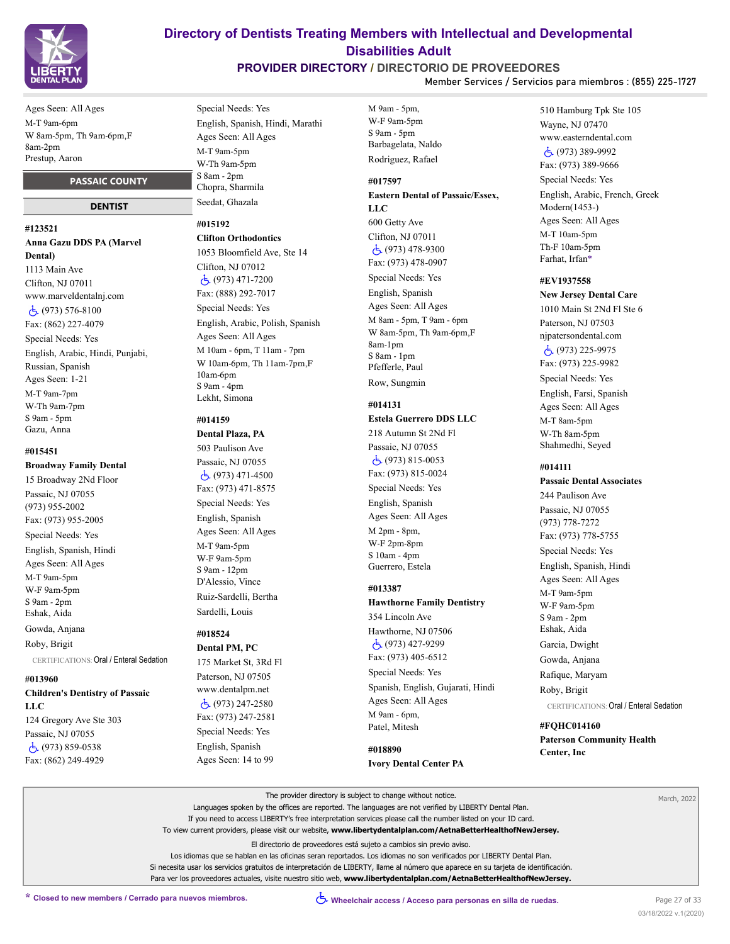

**PROVIDER DIRECTORY / DIRECTORIO DE PROVEEDORES**

**Member Services / Servicios para miembros : (855) 225-1727**

Ages Seen: All Ages M-T 9am-6pm W 8am-5pm, Th 9am-6pm,F 8am-2pm Prestup, Aaron

### **PASSAIC COUNTY**

#### **DENTIST**

**#123521 Anna Gazu DDS PA (Marvel Dental)** 1113 Main Ave Clifton, NJ 07011 www.marveldentalnj.com  $\dot{c}$  (973) 576-8100 Fax: (862) 227-4079 Special Needs: Yes English, Arabic, Hindi, Punjabi, Russian, Spanish Ages Seen: 1-21 M-T 9am-7pm W-Th 9am-7pm S 9am - 5pm Gazu, Anna

#### **#015451**

**Broadway Family Dental**

15 Broadway 2Nd Floor Passaic, NJ 07055 (973) 955-2002 Fax: (973) 955-2005 Special Needs: Yes English, Spanish, Hindi Ages Seen: All Ages M-T 9am-5pm W-F 9am-5pm S 9am - 2pm Eshak, Aida Gowda, Anjana

Roby, Brigit

CERTIFICATIONS: Oral / Enteral Sedation

#### **#013960**

**Children's Dentistry of Passaic** 

**LLC** 124 Gregory Ave Ste 303 Passaic, NJ 07055 (973) 859-0538 Fax: (862) 249-4929

Special Needs: Yes English, Spanish, Hindi, Marathi Ages Seen: All Ages M-T 9am-5pm W-Th 9am-5pm S 8am - 2pm Chopra, Sharmila Seedat, Ghazala

#### **#015192**

**Clifton Orthodontics** 1053 Bloomfield Ave, Ste 14 Clifton, NJ 07012 (973) 471-7200 Fax: (888) 292-7017 Special Needs: Yes English, Arabic, Polish, Spanish Ages Seen: All Ages M 10am - 6pm, T 11am - 7pm W 10am-6pm, Th 11am-7pm,F 10am-6pm S 9am - 4pm Lekht, Simona

### **#014159**

**Dental Plaza, PA**

503 Paulison Ave Passaic, NJ 07055  $\dot{c}$ , (973) 471-4500 Fax: (973) 471-8575 Special Needs: Yes English, Spanish Ages Seen: All Ages M-T 9am-5pm W-F 9am-5pm S 9am - 12pm D'Alessio, Vince Ruiz-Sardelli, Bertha Sardelli, Louis

# **#018524**

**Dental PM, PC** 175 Market St, 3Rd Fl Paterson, NJ 07505 www.dentalpm.net (973) 247-2580 Fax: (973) 247-2581 Special Needs: Yes English, Spanish Ages Seen: 14 to 99

M 9am - 5pm, W-F 9am-5pm S 9am - 5pm Barbagelata, Naldo Rodriguez, Rafael

# **#017597 Eastern Dental of Passaic/Essex, LLC**

600 Getty Ave Clifton, NJ 07011 (973) 478-9300 Fax: (973) 478-0907 Special Needs: Yes English, Spanish Ages Seen: All Ages M 8am - 5pm, T 9am - 6pm W 8am-5pm, Th 9am-6pm,F 8am-1pm S 8am - 1pm Pfefferle, Paul Row, Sungmin

#### **#014131**

#### **Estela Guerrero DDS LLC**

218 Autumn St 2Nd Fl Passaic, NJ 07055 (973) 815-0053 Fax: (973) 815-0024

Special Needs: Yes

English, Spanish Ages Seen: All Ages M 2pm - 8pm, W-F 2pm-8pm S 10am - 4pm Guerrero, Estela

#### **#013387**

**Hawthorne Family Dentistry** 354 Lincoln Ave Hawthorne, NJ 07506 (973) 427-9299 Fax: (973) 405-6512 Special Needs: Yes Spanish, English, Gujarati, Hindi Ages Seen: All Ages M 9am - 6pm, Patel, Mitesh

**#018890 Ivory Dental Center PA** 510 Hamburg Tpk Ste 105 Wayne, NJ 07470 www.easterndental.com (973) 389-9992 Fax: (973) 389-9666 Special Needs: Yes English, Arabic, French, Greek Modern(1453-) Ages Seen: All Ages M-T 10am-5pm Th-F 10am-5pm Farhat, Irfan\*

### **#EV1937558**

**New Jersey Dental Care** 1010 Main St 2Nd Fl Ste 6 Paterson, NJ 07503 njpatersondental.com (973) 225-9975 Fax: (973) 225-9982 Special Needs: Yes English, Farsi, Spanish Ages Seen: All Ages M-T 8am-5pm W-Th 8am-5pm Shahmedhi, Seyed

#### **#014111**

**Passaic Dental Associates** 244 Paulison Ave Passaic, NJ 07055 (973) 778-7272 Fax: (973) 778-5755 Special Needs: Yes English, Spanish, Hindi Ages Seen: All Ages M-T 9am-5pm W-F 9am-5pm S 9am - 2pm Eshak, Aida Garcia, Dwight Gowda, Anjana Rafique, Maryam Roby, Brigit CERTIFICATIONS: Oral / Enteral Sedation **#FQHC014160**

**Paterson Community Health Center, Inc**

| The provider directory is subject to change without notice.                                                                         | March, 2022 |
|-------------------------------------------------------------------------------------------------------------------------------------|-------------|
| Languages spoken by the offices are reported. The languages are not verified by LIBERTY Dental Plan.                                |             |
| If you need to access LIBERTY's free interpretation services please call the number listed on your ID card.                         |             |
| To view current providers, please visit our website, www.libertydentalplan.com/AetnaBetterHealthofNewJersey.                        |             |
| El directorio de proveedores está sujeto a cambios sin previo aviso.                                                                |             |
| Los idiomas que se hablan en las oficinas seran reportados. Los idiomas no son verificados por LIBERTY Dental Plan.                 |             |
| Si necesita usar los servicios gratuitos de interpretación de LIBERTY, llame al número que aparece en su tarjeta de identificación. |             |
| Para ver los proveedores actuales, visite nuestro sitio web, www.libertydentalplan.com/AetnaBetterHealthofNewJersey.                |             |
|                                                                                                                                     |             |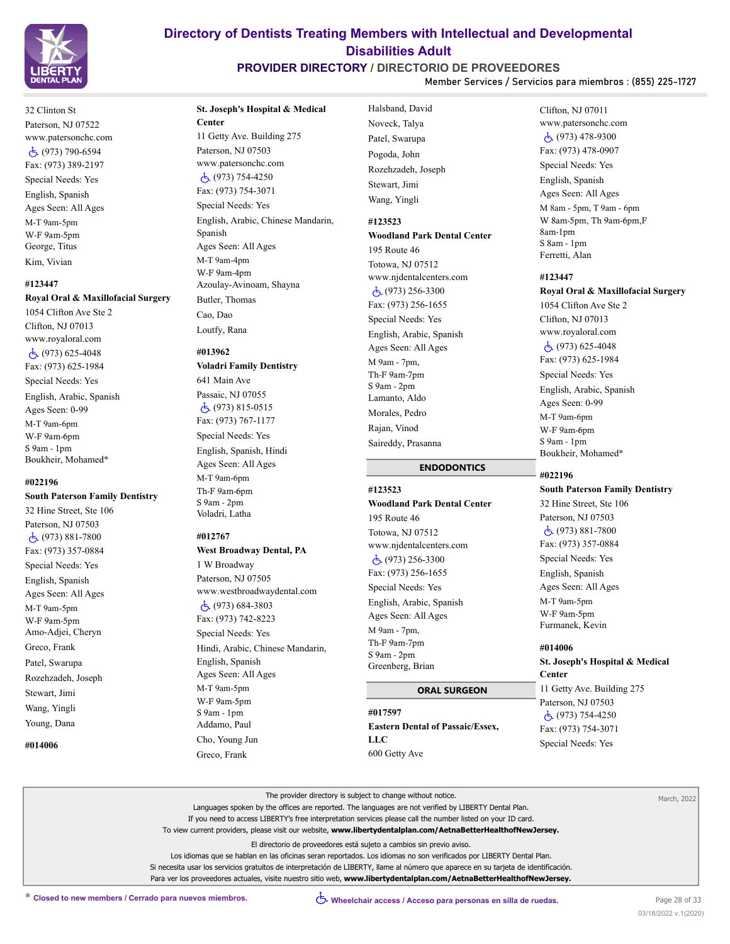

# **PROVIDER DIRECTORY / DIRECTORIO DE PROVEEDORES**

Halsband, David

**Member Services / Servicios para miembros : (855) 225-1727**

32 Clinton St Paterson, NJ 07522 www.patersonchc.com (973) 790-6594 Fax: (973) 389-2197 Special Needs: Yes English, Spanish Ages Seen: All Ages M-T 9am-5pm W-F 9am-5pm George, Titus Kim, Vivian

#### **#123447**

#### **Royal Oral & Maxillofacial Surgery**

1054 Clifton Ave Ste 2 Clifton, NJ 07013 www.royaloral.com (973) 625-4048 Fax: (973) 625-1984 Special Needs: Yes English, Arabic, Spanish Ages Seen: 0-99 M-T 9am-6pm W-F 9am-6pm S 9am - 1pm Boukheir, Mohamed\*

#### **#022196**

**South Paterson Family Dentistry**

32 Hine Street, Ste 106 Paterson, NJ 07503 (973) 881-7800 Fax: (973) 357-0884 Special Needs: Yes English, Spanish Ages Seen: All Ages M-T 9am-5pm W-F 9am-5pm Amo-Adjei, Cheryn Greco, Frank Patel, Swarupa Rozehzadeh, Joseph Stewart, Jimi Wang, Yingli Young, Dana

**#014006**

# **St. Joseph's Hospital & Medical Center**

11 Getty Ave. Building 275 Paterson, NJ 07503 www.patersonchc.com (973) 754-4250 Fax: (973) 754-3071 Special Needs: Yes English, Arabic, Chinese Mandarin, Spanish Ages Seen: All Ages M-T 9am-4pm W-F 9am-4pm Azoulay-Avinoam, Shayna Butler, Thomas

Cao, Dao Loutfy, Rana

**#013962 Voladri Family Dentistry** 641 Main Ave Passaic, NJ 07055 (973) 815-0515 Fax: (973) 767-1177 Special Needs: Yes English, Spanish, Hindi Ages Seen: All Ages M-T 9am-6pm Th-F 9am-6pm S 9am - 2pm Voladri, Latha

#### **#012767**

**West Broadway Dental, PA** 1 W Broadway Paterson, NJ 07505 www.westbroadwaydental.com (973) 684-3803 Fax: (973) 742-8223 Special Needs: Yes Hindi, Arabic, Chinese Mandarin, English, Spanish Ages Seen: All Ages M-T 9am-5pm W-F 9am-5pm S 9am - 1pm Addamo, Paul Cho, Young Jun Greco, Frank

Noveck, Talya Patel, Swarupa Pogoda, John Rozehzadeh, Joseph Stewart, Jimi Wang, Yingli

# **#123523**

# **Woodland Park Dental Center** 195 Route 46

Totowa, NJ 07512 www.njdentalcenters.com (973) 256-3300 Fax: (973) 256-1655 Special Needs: Yes English, Arabic, Spanish Ages Seen: All Ages M 9am - 7pm, Th-F 9am-7pm S 9am - 2pm Lamanto, Aldo Morales, Pedro Rajan, Vinod Saireddy, Prasanna

# **ENDODONTICS**

### **#123523**

**Woodland Park Dental Center** 195 Route 46 Totowa, NJ 07512 www.njdentalcenters.com (973) 256-3300 Fax: (973) 256-1655 Special Needs: Yes English, Arabic, Spanish Ages Seen: All Ages M 9am - 7pm, Th-F 9am-7pm S 9am - 2pm Greenberg, Brian

#### **ORAL SURGEON**

**#017597 Eastern Dental of Passaic/Essex, LLC** 600 Getty Ave

### Clifton, NJ 07011 www.patersonchc.com (973) 478-9300 Fax: (973) 478-0907 Special Needs: Yes English, Spanish Ages Seen: All Ages M 8am - 5pm, T 9am - 6pm W 8am-5pm, Th 9am-6pm,F 8am-1pm S 8am - 1pm Ferretti, Alan

#### **#123447**

**Royal Oral & Maxillofacial Surgery** 1054 Clifton Ave Ste 2 Clifton, NJ 07013 www.royaloral.com  $\dot{c}$ , (973) 625-4048 Fax: (973) 625-1984 Special Needs: Yes English, Arabic, Spanish Ages Seen: 0-99 M-T 9am-6pm W-F 9am-6pm S 9am - 1pm Boukheir, Mohamed\*

#### **#022196**

# **South Paterson Family Dentistry** 32 Hine Street, Ste 106 Paterson, NJ 07503 (973) 881-7800 Fax: (973) 357-0884 Special Needs: Yes

English, Spanish Ages Seen: All Ages M-T 9am-5pm W-F 9am-5pm Furmanek, Kevin

#### **#014006**

**St. Joseph's Hospital & Medical Center** 11 Getty Ave. Building 275 Paterson, NJ 07503 (973) 754-4250 Fax: (973) 754-3071 Special Needs: Yes

| The provider directory is subject to change without notice.                                                                         | March, 2022 |
|-------------------------------------------------------------------------------------------------------------------------------------|-------------|
| Languages spoken by the offices are reported. The languages are not verified by LIBERTY Dental Plan.                                |             |
| If you need to access LIBERTY's free interpretation services please call the number listed on your ID card.                         |             |
| To view current providers, please visit our website, www.libertydentalplan.com/AetnaBetterHealthofNewJersey.                        |             |
| El directorio de proveedores está sujeto a cambios sin previo aviso.                                                                |             |
| Los idiomas que se hablan en las oficinas seran reportados. Los idiomas no son verificados por LIBERTY Dental Plan.                 |             |
| Si necesita usar los servicios gratuitos de interpretación de LIBERTY, llame al número que aparece en su tarjeta de identificación. |             |
| Para ver los proveedores actuales, visite nuestro sitio web, www.libertydentalplan.com/AetnaBetterHealthofNewJersey.                |             |
|                                                                                                                                     |             |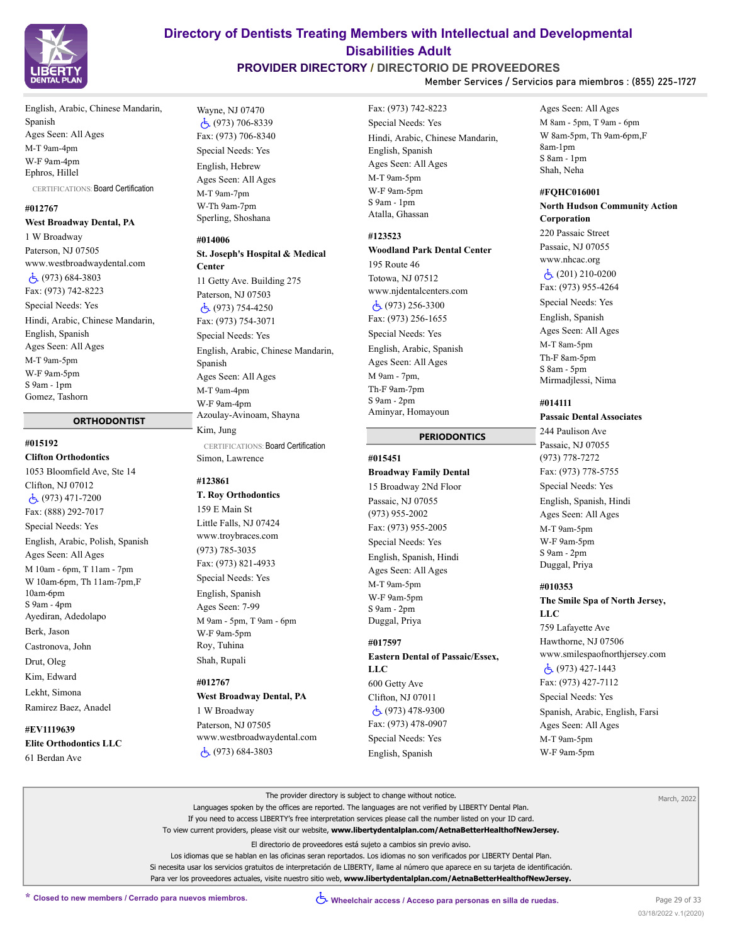

# **PROVIDER DIRECTORY / DIRECTORIO DE PROVEEDORES**

**Member Services / Servicios para miembros : (855) 225-1727**

English, Arabic, Chinese Mandarin, Spanish Ages Seen: All Ages M-T 9am-4pm W-F 9am-4pm Ephros, Hillel CERTIFICATIONS: Board Certification

#### **#012767**

**West Broadway Dental, PA** 1 W Broadway Paterson, NJ 07505 www.westbroadwaydental.com (973) 684-3803 Fax: (973) 742-8223 Special Needs: Yes Hindi, Arabic, Chinese Mandarin, English, Spanish Ages Seen: All Ages M-T 9am-5pm W-F 9am-5pm S 9am - 1pm Gomez, Tashorn

#### **ORTHODONTIST**

#### **#015192**

**Clifton Orthodontics** 1053 Bloomfield Ave, Ste 14 Clifton, NJ 07012 (973) 471-7200 Fax: (888) 292-7017 Special Needs: Yes English, Arabic, Polish, Spanish Ages Seen: All Ages M 10am - 6pm, T 11am - 7pm W 10am-6pm, Th 11am-7pm,F 10am-6pm S 9am - 4pm Ayediran, Adedolapo Berk, Jason Castronova, John Drut, Oleg Kim, Edward Lekht, Simona Ramirez Baez, Anadel

**#EV1119639 Elite Orthodontics LLC** 61 Berdan Ave

Wayne, NJ 07470 (973) 706-8339 Fax: (973) 706-8340 Special Needs: Yes English, Hebrew Ages Seen: All Ages M-T 9am-7pm W-Th 9am-7pm Sperling, Shoshana

#### **#014006**

# **St. Joseph's Hospital & Medical Center** 11 Getty Ave. Building 275 Paterson, NJ 07503 (973) 754-4250 Fax: (973) 754-3071 Special Needs: Yes English, Arabic, Chinese Mandarin, Spanish Ages Seen: All Ages M-T 9am-4pm W-F 9am-4pm Azoulay-Avinoam, Shayna Kim, Jung CERTIFICATIONS: Board Certification

Simon, Lawrence

#### **#123861**

**T. Roy Orthodontics** 159 E Main St Little Falls, NJ 07424 www.troybraces.com (973) 785-3035 Fax: (973) 821-4933 Special Needs: Yes English, Spanish Ages Seen: 7-99 M 9am - 5pm, T 9am - 6pm W-F 9am-5pm Roy, Tuhina Shah, Rupali

#### **#012767**

**West Broadway Dental, PA** 1 W Broadway Paterson, NJ 07505 www.westbroadwaydental.com (973) 684-3803

Fax: (973) 742-8223 Special Needs: Yes Hindi, Arabic, Chinese Mandarin, English, Spanish Ages Seen: All Ages M-T 9am-5pm W-F 9am-5pm S 9am - 1pm Atalla, Ghassan

### **#123523**

# **Woodland Park Dental Center**

195 Route 46 Totowa, NJ 07512 www.njdentalcenters.com (973) 256-3300 Fax: (973) 256-1655 Special Needs: Yes English, Arabic, Spanish Ages Seen: All Ages M 9am - 7pm, Th-F 9am-7pm S 9am - 2pm Aminyar, Homayoun

#### **PERIODONTICS**

# **#015451**

#### **Broadway Family Dental**

15 Broadway 2Nd Floor Passaic, NJ 07055 (973) 955-2002 Fax: (973) 955-2005 Special Needs: Yes English, Spanish, Hindi Ages Seen: All Ages M-T 9am-5pm W-F 9am-5pm S 9am - 2pm Duggal, Priya

### **#017597**

**Eastern Dental of Passaic/Essex, LLC** 600 Getty Ave Clifton, NJ 07011 (973) 478-9300

Fax: (973) 478-0907 Special Needs: Yes English, Spanish

Ages Seen: All Ages M 8am - 5pm, T 9am - 6pm W 8am-5pm, Th 9am-6pm,F 8am-1pm S 8am - 1pm Shah, Neha

#### **#FQHC016001**

**North Hudson Community Action Corporation** 220 Passaic Street Passaic, NJ 07055 www.nhcac.org  $\dot{c}$  (201) 210-0200 Fax: (973) 955-4264 Special Needs: Yes English, Spanish Ages Seen: All Ages M-T 8am-5pm Th-F 8am-5pm S 8am - 5pm Mirmadjlessi, Nima

### **#014111**

# **Passaic Dental Associates**

244 Paulison Ave Passaic, NJ 07055 (973) 778-7272 Fax: (973) 778-5755 Special Needs: Yes English, Spanish, Hindi Ages Seen: All Ages M-T 9am-5pm W-F 9am-5pm S 9am - 2pm Duggal, Priya

#### **#010353**

**The Smile Spa of North Jersey, LLC** 759 Lafayette Ave Hawthorne, NJ 07506 www.smilespaofnorthjersey.com (973) 427-1443 Fax: (973) 427-7112 Special Needs: Yes Spanish, Arabic, English, Farsi Ages Seen: All Ages M-T 9am-5pm W-F 9am-5pm

| The provider directory is subject to change without notice.                                                                         | March, 2022 |
|-------------------------------------------------------------------------------------------------------------------------------------|-------------|
| Languages spoken by the offices are reported. The languages are not verified by LIBERTY Dental Plan.                                |             |
| If you need to access LIBERTY's free interpretation services please call the number listed on your ID card.                         |             |
| To view current providers, please visit our website, www.libertydentalplan.com/AetnaBetterHealthofNewJersey.                        |             |
| El directorio de proveedores está sujeto a cambios sin previo aviso.                                                                |             |
| Los idiomas que se hablan en las oficinas seran reportados. Los idiomas no son verificados por LIBERTY Dental Plan.                 |             |
| Si necesita usar los servicios gratuitos de interpretación de LIBERTY, llame al número que aparece en su tarjeta de identificación. |             |
| Para ver los proveedores actuales, visite nuestro sitio web, www.libertydentalplan.com/AetnaBetterHealthofNewJersey.                |             |
|                                                                                                                                     |             |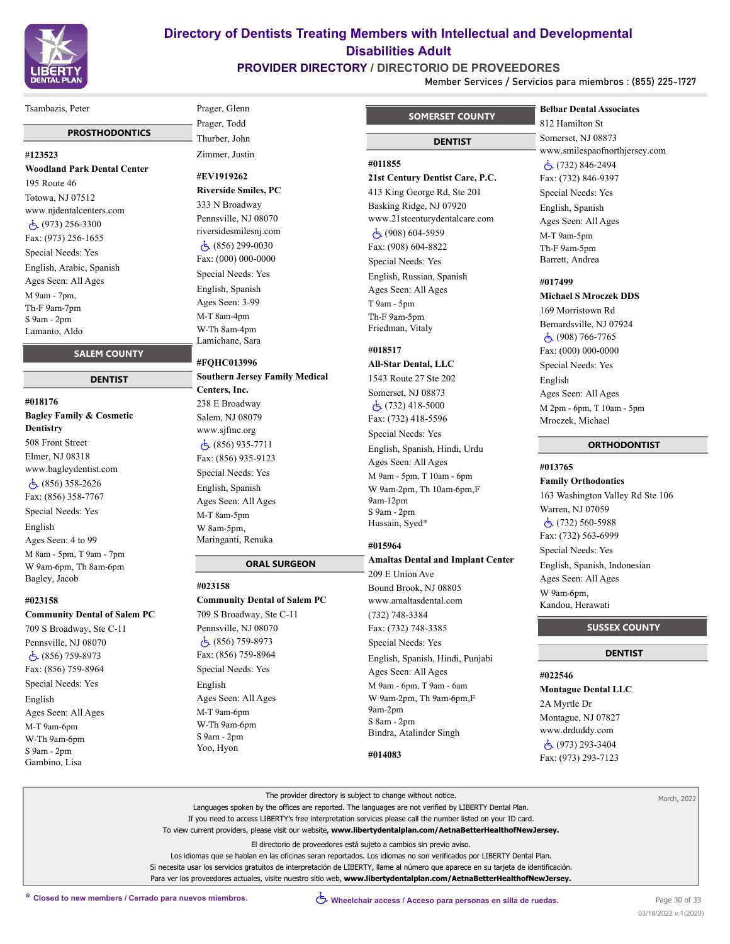

# **PROVIDER DIRECTORY / DIRECTORIO DE PROVEEDORES**

**Member Services / Servicios para miembros : (855) 225-1727**

#### Tsambazis, Peter

#### **PROSTHODONTICS**

#### **#123523**

**Woodland Park Dental Center** 195 Route 46 Totowa, NJ 07512 www.njdentalcenters.com (973) 256-3300 Fax: (973) 256-1655 Special Needs: Yes English, Arabic, Spanish Ages Seen: All Ages M 9am - 7pm, Th-F 9am-7pm S 9am - 2pm Lamanto, Aldo

# **SALEM COUNTY**

#### **DENTIST**

**#018176 Bagley Family & Cosmetic Dentistry** 508 Front Street Elmer, NJ 08318 www.bagleydentist.com (856) 358-2626 Fax: (856) 358-7767 Special Needs: Yes English Ages Seen: 4 to 99 M 8am - 5pm, T 9am - 7pm W 9am-6pm, Th 8am-6pm Bagley, Jacob

#### **#023158**

#### **Community Dental of Salem PC**

709 S Broadway, Ste C-11 Pennsville, NJ 08070 (856) 759-8973 Fax: (856) 759-8964 Special Needs: Yes English Ages Seen: All Ages M-T 9am-6pm W-Th 9am-6pm S 9am - 2pm Gambino, Lisa

# Prager, Glenn Prager, Todd Thurber, John Zimmer, Justin

**#EV1919262**

**Riverside Smiles, PC** 333 N Broadway Pennsville, NJ 08070 riversidesmilesnj.com  $\dot{c}$  (856) 299-0030 Fax: (000) 000-0000 Special Needs: Yes English, Spanish Ages Seen: 3-99 M-T 8am-4pm W-Th 8am-4pm Lamichane, Sara

#### **#FQHC013996**

**Southern Jersey Family Medical Centers, Inc.** 238 E Broadway Salem, NJ 08079 www.sjfmc.org (856) 935-7711 Fax: (856) 935-9123 Special Needs: Yes English, Spanish Ages Seen: All Ages M-T 8am-5pm W 8am-5pm, Maringanti, Renuka

 **ORAL SURGEON**

**#023158 Community Dental of Salem PC** 709 S Broadway, Ste C-11 Pennsville, NJ 08070 (856) 759-8973 Fax: (856) 759-8964 Special Needs: Yes English Ages Seen: All Ages M-T 9am-6pm W-Th 9am-6pm S 9am - 2pm Yoo, Hyon

# **SOMERSET COUNTY**

# **DENTIST**

# **#011855**

#### **21st Century Dentist Care, P.C.**

413 King George Rd, Ste 201 Basking Ridge, NJ 07920 www.21stcenturydentalcare.com (908) 604-5959 Fax: (908) 604-8822 Special Needs: Yes English, Russian, Spanish Ages Seen: All Ages

T 9am - 5pm Th-F 9am-5pm Friedman, Vitaly

### **#018517**

**All-Star Dental, LLC** 1543 Route 27 Ste 202 Somerset, NJ 08873 (732) 418-5000 Fax: (732) 418-5596

Special Needs: Yes English, Spanish, Hindi, Urdu Ages Seen: All Ages M 9am - 5pm, T 10am - 6pm W 9am-2pm, Th 10am-6pm,F 9am-12pm

### **#015964**

S 9am - 2pm Hussain, Syed\*

#### **Amaltas Dental and Implant Center**

209 E Union Ave Bound Brook, NJ 08805 www.amaltasdental.com

(732) 748-3384 Fax: (732) 748-3385

Special Needs: Yes English, Spanish, Hindi, Punjabi Ages Seen: All Ages M 9am - 6pm, T 9am - 6am W 9am-2pm, Th 9am-6pm,F 9am-2pm S 8am - 2pm Bindra, Atalinder Singh

#### **#014083**

# **Belbar Dental Associates**

812 Hamilton St Somerset, NJ 08873 www.smilespaofnorthjersey.com (732) 846-2494 Fax: (732) 846-9397 Special Needs: Yes English, Spanish Ages Seen: All Ages M-T 9am-5pm Th-F 9am-5pm Barrett, Andrea

# **#017499**

# **Michael S Mroczek DDS**

169 Morristown Rd Bernardsville, NJ 07924  $\dot{c}$  (908) 766-7765 Fax: (000) 000-0000 Special Needs: Yes English Ages Seen: All Ages M 2pm - 6pm, T 10am - 5pm Mroczek, Michael

# **ORTHODONTIST**

# **#013765**

**Family Orthodontics** 163 Washington Valley Rd Ste 106 Warren, NJ 07059 (732) 560-5988 Fax: (732) 563-6999 Special Needs: Yes English, Spanish, Indonesian Ages Seen: All Ages W 9am-6pm, Kandou, Herawati

#### **SUSSEX COUNTY**

#### **DENTIST**

### **#022546**

**Montague Dental LLC** 2A Myrtle Dr

Montague, NJ 07827 www.drduddy.com (973) 293-3404 Fax: (973) 293-7123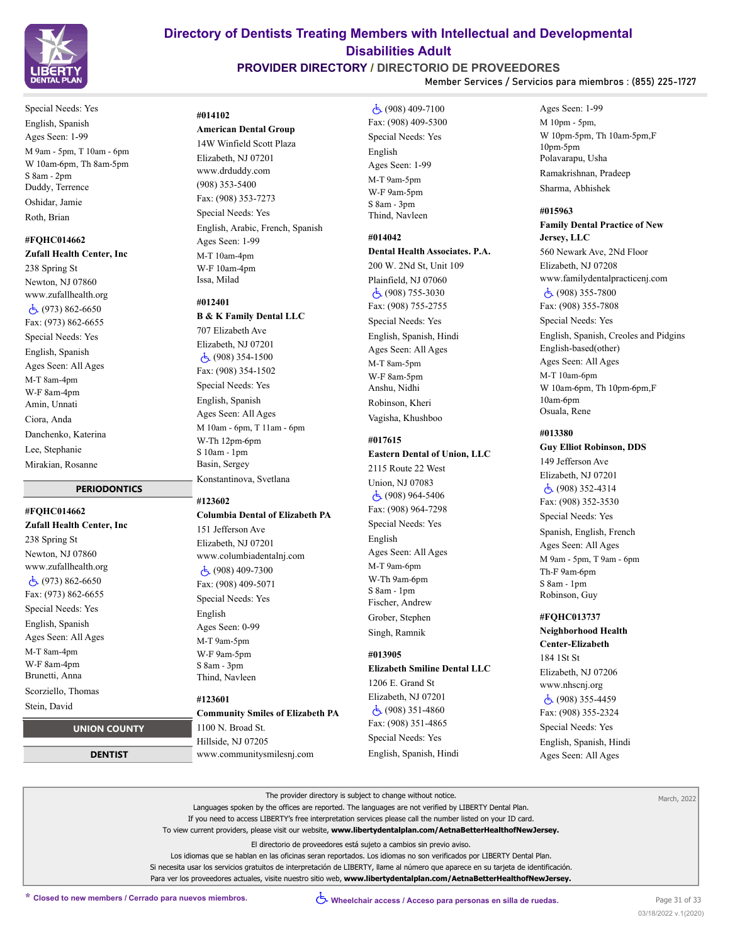

# **PROVIDER DIRECTORY / DIRECTORIO DE PROVEEDORES**

**Member Services / Servicios para miembros : (855) 225-1727**

Special Needs: Yes English, Spanish Ages Seen: 1-99 M 9am - 5pm, T 10am - 6pm W 10am-6pm, Th 8am-5pm S 8am - 2pm Duddy, Terrence Oshidar, Jamie Roth, Brian

# **#FQHC014662**

**Zufall Health Center, Inc** 238 Spring St Newton, NJ 07860

www.zufallhealth.org (973) 862-6650 Fax: (973) 862-6655 Special Needs: Yes English, Spanish Ages Seen: All Ages M-T 8am-4pm W-F 8am-4pm Amin, Unnati Ciora, Anda Danchenko, Katerina Lee, Stephanie Mirakian, Rosanne

### **PERIODONTICS**

**#FQHC014662 Zufall Health Center, Inc** 238 Spring St Newton, NJ 07860 www.zufallhealth.org  $\dot{c}$  (973) 862-6650 Fax: (973) 862-6655 Special Needs: Yes English, Spanish Ages Seen: All Ages M-T 8am-4pm W-F 8am-4pm Brunetti, Anna Scorziello, Thomas

# Stein, David

 **UNION COUNTY**

 **DENTIST**

# **#014102**

**American Dental Group** 14W Winfield Scott Plaza Elizabeth, NJ 07201 www.drduddy.com (908) 353-5400 Fax: (908) 353-7273 Special Needs: Yes English, Arabic, French, Spanish Ages Seen: 1-99 M-T 10am-4pm W-F 10am-4pm Issa, Milad

#### **#012401**

**B & K Family Dental LLC**

707 Elizabeth Ave Elizabeth, NJ 07201 (908) 354-1500 Fax: (908) 354-1502 Special Needs: Yes English, Spanish Ages Seen: All Ages M 10am - 6pm, T 11am - 6pm W-Th 12pm-6pm S 10am - 1pm Basin, Sergey Konstantinova, Svetlana

#### **#123602**

### **Columbia Dental of Elizabeth PA**

151 Jefferson Ave Elizabeth, NJ 07201 www.columbiadentalnj.com (908) 409-7300 Fax: (908) 409-5071 Special Needs: Yes English Ages Seen: 0-99 M-T 9am-5pm W-F 9am-5pm

S 8am - 3pm Thind, Navleen

# **#123601**

**Community Smiles of Elizabeth PA** 1100 N. Broad St. Hillside, NJ 07205 www.communitysmilesnj.com

 (908) 409-7100 Fax: (908) 409-5300 Special Needs: Yes English Ages Seen: 1-99 M-T 9am-5pm W-F 9am-5pm S 8am - 3pm Thind, Navleen

# **#014042**

**Dental Health Associates. P.A.**

200 W. 2Nd St, Unit 109 Plainfield, NJ 07060 (908) 755-3030 Fax: (908) 755-2755 Special Needs: Yes English, Spanish, Hindi Ages Seen: All Ages M-T 8am-5pm W-F 8am-5pm Anshu, Nidhi Robinson, Kheri Vagisha, Khushboo

### **#017615**

#### **Eastern Dental of Union, LLC**

2115 Route 22 West Union, NJ 07083 (908) 964-5406 Fax: (908) 964-7298 Special Needs: Yes English Ages Seen: All Ages M-T 9am-6pm W-Th 9am-6pm S 8am - 1pm Fischer, Andrew Grober, Stephen

Singh, Ramnik

# **#013905**

# **Elizabeth Smiline Dental LLC** 1206 E. Grand St Elizabeth, NJ 07201

 $\overline{5}$  (908) 351-4860 Fax: (908) 351-4865 Special Needs: Yes English, Spanish, Hindi Ages Seen: 1-99 M 10pm - 5pm, W 10pm-5pm, Th 10am-5pm,F 10pm-5pm Polavarapu, Usha Ramakrishnan, Pradeep Sharma, Abhishek

#### **#015963**

# **Family Dental Practice of New Jersey, LLC**

560 Newark Ave, 2Nd Floor Elizabeth, NJ 07208 www.familydentalpracticenj.com  $\dot{c}$ , (908) 355-7800 Fax: (908) 355-7808 Special Needs: Yes English, Spanish, Creoles and Pidgins English-based(other) Ages Seen: All Ages M-T 10am-6pm W 10am-6pm, Th 10pm-6pm,F 10am-6pm Osuala, Rene

#### **#013380**

#### **Guy Elliot Robinson, DDS**

149 Jefferson Ave Elizabeth, NJ 07201 (908) 352-4314 Fax: (908) 352-3530 Special Needs: Yes Spanish, English, French Ages Seen: All Ages M 9am - 5pm, T 9am - 6pm Th-F 9am-6pm S 8am - 1pm Robinson, Guy

### **#FQHC013737**

**Neighborhood Health Center-Elizabeth** 184 1St St Elizabeth, NJ 07206 www.nhscnj.org (908) 355-4459 Fax: (908) 355-2324 Special Needs: Yes English, Spanish, Hindi Ages Seen: All Ages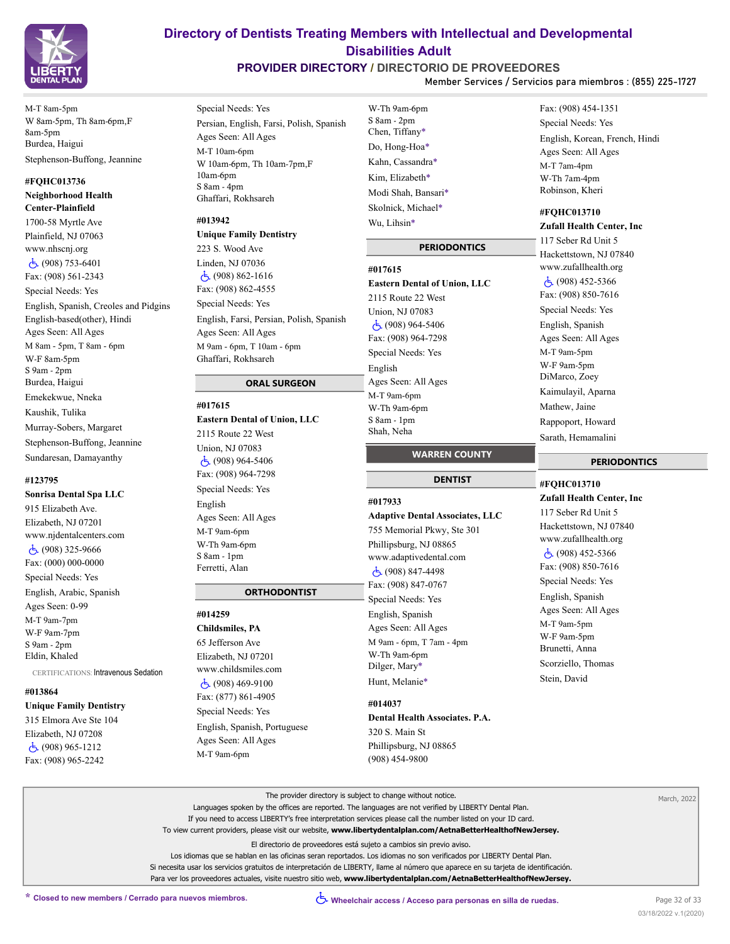

M-T 8am-5pm W 8am-5pm, Th 8am-6pm,F 8am-5pm Burdea, Haigui Stephenson-Buffong, Jeannine

### **#FQHC013736 Neighborhood Health**

**Center-Plainfield** 1700-58 Myrtle Ave Plainfield, NJ 07063 www.nhscnj.org (908) 753-6401 Fax: (908) 561-2343 Special Needs: Yes English, Spanish, Creoles and Pidgins English-based(other), Hindi Ages Seen: All Ages M 8am - 5pm, T 8am - 6pm W-F 8am-5pm S 9am - 2pm Burdea, Haigui Emekekwue, Nneka Kaushik, Tulika Murray-Sobers, Margaret Stephenson-Buffong, Jeannine Sundaresan, Damayanthy

#### **#123795**

**Sonrisa Dental Spa LLC** 915 Elizabeth Ave. Elizabeth, NJ 07201 www.njdentalcenters.com (908) 325-9666 Fax: (000) 000-0000 Special Needs: Yes English, Arabic, Spanish Ages Seen: 0-99 M-T 9am-7pm W-F 9am-7pm S 9am - 2pm Eldin, Khaled

CERTIFICATIONS: Intravenous Sedation

#### **#013864**

**Unique Family Dentistry** 315 Elmora Ave Ste 104 Elizabeth, NJ 07208 (908) 965-1212 Fax: (908) 965-2242

Special Needs: Yes Persian, English, Farsi, Polish, Spanish Ages Seen: All Ages M-T 10am-6pm W 10am-6pm, Th 10am-7pm,F 10am-6pm S 8am - 4pm Ghaffari, Rokhsareh

### **#013942**

# **Unique Family Dentistry** 223 S. Wood Ave Linden, NJ 07036 (908) 862-1616 Fax: (908) 862-4555 Special Needs: Yes English, Farsi, Persian, Polish, Spanish Ages Seen: All Ages M 9am - 6pm, T 10am - 6pm Ghaffari, Rokhsareh

#### **ORAL SURGEON**

#### **#017615**

**Eastern Dental of Union, LLC** 2115 Route 22 West Union, NJ 07083 (908) 964-5406 Fax: (908) 964-7298 Special Needs: Yes English Ages Seen: All Ages M-T 9am-6pm W-Th 9am-6pm S 8am - 1pm Ferretti, Alan

#### **ORTHODONTIST**

**#014259 Childsmiles, PA** 65 Jefferson Ave Elizabeth, NJ 07201 www.childsmiles.com (908) 469-9100 Fax: (877) 861-4905 Special Needs: Yes English, Spanish, Portuguese Ages Seen: All Ages

M-T 9am-6pm

S 8am - 2pm Chen, Tiffany\* Do, Hong-Hoa\* Kahn, Cassandra\* Kim, Elizabeth\* Modi Shah, Bansari\* Skolnick, Michael\* Wu, Lihsin\*

**Directory of Dentists Treating Members with Intellectual and Developmental Disabilities Adult PROVIDER DIRECTORY / DIRECTORIO DE PROVEEDORES**

W-Th 9am-6pm

#### **PERIODONTICS**

#### **#017615**

**Eastern Dental of Union, LLC** 2115 Route 22 West Union, NJ 07083 (908) 964-5406 Fax: (908) 964-7298 Special Needs: Yes English Ages Seen: All Ages M-T 9am-6pm W-Th 9am-6pm S 8am - 1pm Shah, Neha

#### **WARREN COUNTY**

#### **DENTIST**

#### **#017933**

**Adaptive Dental Associates, LLC** 755 Memorial Pkwy, Ste 301 Phillipsburg, NJ 08865 www.adaptivedental.com (908) 847-4498 Fax: (908) 847-0767 Special Needs: Yes English, Spanish Ages Seen: All Ages M 9am - 6pm, T 7am - 4pm W-Th 9am-6pm Dilger, Mary\* Hunt, Melanie\*

# **#014037 Dental Health Associates. P.A.** 320 S. Main St Phillipsburg, NJ 08865 (908) 454-9800

Fax: (908) 454-1351 Special Needs: Yes English, Korean, French, Hindi Ages Seen: All Ages M-T 7am-4pm W-Th 7am-4pm Robinson, Kheri

#### **#FQHC013710**

**Member Services / Servicios para miembros : (855) 225-1727**

**Zufall Health Center, Inc** 117 Seber Rd Unit 5 Hackettstown, NJ 07840 www.zufallhealth.org (908) 452-5366 Fax: (908) 850-7616 Special Needs: Yes English, Spanish Ages Seen: All Ages M-T 9am-5pm W-F 9am-5pm DiMarco, Zoey Kaimulayil, Aparna Mathew, Jaine Rappoport, Howard Sarath, Hemamalini

#### **PERIODONTICS**

# **#FQHC013710 Zufall Health Center, Inc** 117 Seber Rd Unit 5 Hackettstown, NJ 07840 www.zufallhealth.org (908) 452-5366 Fax: (908) 850-7616 Special Needs: Yes English, Spanish Ages Seen: All Ages M-T 9am-5pm W-F 9am-5pm Brunetti, Anna Scorziello, Thomas Stein, David